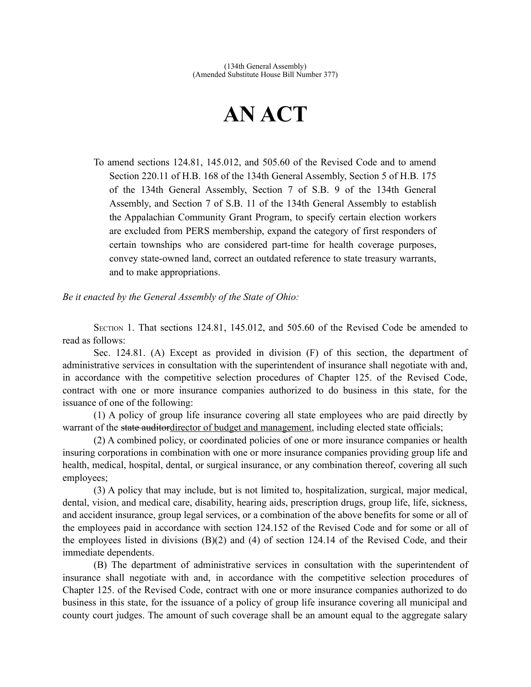# **AN ACT**

To amend sections 124.81, 145.012, and 505.60 of the Revised Code and to amend Section 220.11 of H.B. 168 of the 134th General Assembly, Section 5 of H.B. 175 of the 134th General Assembly, Section 7 of S.B. 9 of the 134th General Assembly, and Section 7 of S.B. 11 of the 134th General Assembly to establish the Appalachian Community Grant Program, to specify certain election workers are excluded from PERS membership, expand the category of first responders of certain townships who are considered part-time for health coverage purposes, convey state-owned land, correct an outdated reference to state treasury warrants, and to make appropriations.

*Be it enacted by the General Assembly of the State of Ohio:*

SECTION 1. That sections 124.81, 145.012, and 505.60 of the Revised Code be amended to read as follows:

Sec. 124.81. (A) Except as provided in division (F) of this section, the department of administrative services in consultation with the superintendent of insurance shall negotiate with and, in accordance with the competitive selection procedures of Chapter 125. of the Revised Code, contract with one or more insurance companies authorized to do business in this state, for the issuance of one of the following:

(1) A policy of group life insurance covering all state employees who are paid directly by warrant of the state auditordirector of budget and management, including elected state officials;

(2) A combined policy, or coordinated policies of one or more insurance companies or health insuring corporations in combination with one or more insurance companies providing group life and health, medical, hospital, dental, or surgical insurance, or any combination thereof, covering all such employees;

(3) A policy that may include, but is not limited to, hospitalization, surgical, major medical, dental, vision, and medical care, disability, hearing aids, prescription drugs, group life, life, sickness, and accident insurance, group legal services, or a combination of the above benefits for some or all of the employees paid in accordance with section 124.152 of the Revised Code and for some or all of the employees listed in divisions  $(B)(2)$  and  $(4)$  of section 124.14 of the Revised Code, and their immediate dependents.

(B) The department of administrative services in consultation with the superintendent of insurance shall negotiate with and, in accordance with the competitive selection procedures of Chapter 125. of the Revised Code, contract with one or more insurance companies authorized to do business in this state, for the issuance of a policy of group life insurance covering all municipal and county court judges. The amount of such coverage shall be an amount equal to the aggregate salary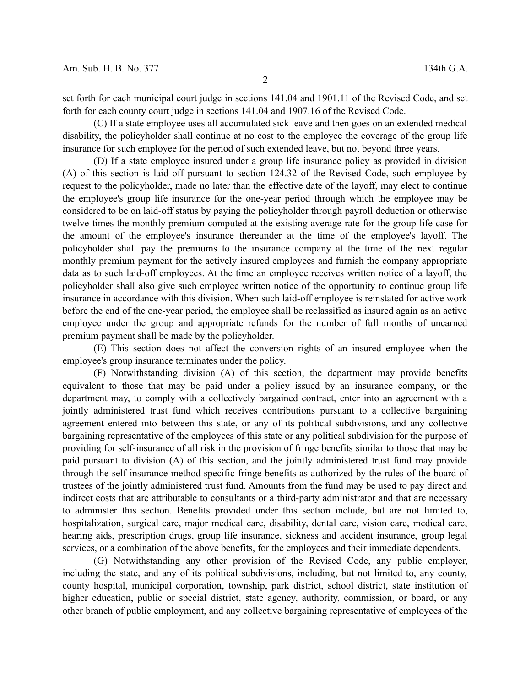set forth for each municipal court judge in sections 141.04 and 1901.11 of the Revised Code, and set forth for each county court judge in sections 141.04 and 1907.16 of the Revised Code.

(C) If a state employee uses all accumulated sick leave and then goes on an extended medical disability, the policyholder shall continue at no cost to the employee the coverage of the group life insurance for such employee for the period of such extended leave, but not beyond three years.

(D) If a state employee insured under a group life insurance policy as provided in division (A) of this section is laid off pursuant to section 124.32 of the Revised Code, such employee by request to the policyholder, made no later than the effective date of the layoff, may elect to continue the employee's group life insurance for the one-year period through which the employee may be considered to be on laid-off status by paying the policyholder through payroll deduction or otherwise twelve times the monthly premium computed at the existing average rate for the group life case for the amount of the employee's insurance thereunder at the time of the employee's layoff. The policyholder shall pay the premiums to the insurance company at the time of the next regular monthly premium payment for the actively insured employees and furnish the company appropriate data as to such laid-off employees. At the time an employee receives written notice of a layoff, the policyholder shall also give such employee written notice of the opportunity to continue group life insurance in accordance with this division. When such laid-off employee is reinstated for active work before the end of the one-year period, the employee shall be reclassified as insured again as an active employee under the group and appropriate refunds for the number of full months of unearned premium payment shall be made by the policyholder.

(E) This section does not affect the conversion rights of an insured employee when the employee's group insurance terminates under the policy.

(F) Notwithstanding division (A) of this section, the department may provide benefits equivalent to those that may be paid under a policy issued by an insurance company, or the department may, to comply with a collectively bargained contract, enter into an agreement with a jointly administered trust fund which receives contributions pursuant to a collective bargaining agreement entered into between this state, or any of its political subdivisions, and any collective bargaining representative of the employees of this state or any political subdivision for the purpose of providing for self-insurance of all risk in the provision of fringe benefits similar to those that may be paid pursuant to division (A) of this section, and the jointly administered trust fund may provide through the self-insurance method specific fringe benefits as authorized by the rules of the board of trustees of the jointly administered trust fund. Amounts from the fund may be used to pay direct and indirect costs that are attributable to consultants or a third-party administrator and that are necessary to administer this section. Benefits provided under this section include, but are not limited to, hospitalization, surgical care, major medical care, disability, dental care, vision care, medical care, hearing aids, prescription drugs, group life insurance, sickness and accident insurance, group legal services, or a combination of the above benefits, for the employees and their immediate dependents.

(G) Notwithstanding any other provision of the Revised Code, any public employer, including the state, and any of its political subdivisions, including, but not limited to, any county, county hospital, municipal corporation, township, park district, school district, state institution of higher education, public or special district, state agency, authority, commission, or board, or any other branch of public employment, and any collective bargaining representative of employees of the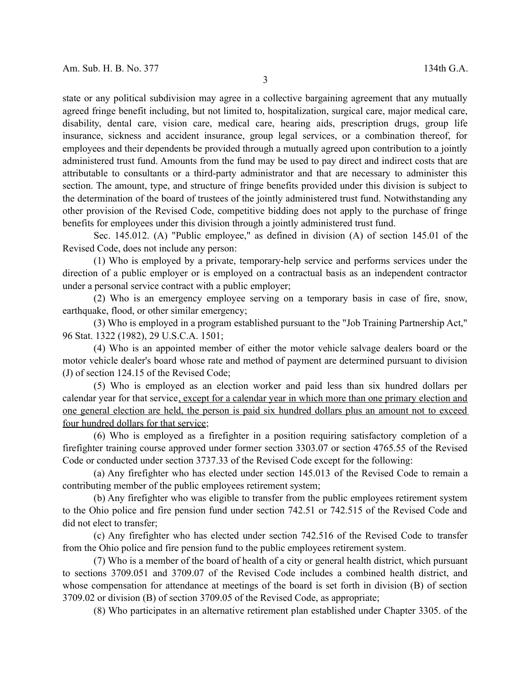state or any political subdivision may agree in a collective bargaining agreement that any mutually agreed fringe benefit including, but not limited to, hospitalization, surgical care, major medical care, disability, dental care, vision care, medical care, hearing aids, prescription drugs, group life insurance, sickness and accident insurance, group legal services, or a combination thereof, for employees and their dependents be provided through a mutually agreed upon contribution to a jointly administered trust fund. Amounts from the fund may be used to pay direct and indirect costs that are attributable to consultants or a third-party administrator and that are necessary to administer this section. The amount, type, and structure of fringe benefits provided under this division is subject to the determination of the board of trustees of the jointly administered trust fund. Notwithstanding any other provision of the Revised Code, competitive bidding does not apply to the purchase of fringe benefits for employees under this division through a jointly administered trust fund.

Sec. 145.012. (A) "Public employee," as defined in division (A) of section 145.01 of the Revised Code, does not include any person:

(1) Who is employed by a private, temporary-help service and performs services under the direction of a public employer or is employed on a contractual basis as an independent contractor under a personal service contract with a public employer;

(2) Who is an emergency employee serving on a temporary basis in case of fire, snow, earthquake, flood, or other similar emergency;

(3) Who is employed in a program established pursuant to the "Job Training Partnership Act," 96 Stat. 1322 (1982), 29 U.S.C.A. 1501;

(4) Who is an appointed member of either the motor vehicle salvage dealers board or the motor vehicle dealer's board whose rate and method of payment are determined pursuant to division (J) of section 124.15 of the Revised Code;

(5) Who is employed as an election worker and paid less than six hundred dollars per calendar year for that service, except for a calendar year in which more than one primary election and one general election are held, the person is paid six hundred dollars plus an amount not to exceed four hundred dollars for that service;

(6) Who is employed as a firefighter in a position requiring satisfactory completion of a firefighter training course approved under former section 3303.07 or section 4765.55 of the Revised Code or conducted under section 3737.33 of the Revised Code except for the following:

(a) Any firefighter who has elected under section 145.013 of the Revised Code to remain a contributing member of the public employees retirement system;

(b) Any firefighter who was eligible to transfer from the public employees retirement system to the Ohio police and fire pension fund under section 742.51 or 742.515 of the Revised Code and did not elect to transfer;

(c) Any firefighter who has elected under section 742.516 of the Revised Code to transfer from the Ohio police and fire pension fund to the public employees retirement system.

(7) Who is a member of the board of health of a city or general health district, which pursuant to sections 3709.051 and 3709.07 of the Revised Code includes a combined health district, and whose compensation for attendance at meetings of the board is set forth in division (B) of section 3709.02 or division (B) of section 3709.05 of the Revised Code, as appropriate;

(8) Who participates in an alternative retirement plan established under Chapter 3305. of the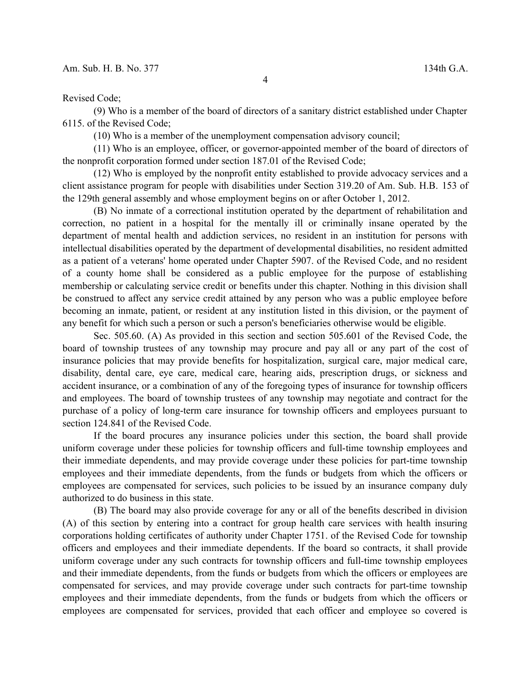Revised Code;

(9) Who is a member of the board of directors of a sanitary district established under Chapter 6115. of the Revised Code;

(10) Who is a member of the unemployment compensation advisory council;

(11) Who is an employee, officer, or governor-appointed member of the board of directors of the nonprofit corporation formed under section 187.01 of the Revised Code;

(12) Who is employed by the nonprofit entity established to provide advocacy services and a client assistance program for people with disabilities under Section 319.20 of Am. Sub. H.B. 153 of the 129th general assembly and whose employment begins on or after October 1, 2012.

(B) No inmate of a correctional institution operated by the department of rehabilitation and correction, no patient in a hospital for the mentally ill or criminally insane operated by the department of mental health and addiction services, no resident in an institution for persons with intellectual disabilities operated by the department of developmental disabilities, no resident admitted as a patient of a veterans' home operated under Chapter 5907. of the Revised Code, and no resident of a county home shall be considered as a public employee for the purpose of establishing membership or calculating service credit or benefits under this chapter. Nothing in this division shall be construed to affect any service credit attained by any person who was a public employee before becoming an inmate, patient, or resident at any institution listed in this division, or the payment of any benefit for which such a person or such a person's beneficiaries otherwise would be eligible.

Sec. 505.60. (A) As provided in this section and section 505.601 of the Revised Code, the board of township trustees of any township may procure and pay all or any part of the cost of insurance policies that may provide benefits for hospitalization, surgical care, major medical care, disability, dental care, eye care, medical care, hearing aids, prescription drugs, or sickness and accident insurance, or a combination of any of the foregoing types of insurance for township officers and employees. The board of township trustees of any township may negotiate and contract for the purchase of a policy of long-term care insurance for township officers and employees pursuant to section 124.841 of the Revised Code.

If the board procures any insurance policies under this section, the board shall provide uniform coverage under these policies for township officers and full-time township employees and their immediate dependents, and may provide coverage under these policies for part-time township employees and their immediate dependents, from the funds or budgets from which the officers or employees are compensated for services, such policies to be issued by an insurance company duly authorized to do business in this state.

(B) The board may also provide coverage for any or all of the benefits described in division (A) of this section by entering into a contract for group health care services with health insuring corporations holding certificates of authority under Chapter 1751. of the Revised Code for township officers and employees and their immediate dependents. If the board so contracts, it shall provide uniform coverage under any such contracts for township officers and full-time township employees and their immediate dependents, from the funds or budgets from which the officers or employees are compensated for services, and may provide coverage under such contracts for part-time township employees and their immediate dependents, from the funds or budgets from which the officers or employees are compensated for services, provided that each officer and employee so covered is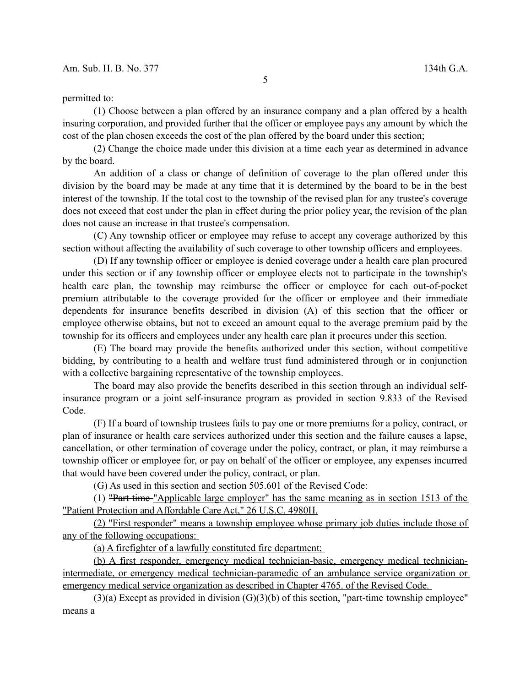#### permitted to:

(1) Choose between a plan offered by an insurance company and a plan offered by a health insuring corporation, and provided further that the officer or employee pays any amount by which the cost of the plan chosen exceeds the cost of the plan offered by the board under this section;

(2) Change the choice made under this division at a time each year as determined in advance by the board.

An addition of a class or change of definition of coverage to the plan offered under this division by the board may be made at any time that it is determined by the board to be in the best interest of the township. If the total cost to the township of the revised plan for any trustee's coverage does not exceed that cost under the plan in effect during the prior policy year, the revision of the plan does not cause an increase in that trustee's compensation.

(C) Any township officer or employee may refuse to accept any coverage authorized by this section without affecting the availability of such coverage to other township officers and employees.

(D) If any township officer or employee is denied coverage under a health care plan procured under this section or if any township officer or employee elects not to participate in the township's health care plan, the township may reimburse the officer or employee for each out-of-pocket premium attributable to the coverage provided for the officer or employee and their immediate dependents for insurance benefits described in division (A) of this section that the officer or employee otherwise obtains, but not to exceed an amount equal to the average premium paid by the township for its officers and employees under any health care plan it procures under this section.

(E) The board may provide the benefits authorized under this section, without competitive bidding, by contributing to a health and welfare trust fund administered through or in conjunction with a collective bargaining representative of the township employees.

The board may also provide the benefits described in this section through an individual selfinsurance program or a joint self-insurance program as provided in section 9.833 of the Revised Code.

(F) If a board of township trustees fails to pay one or more premiums for a policy, contract, or plan of insurance or health care services authorized under this section and the failure causes a lapse, cancellation, or other termination of coverage under the policy, contract, or plan, it may reimburse a township officer or employee for, or pay on behalf of the officer or employee, any expenses incurred that would have been covered under the policy, contract, or plan.

(G) As used in this section and section 505.601 of the Revised Code:

(1) "Part-time "Applicable large employer" has the same meaning as in section 1513 of the "Patient Protection and Affordable Care Act," 26 U.S.C. 4980H.

(2) "First responder" means a township employee whose primary job duties include those of any of the following occupations:

(a) A firefighter of a lawfully constituted fire department;

(b) A first responder, emergency medical technician-basic, emergency medical technicianintermediate, or emergency medical technician-paramedic of an ambulance service organization or emergency medical service organization as described in Chapter 4765. of the Revised Code.

 $(3)(a)$  Except as provided in division  $(G)(3)(b)$  of this section, "part-time township employee" means a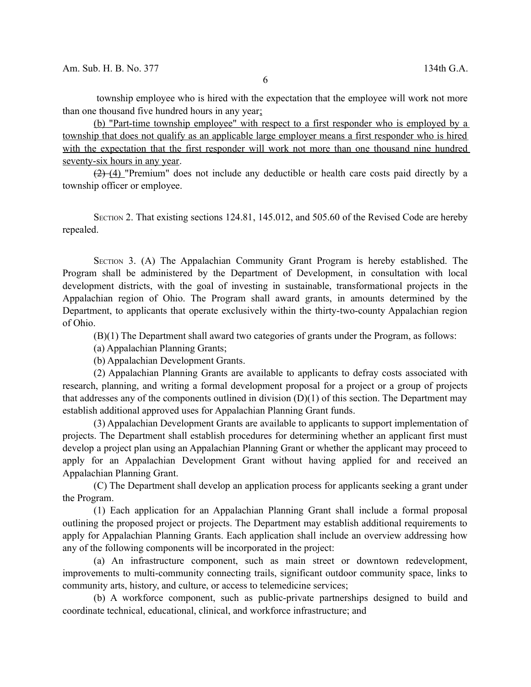township employee who is hired with the expectation that the employee will work not more than one thousand five hundred hours in any year;

(b) "Part-time township employee" with respect to a first responder who is employed by a township that does not qualify as an applicable large employer means a first responder who is hired with the expectation that the first responder will work not more than one thousand nine hundred seventy-six hours in any year.

 $(2)$  (4) "Premium" does not include any deductible or health care costs paid directly by a township officer or employee.

SECTION 2. That existing sections 124.81, 145.012, and 505.60 of the Revised Code are hereby repealed.

SECTION 3. (A) The Appalachian Community Grant Program is hereby established. The Program shall be administered by the Department of Development, in consultation with local development districts, with the goal of investing in sustainable, transformational projects in the Appalachian region of Ohio. The Program shall award grants, in amounts determined by the Department, to applicants that operate exclusively within the thirty-two-county Appalachian region of Ohio.

(B)(1) The Department shall award two categories of grants under the Program, as follows:

(a) Appalachian Planning Grants;

(b) Appalachian Development Grants.

(2) Appalachian Planning Grants are available to applicants to defray costs associated with research, planning, and writing a formal development proposal for a project or a group of projects that addresses any of the components outlined in division  $(D)(1)$  of this section. The Department may establish additional approved uses for Appalachian Planning Grant funds.

(3) Appalachian Development Grants are available to applicants to support implementation of projects. The Department shall establish procedures for determining whether an applicant first must develop a project plan using an Appalachian Planning Grant or whether the applicant may proceed to apply for an Appalachian Development Grant without having applied for and received an Appalachian Planning Grant.

(C) The Department shall develop an application process for applicants seeking a grant under the Program.

(1) Each application for an Appalachian Planning Grant shall include a formal proposal outlining the proposed project or projects. The Department may establish additional requirements to apply for Appalachian Planning Grants. Each application shall include an overview addressing how any of the following components will be incorporated in the project:

(a) An infrastructure component, such as main street or downtown redevelopment, improvements to multi-community connecting trails, significant outdoor community space, links to community arts, history, and culture, or access to telemedicine services;

(b) A workforce component, such as public-private partnerships designed to build and coordinate technical, educational, clinical, and workforce infrastructure; and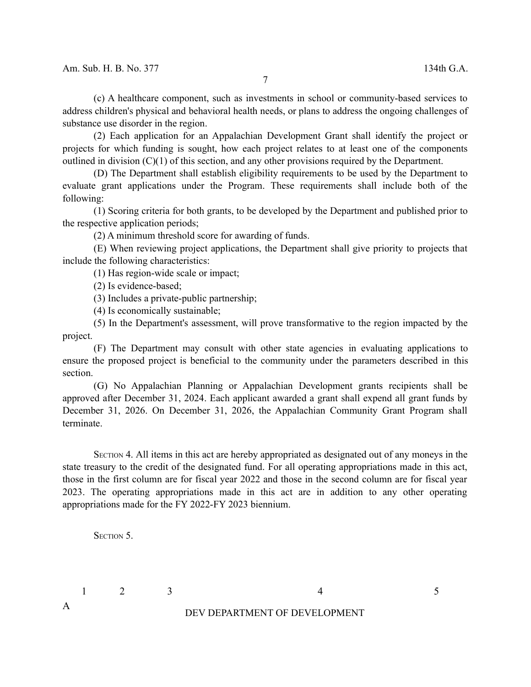(c) A healthcare component, such as investments in school or community-based services to address children's physical and behavioral health needs, or plans to address the ongoing challenges of substance use disorder in the region.

(2) Each application for an Appalachian Development Grant shall identify the project or projects for which funding is sought, how each project relates to at least one of the components outlined in division (C)(1) of this section, and any other provisions required by the Department.

(D) The Department shall establish eligibility requirements to be used by the Department to evaluate grant applications under the Program. These requirements shall include both of the following:

(1) Scoring criteria for both grants, to be developed by the Department and published prior to the respective application periods;

(2) A minimum threshold score for awarding of funds.

(E) When reviewing project applications, the Department shall give priority to projects that include the following characteristics:

(1) Has region-wide scale or impact;

(2) Is evidence-based;

(3) Includes a private-public partnership;

(4) Is economically sustainable;

(5) In the Department's assessment, will prove transformative to the region impacted by the project.

(F) The Department may consult with other state agencies in evaluating applications to ensure the proposed project is beneficial to the community under the parameters described in this section.

(G) No Appalachian Planning or Appalachian Development grants recipients shall be approved after December 31, 2024. Each applicant awarded a grant shall expend all grant funds by December 31, 2026. On December 31, 2026, the Appalachian Community Grant Program shall terminate.

SECTION 4. All items in this act are hereby appropriated as designated out of any moneys in the state treasury to the credit of the designated fund. For all operating appropriations made in this act, those in the first column are for fiscal year 2022 and those in the second column are for fiscal year 2023. The operating appropriations made in this act are in addition to any other operating appropriations made for the FY 2022-FY 2023 biennium.

SECTION<sub>5</sub>.

A

 $1 \t 2 \t 3 \t 4 \t 5$ 

DEV DEPARTMENT OF DEVELOPMENT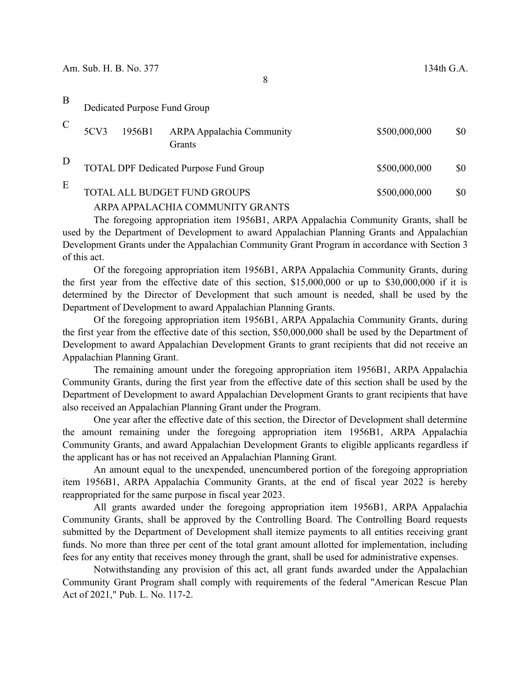| B | Dedicated Purpose Fund Group                         |        |                                            |               |     |  |  |  |
|---|------------------------------------------------------|--------|--------------------------------------------|---------------|-----|--|--|--|
|   | 5CV3                                                 | 1956B1 | <b>ARPA Appalachia Community</b><br>Grants | \$500,000,000 | \$0 |  |  |  |
| D | <b>TOTAL DPF Dedicated Purpose Fund Group</b>        |        |                                            | \$500,000,000 | \$0 |  |  |  |
| E | <b>TOTAL ALL BUDGET FUND GROUPS</b><br>\$500,000,000 |        |                                            |               |     |  |  |  |

# ARPA APPALACHIA COMMUNITY GRANTS

The foregoing appropriation item 1956B1, ARPA Appalachia Community Grants, shall be used by the Department of Development to award Appalachian Planning Grants and Appalachian Development Grants under the Appalachian Community Grant Program in accordance with Section 3 of this act.

Of the foregoing appropriation item 1956B1, ARPA Appalachia Community Grants, during the first year from the effective date of this section, \$15,000,000 or up to \$30,000,000 if it is determined by the Director of Development that such amount is needed, shall be used by the Department of Development to award Appalachian Planning Grants.

Of the foregoing appropriation item 1956B1, ARPA Appalachia Community Grants, during the first year from the effective date of this section, \$50,000,000 shall be used by the Department of Development to award Appalachian Development Grants to grant recipients that did not receive an Appalachian Planning Grant.

The remaining amount under the foregoing appropriation item 1956B1, ARPA Appalachia Community Grants, during the first year from the effective date of this section shall be used by the Department of Development to award Appalachian Development Grants to grant recipients that have also received an Appalachian Planning Grant under the Program.

One year after the effective date of this section, the Director of Development shall determine the amount remaining under the foregoing appropriation item 1956B1, ARPA Appalachia Community Grants, and award Appalachian Development Grants to eligible applicants regardless if the applicant has or has not received an Appalachian Planning Grant.

An amount equal to the unexpended, unencumbered portion of the foregoing appropriation item 1956B1, ARPA Appalachia Community Grants, at the end of fiscal year 2022 is hereby reappropriated for the same purpose in fiscal year 2023.

All grants awarded under the foregoing appropriation item 1956B1, ARPA Appalachia Community Grants, shall be approved by the Controlling Board. The Controlling Board requests submitted by the Department of Development shall itemize payments to all entities receiving grant funds. No more than three per cent of the total grant amount allotted for implementation, including fees for any entity that receives money through the grant, shall be used for administrative expenses.

Notwithstanding any provision of this act, all grant funds awarded under the Appalachian Community Grant Program shall comply with requirements of the federal "American Rescue Plan Act of 2021," Pub. L. No. 117-2.

8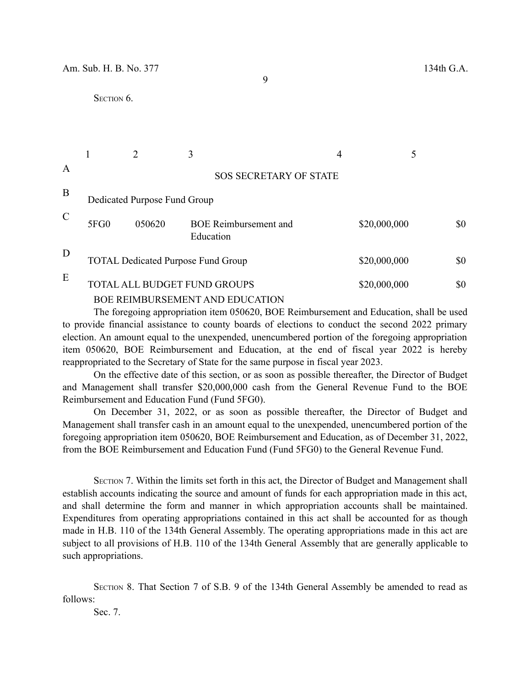9

## SECTION<sub>6</sub>.

|               |                                                                        |        | 3                                         |  |              |     |  |  |
|---------------|------------------------------------------------------------------------|--------|-------------------------------------------|--|--------------|-----|--|--|
| Α             |                                                                        |        | <b>SOS SECRETARY OF STATE</b>             |  |              |     |  |  |
| B             | Dedicated Purpose Fund Group                                           |        |                                           |  |              |     |  |  |
| $\mathcal{C}$ | 5FG0                                                                   | 050620 | <b>BOE Reimbursement and</b><br>Education |  | \$20,000,000 | \$0 |  |  |
| D             |                                                                        |        | <b>TOTAL Dedicated Purpose Fund Group</b> |  | \$20,000,000 | \$0 |  |  |
| E             | TOTAL ALL BUDGET FUND GROUPS<br><b>BOE REIMBURSEMENT AND EDUCATION</b> |        |                                           |  | \$20,000,000 | \$0 |  |  |

The foregoing appropriation item 050620, BOE Reimbursement and Education, shall be used to provide financial assistance to county boards of elections to conduct the second 2022 primary election. An amount equal to the unexpended, unencumbered portion of the foregoing appropriation item 050620, BOE Reimbursement and Education, at the end of fiscal year 2022 is hereby reappropriated to the Secretary of State for the same purpose in fiscal year 2023.

On the effective date of this section, or as soon as possible thereafter, the Director of Budget and Management shall transfer \$20,000,000 cash from the General Revenue Fund to the BOE Reimbursement and Education Fund (Fund 5FG0).

On December 31, 2022, or as soon as possible thereafter, the Director of Budget and Management shall transfer cash in an amount equal to the unexpended, unencumbered portion of the foregoing appropriation item 050620, BOE Reimbursement and Education, as of December 31, 2022, from the BOE Reimbursement and Education Fund (Fund 5FG0) to the General Revenue Fund.

SECTION 7. Within the limits set forth in this act, the Director of Budget and Management shall establish accounts indicating the source and amount of funds for each appropriation made in this act, and shall determine the form and manner in which appropriation accounts shall be maintained. Expenditures from operating appropriations contained in this act shall be accounted for as though made in H.B. 110 of the 134th General Assembly. The operating appropriations made in this act are subject to all provisions of H.B. 110 of the 134th General Assembly that are generally applicable to such appropriations.

SECTION 8. That Section 7 of S.B. 9 of the 134th General Assembly be amended to read as follows:

Sec. 7.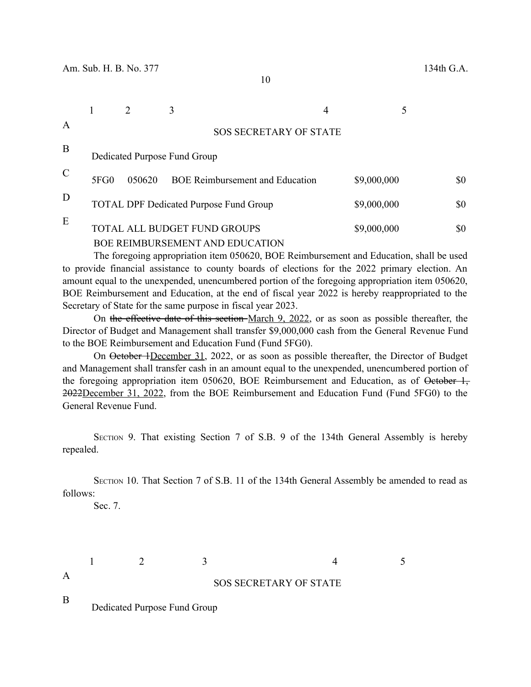10

|               |      |        | 3                                                                      | 4 |             |     |
|---------------|------|--------|------------------------------------------------------------------------|---|-------------|-----|
| A             |      |        | <b>SOS SECRETARY OF STATE</b>                                          |   |             |     |
| B             |      |        | Dedicated Purpose Fund Group                                           |   |             |     |
| $\mathcal{C}$ | 5FG0 | 050620 | <b>BOE Reimbursement and Education</b>                                 |   | \$9,000,000 | \$0 |
| D             |      |        | <b>TOTAL DPF Dedicated Purpose Fund Group</b>                          |   | \$9,000,000 | \$0 |
| E             |      |        | TOTAL ALL BUDGET FUND GROUPS<br><b>BOE REIMBURSEMENT AND EDUCATION</b> |   | \$9,000,000 | \$0 |

The foregoing appropriation item 050620, BOE Reimbursement and Education, shall be used to provide financial assistance to county boards of elections for the 2022 primary election. An amount equal to the unexpended, unencumbered portion of the foregoing appropriation item 050620, BOE Reimbursement and Education, at the end of fiscal year 2022 is hereby reappropriated to the Secretary of State for the same purpose in fiscal year 2023.

On the effective date of this section March 9, 2022, or as soon as possible thereafter, the Director of Budget and Management shall transfer \$9,000,000 cash from the General Revenue Fund to the BOE Reimbursement and Education Fund (Fund 5FG0).

On <del>October 1December 31,</del> 2022, or as soon as possible thereafter, the Director of Budget and Management shall transfer cash in an amount equal to the unexpended, unencumbered portion of the foregoing appropriation item 050620, BOE Reimbursement and Education, as of October 1, 2022December 31, 2022, from the BOE Reimbursement and Education Fund (Fund 5FG0) to the General Revenue Fund.

SECTION 9. That existing Section 7 of S.B. 9 of the 134th General Assembly is hereby repealed.

SECTION 10. That Section 7 of S.B. 11 of the 134th General Assembly be amended to read as follows:

Sec. 7.

A

 $1 \t 2 \t 3 \t 4 \t 5$ 

# SOS SECRETARY OF STATE

B

Dedicated Purpose Fund Group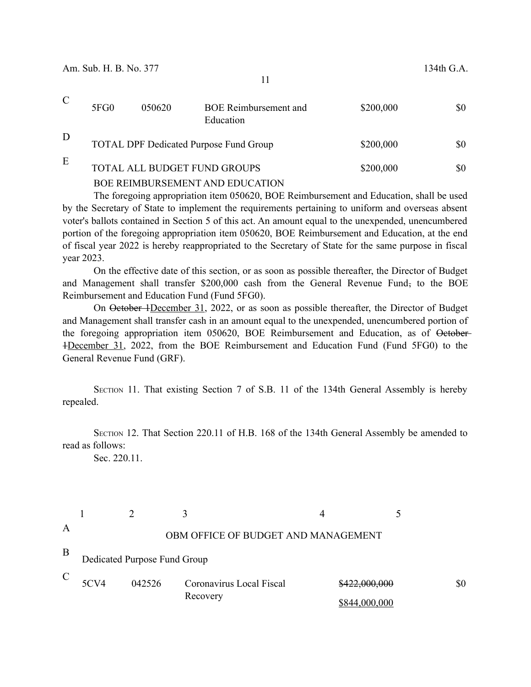|   | 5FG0 | 050620 | <b>BOE</b> Reimbursement and<br>Education     | \$200,000 | \$0 |
|---|------|--------|-----------------------------------------------|-----------|-----|
| D |      |        | <b>TOTAL DPF Dedicated Purpose Fund Group</b> | \$200,000 | \$0 |
| E |      |        | TOTAL ALL BUDGET FUND GROUPS                  | \$200,000 | \$0 |
|   |      |        | BOE REIMBURSEMENT AND EDUCATION               |           |     |

The foregoing appropriation item 050620, BOE Reimbursement and Education, shall be used by the Secretary of State to implement the requirements pertaining to uniform and overseas absent voter's ballots contained in Section 5 of this act. An amount equal to the unexpended, unencumbered portion of the foregoing appropriation item 050620, BOE Reimbursement and Education, at the end of fiscal year 2022 is hereby reappropriated to the Secretary of State for the same purpose in fiscal year 2023.

On the effective date of this section, or as soon as possible thereafter, the Director of Budget and Management shall transfer \$200,000 cash from the General Revenue Fund, to the BOE Reimbursement and Education Fund (Fund 5FG0).

On <del>October 1December 31, 2022</del>, or as soon as possible thereafter, the Director of Budget and Management shall transfer cash in an amount equal to the unexpended, unencumbered portion of the foregoing appropriation item 050620, BOE Reimbursement and Education, as of October-1December 31, 2022, from the BOE Reimbursement and Education Fund (Fund 5FG0) to the General Revenue Fund (GRF).

SECTION 11. That existing Section 7 of S.B. 11 of the 134th General Assembly is hereby repealed.

SECTION 12. That Section 220.11 of H.B. 168 of the 134th General Assembly be amended to read as follows:

Sec. 220.11.

| $\overline{A}$ |                              |        | OBM OFFICE OF BUDGET AND MANAGEMENT |               |     |  |
|----------------|------------------------------|--------|-------------------------------------|---------------|-----|--|
| B              | Dedicated Purpose Fund Group |        |                                     |               |     |  |
| $\mathcal{C}$  | 5CV4                         | 042526 | Coronavirus Local Fiscal            | \$422,000,000 | \$0 |  |
|                |                              |        | Recovery                            | \$844,000,000 |     |  |

11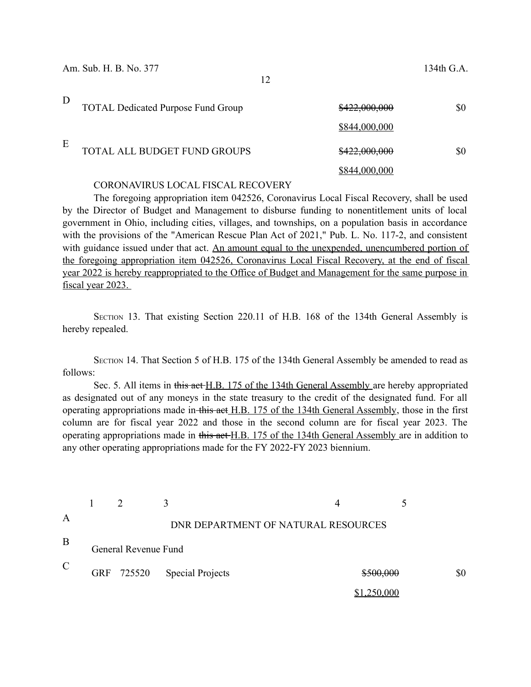| D | <b>TOTAL Dedicated Purpose Fund Group</b> | \$422,000,000 | \$0 |
|---|-------------------------------------------|---------------|-----|
|   |                                           | \$844,000,000 |     |
| E | TOTAL ALL BUDGET FUND GROUPS              | \$422,000,000 | \$0 |
|   |                                           | \$844,000,000 |     |

### CORONAVIRUS LOCAL FISCAL RECOVERY

The foregoing appropriation item 042526, Coronavirus Local Fiscal Recovery, shall be used by the Director of Budget and Management to disburse funding to nonentitlement units of local government in Ohio, including cities, villages, and townships, on a population basis in accordance with the provisions of the "American Rescue Plan Act of 2021," Pub. L. No. 117-2, and consistent with guidance issued under that act. An amount equal to the unexpended, unencumbered portion of the foregoing appropriation item 042526, Coronavirus Local Fiscal Recovery, at the end of fiscal year 2022 is hereby reappropriated to the Office of Budget and Management for the same purpose in fiscal year 2023.

SECTION 13. That existing Section 220.11 of H.B. 168 of the 134th General Assembly is hereby repealed.

SECTION 14. That Section 5 of H.B. 175 of the 134th General Assembly be amended to read as follows:

Sec. 5. All items in this act H.B. 175 of the 134th General Assembly are hereby appropriated as designated out of any moneys in the state treasury to the credit of the designated fund. For all operating appropriations made in this act H.B. 175 of the 134th General Assembly, those in the first column are for fiscal year 2022 and those in the second column are for fiscal year 2023. The operating appropriations made in this act H.B. 175 of the 134th General Assembly are in addition to any other operating appropriations made for the FY 2022-FY 2023 biennium.

| A             |                      |  | DNR DEPARTMENT OF NATURAL RESOURCES |                    |  |     |
|---------------|----------------------|--|-------------------------------------|--------------------|--|-----|
| B             | General Revenue Fund |  |                                     |                    |  |     |
| $\mathcal{C}$ |                      |  | GRF 725520 Special Projects         | \$500,000          |  | \$0 |
|               |                      |  |                                     | <u>\$1,250,000</u> |  |     |

12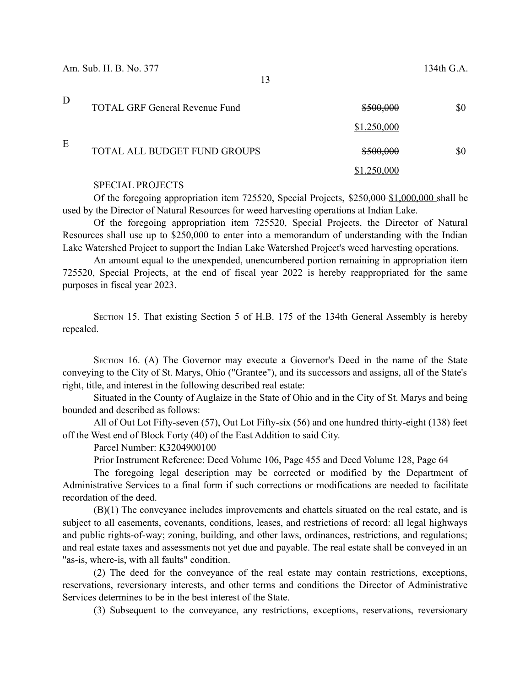| D | <b>TOTAL GRF General Revenue Fund</b> | \$500,000   | \$0 |
|---|---------------------------------------|-------------|-----|
|   |                                       | \$1,250,000 |     |
| E | TOTAL ALL BUDGET FUND GROUPS          | \$500,000   | \$0 |
|   |                                       | ,250,000    |     |

### SPECIAL PROJECTS

Of the foregoing appropriation item  $725520$ , Special Projects,  $\frac{2550,000 - 1,000,000}{2,000,000}$  shall be used by the Director of Natural Resources for weed harvesting operations at Indian Lake.

Of the foregoing appropriation item 725520, Special Projects, the Director of Natural Resources shall use up to \$250,000 to enter into a memorandum of understanding with the Indian Lake Watershed Project to support the Indian Lake Watershed Project's weed harvesting operations.

An amount equal to the unexpended, unencumbered portion remaining in appropriation item 725520, Special Projects, at the end of fiscal year 2022 is hereby reappropriated for the same purposes in fiscal year 2023.

SECTION 15. That existing Section 5 of H.B. 175 of the 134th General Assembly is hereby repealed.

SECTION 16. (A) The Governor may execute a Governor's Deed in the name of the State conveying to the City of St. Marys, Ohio ("Grantee"), and its successors and assigns, all of the State's right, title, and interest in the following described real estate:

Situated in the County of Auglaize in the State of Ohio and in the City of St. Marys and being bounded and described as follows:

All of Out Lot Fifty-seven (57), Out Lot Fifty-six (56) and one hundred thirty-eight (138) feet off the West end of Block Forty (40) of the East Addition to said City.

Parcel Number: K3204900100

Prior Instrument Reference: Deed Volume 106, Page 455 and Deed Volume 128, Page 64

The foregoing legal description may be corrected or modified by the Department of Administrative Services to a final form if such corrections or modifications are needed to facilitate recordation of the deed.

(B)(1) The conveyance includes improvements and chattels situated on the real estate, and is subject to all easements, covenants, conditions, leases, and restrictions of record: all legal highways and public rights-of-way; zoning, building, and other laws, ordinances, restrictions, and regulations; and real estate taxes and assessments not yet due and payable. The real estate shall be conveyed in an "as-is, where-is, with all faults" condition.

(2) The deed for the conveyance of the real estate may contain restrictions, exceptions, reservations, reversionary interests, and other terms and conditions the Director of Administrative Services determines to be in the best interest of the State.

(3) Subsequent to the conveyance, any restrictions, exceptions, reservations, reversionary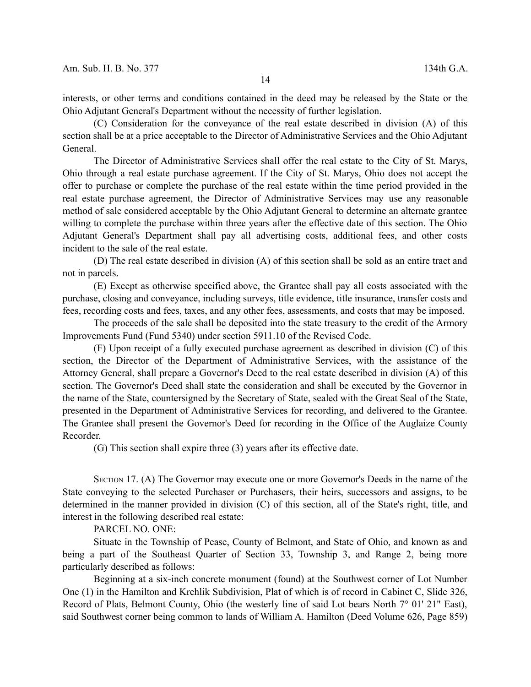interests, or other terms and conditions contained in the deed may be released by the State or the Ohio Adjutant General's Department without the necessity of further legislation.

(C) Consideration for the conveyance of the real estate described in division (A) of this section shall be at a price acceptable to the Director of Administrative Services and the Ohio Adjutant General.

The Director of Administrative Services shall offer the real estate to the City of St. Marys, Ohio through a real estate purchase agreement. If the City of St. Marys, Ohio does not accept the offer to purchase or complete the purchase of the real estate within the time period provided in the real estate purchase agreement, the Director of Administrative Services may use any reasonable method of sale considered acceptable by the Ohio Adjutant General to determine an alternate grantee willing to complete the purchase within three years after the effective date of this section. The Ohio Adjutant General's Department shall pay all advertising costs, additional fees, and other costs incident to the sale of the real estate.

(D) The real estate described in division (A) of this section shall be sold as an entire tract and not in parcels.

(E) Except as otherwise specified above, the Grantee shall pay all costs associated with the purchase, closing and conveyance, including surveys, title evidence, title insurance, transfer costs and fees, recording costs and fees, taxes, and any other fees, assessments, and costs that may be imposed.

The proceeds of the sale shall be deposited into the state treasury to the credit of the Armory Improvements Fund (Fund 5340) under section 5911.10 of the Revised Code.

(F) Upon receipt of a fully executed purchase agreement as described in division (C) of this section, the Director of the Department of Administrative Services, with the assistance of the Attorney General, shall prepare a Governor's Deed to the real estate described in division (A) of this section. The Governor's Deed shall state the consideration and shall be executed by the Governor in the name of the State, countersigned by the Secretary of State, sealed with the Great Seal of the State, presented in the Department of Administrative Services for recording, and delivered to the Grantee. The Grantee shall present the Governor's Deed for recording in the Office of the Auglaize County Recorder.

(G) This section shall expire three (3) years after its effective date.

SECTION 17. (A) The Governor may execute one or more Governor's Deeds in the name of the State conveying to the selected Purchaser or Purchasers, their heirs, successors and assigns, to be determined in the manner provided in division (C) of this section, all of the State's right, title, and interest in the following described real estate:

PARCEL NO. ONE:

Situate in the Township of Pease, County of Belmont, and State of Ohio, and known as and being a part of the Southeast Quarter of Section 33, Township 3, and Range 2, being more particularly described as follows:

Beginning at a six-inch concrete monument (found) at the Southwest corner of Lot Number One (1) in the Hamilton and Krehlik Subdivision, Plat of which is of record in Cabinet C, Slide 326, Record of Plats, Belmont County, Ohio (the westerly line of said Lot bears North 7° 01' 21" East), said Southwest corner being common to lands of William A. Hamilton (Deed Volume 626, Page 859)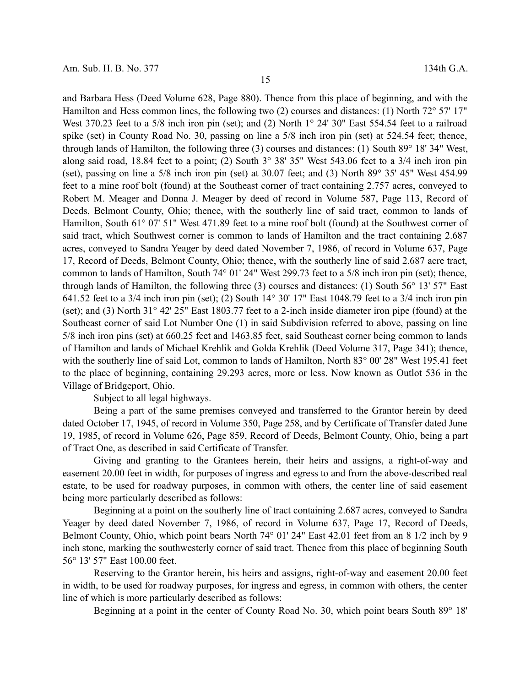and Barbara Hess (Deed Volume 628, Page 880). Thence from this place of beginning, and with the Hamilton and Hess common lines, the following two (2) courses and distances: (1) North 72° 57' 17" West 370.23 feet to a 5/8 inch iron pin (set); and (2) North 1° 24' 30" East 554.54 feet to a railroad spike (set) in County Road No. 30, passing on line a 5/8 inch iron pin (set) at 524.54 feet; thence, through lands of Hamilton, the following three (3) courses and distances: (1) South 89° 18' 34" West, along said road, 18.84 feet to a point; (2) South 3° 38' 35" West 543.06 feet to a 3/4 inch iron pin (set), passing on line a 5/8 inch iron pin (set) at 30.07 feet; and (3) North 89° 35' 45" West 454.99 feet to a mine roof bolt (found) at the Southeast corner of tract containing 2.757 acres, conveyed to Robert M. Meager and Donna J. Meager by deed of record in Volume 587, Page 113, Record of Deeds, Belmont County, Ohio; thence, with the southerly line of said tract, common to lands of Hamilton, South 61° 07' 51" West 471.89 feet to a mine roof bolt (found) at the Southwest corner of said tract, which Southwest corner is common to lands of Hamilton and the tract containing 2.687 acres, conveyed to Sandra Yeager by deed dated November 7, 1986, of record in Volume 637, Page 17, Record of Deeds, Belmont County, Ohio; thence, with the southerly line of said 2.687 acre tract, common to lands of Hamilton, South 74° 01' 24" West 299.73 feet to a 5/8 inch iron pin (set); thence, through lands of Hamilton, the following three (3) courses and distances: (1) South 56° 13' 57" East 641.52 feet to a 3/4 inch iron pin (set); (2) South 14° 30' 17" East 1048.79 feet to a 3/4 inch iron pin (set); and (3) North 31° 42' 25" East 1803.77 feet to a 2-inch inside diameter iron pipe (found) at the Southeast corner of said Lot Number One (1) in said Subdivision referred to above, passing on line 5/8 inch iron pins (set) at 660.25 feet and 1463.85 feet, said Southeast corner being common to lands of Hamilton and lands of Michael Krehlik and Golda Krehlik (Deed Volume 317, Page 341); thence, with the southerly line of said Lot, common to lands of Hamilton, North 83° 00' 28" West 195.41 feet to the place of beginning, containing 29.293 acres, more or less. Now known as Outlot 536 in the Village of Bridgeport, Ohio.

Subject to all legal highways.

Being a part of the same premises conveyed and transferred to the Grantor herein by deed dated October 17, 1945, of record in Volume 350, Page 258, and by Certificate of Transfer dated June 19, 1985, of record in Volume 626, Page 859, Record of Deeds, Belmont County, Ohio, being a part of Tract One, as described in said Certificate of Transfer.

Giving and granting to the Grantees herein, their heirs and assigns, a right-of-way and easement 20.00 feet in width, for purposes of ingress and egress to and from the above-described real estate, to be used for roadway purposes, in common with others, the center line of said easement being more particularly described as follows:

Beginning at a point on the southerly line of tract containing 2.687 acres, conveyed to Sandra Yeager by deed dated November 7, 1986, of record in Volume 637, Page 17, Record of Deeds, Belmont County, Ohio, which point bears North 74° 01' 24" East 42.01 feet from an 8 1/2 inch by 9 inch stone, marking the southwesterly corner of said tract. Thence from this place of beginning South 56° 13' 57" East 100.00 feet.

Reserving to the Grantor herein, his heirs and assigns, right-of-way and easement 20.00 feet in width, to be used for roadway purposes, for ingress and egress, in common with others, the center line of which is more particularly described as follows:

Beginning at a point in the center of County Road No. 30, which point bears South 89° 18'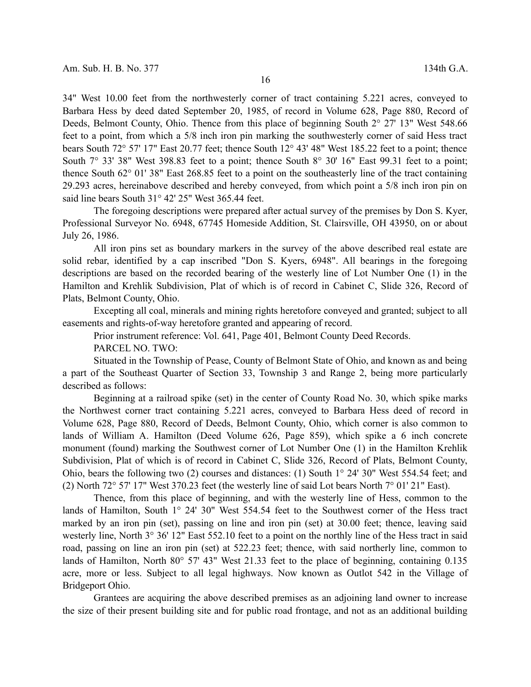34" West 10.00 feet from the northwesterly corner of tract containing 5.221 acres, conveyed to Barbara Hess by deed dated September 20, 1985, of record in Volume 628, Page 880, Record of Deeds, Belmont County, Ohio. Thence from this place of beginning South 2° 27' 13" West 548.66 feet to a point, from which a 5/8 inch iron pin marking the southwesterly corner of said Hess tract bears South 72° 57' 17" East 20.77 feet; thence South 12° 43' 48" West 185.22 feet to a point; thence South  $7^{\circ}$  33' 38" West 398.83 feet to a point; thence South  $8^{\circ}$  30' 16" East 99.31 feet to a point; thence South 62° 01' 38" East 268.85 feet to a point on the southeasterly line of the tract containing 29.293 acres, hereinabove described and hereby conveyed, from which point a 5/8 inch iron pin on said line bears South 31° 42' 25" West 365.44 feet.

The foregoing descriptions were prepared after actual survey of the premises by Don S. Kyer, Professional Surveyor No. 6948, 67745 Homeside Addition, St. Clairsville, OH 43950, on or about July 26, 1986.

All iron pins set as boundary markers in the survey of the above described real estate are solid rebar, identified by a cap inscribed "Don S. Kyers, 6948". All bearings in the foregoing descriptions are based on the recorded bearing of the westerly line of Lot Number One (1) in the Hamilton and Krehlik Subdivision, Plat of which is of record in Cabinet C, Slide 326, Record of Plats, Belmont County, Ohio.

Excepting all coal, minerals and mining rights heretofore conveyed and granted; subject to all easements and rights-of-way heretofore granted and appearing of record.

Prior instrument reference: Vol. 641, Page 401, Belmont County Deed Records.

PARCEL NO. TWO:

Situated in the Township of Pease, County of Belmont State of Ohio, and known as and being a part of the Southeast Quarter of Section 33, Township 3 and Range 2, being more particularly described as follows:

Beginning at a railroad spike (set) in the center of County Road No. 30, which spike marks the Northwest corner tract containing 5.221 acres, conveyed to Barbara Hess deed of record in Volume 628, Page 880, Record of Deeds, Belmont County, Ohio, which corner is also common to lands of William A. Hamilton (Deed Volume 626, Page 859), which spike a 6 inch concrete monument (found) marking the Southwest corner of Lot Number One (1) in the Hamilton Krehlik Subdivision, Plat of which is of record in Cabinet C, Slide 326, Record of Plats, Belmont County, Ohio, bears the following two (2) courses and distances: (1) South 1° 24' 30" West 554.54 feet; and (2) North 72° 57' 17" West 370.23 feet (the westerly line of said Lot bears North 7° 01' 21" East).

Thence, from this place of beginning, and with the westerly line of Hess, common to the lands of Hamilton, South 1° 24' 30" West 554.54 feet to the Southwest corner of the Hess tract marked by an iron pin (set), passing on line and iron pin (set) at 30.00 feet; thence, leaving said westerly line, North 3° 36' 12" East 552.10 feet to a point on the northly line of the Hess tract in said road, passing on line an iron pin (set) at 522.23 feet; thence, with said northerly line, common to lands of Hamilton, North 80° 57' 43" West 21.33 feet to the place of beginning, containing 0.135 acre, more or less. Subject to all legal highways. Now known as Outlot 542 in the Village of Bridgeport Ohio.

Grantees are acquiring the above described premises as an adjoining land owner to increase the size of their present building site and for public road frontage, and not as an additional building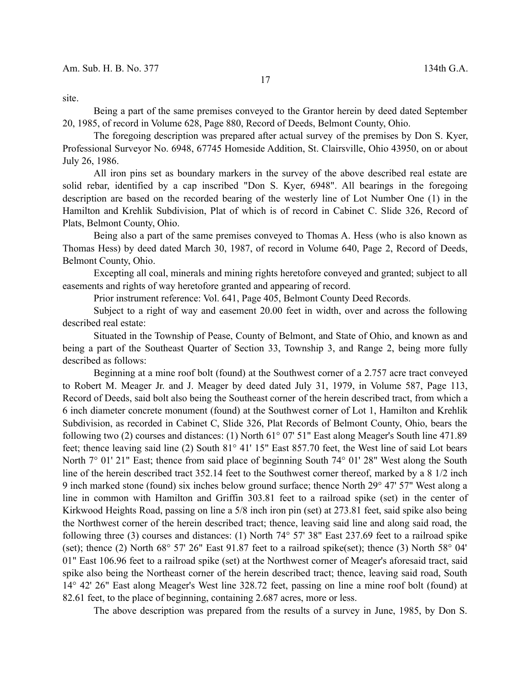site.

Being a part of the same premises conveyed to the Grantor herein by deed dated September 20, 1985, of record in Volume 628, Page 880, Record of Deeds, Belmont County, Ohio.

The foregoing description was prepared after actual survey of the premises by Don S. Kyer, Professional Surveyor No. 6948, 67745 Homeside Addition, St. Clairsville, Ohio 43950, on or about July 26, 1986.

All iron pins set as boundary markers in the survey of the above described real estate are solid rebar, identified by a cap inscribed "Don S. Kyer, 6948". All bearings in the foregoing description are based on the recorded bearing of the westerly line of Lot Number One (1) in the Hamilton and Krehlik Subdivision, Plat of which is of record in Cabinet C. Slide 326, Record of Plats, Belmont County, Ohio.

Being also a part of the same premises conveyed to Thomas A. Hess (who is also known as Thomas Hess) by deed dated March 30, 1987, of record in Volume 640, Page 2, Record of Deeds, Belmont County, Ohio.

Excepting all coal, minerals and mining rights heretofore conveyed and granted; subject to all easements and rights of way heretofore granted and appearing of record.

Prior instrument reference: Vol. 641, Page 405, Belmont County Deed Records.

Subject to a right of way and easement 20.00 feet in width, over and across the following described real estate:

Situated in the Township of Pease, County of Belmont, and State of Ohio, and known as and being a part of the Southeast Quarter of Section 33, Township 3, and Range 2, being more fully described as follows:

Beginning at a mine roof bolt (found) at the Southwest corner of a 2.757 acre tract conveyed to Robert M. Meager Jr. and J. Meager by deed dated July 31, 1979, in Volume 587, Page 113, Record of Deeds, said bolt also being the Southeast corner of the herein described tract, from which a 6 inch diameter concrete monument (found) at the Southwest corner of Lot 1, Hamilton and Krehlik Subdivision, as recorded in Cabinet C, Slide 326, Plat Records of Belmont County, Ohio, bears the following two (2) courses and distances: (1) North 61° 07' 51" East along Meager's South line 471.89 feet; thence leaving said line (2) South 81° 41' 15" East 857.70 feet, the West line of said Lot bears North 7° 01' 21" East; thence from said place of beginning South 74° 01' 28" West along the South line of the herein described tract 352.14 feet to the Southwest corner thereof, marked by a 8 1/2 inch 9 inch marked stone (found) six inches below ground surface; thence North 29° 47' 57" West along a line in common with Hamilton and Griffin 303.81 feet to a railroad spike (set) in the center of Kirkwood Heights Road, passing on line a 5/8 inch iron pin (set) at 273.81 feet, said spike also being the Northwest corner of the herein described tract; thence, leaving said line and along said road, the following three (3) courses and distances: (1) North 74° 57' 38" East 237.69 feet to a railroad spike (set); thence (2) North 68° 57' 26" East 91.87 feet to a railroad spike(set); thence (3) North 58° 04' 01" East 106.96 feet to a railroad spike (set) at the Northwest corner of Meager's aforesaid tract, said spike also being the Northeast corner of the herein described tract; thence, leaving said road, South 14° 42' 26" East along Meager's West line 328.72 feet, passing on line a mine roof bolt (found) at 82.61 feet, to the place of beginning, containing 2.687 acres, more or less.

The above description was prepared from the results of a survey in June, 1985, by Don S.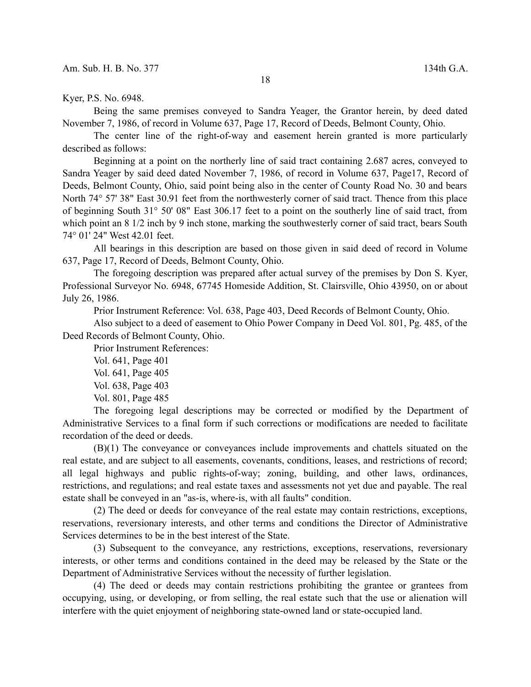Kyer, P.S. No. 6948.

Being the same premises conveyed to Sandra Yeager, the Grantor herein, by deed dated November 7, 1986, of record in Volume 637, Page 17, Record of Deeds, Belmont County, Ohio.

The center line of the right-of-way and easement herein granted is more particularly described as follows:

Beginning at a point on the northerly line of said tract containing 2.687 acres, conveyed to Sandra Yeager by said deed dated November 7, 1986, of record in Volume 637, Page17, Record of Deeds, Belmont County, Ohio, said point being also in the center of County Road No. 30 and bears North 74° 57' 38" East 30.91 feet from the northwesterly corner of said tract. Thence from this place of beginning South 31° 50' 08" East 306.17 feet to a point on the southerly line of said tract, from which point an 8 1/2 inch by 9 inch stone, marking the southwesterly corner of said tract, bears South 74° 01' 24" West 42.01 feet.

All bearings in this description are based on those given in said deed of record in Volume 637, Page 17, Record of Deeds, Belmont County, Ohio.

The foregoing description was prepared after actual survey of the premises by Don S. Kyer, Professional Surveyor No. 6948, 67745 Homeside Addition, St. Clairsville, Ohio 43950, on or about July 26, 1986.

Prior Instrument Reference: Vol. 638, Page 403, Deed Records of Belmont County, Ohio.

Also subject to a deed of easement to Ohio Power Company in Deed Vol. 801, Pg. 485, of the Deed Records of Belmont County, Ohio.

Prior Instrument References:

Vol. 641, Page 401

Vol. 641, Page 405

- Vol. 638, Page 403
- Vol. 801, Page 485

The foregoing legal descriptions may be corrected or modified by the Department of Administrative Services to a final form if such corrections or modifications are needed to facilitate recordation of the deed or deeds.

(B)(1) The conveyance or conveyances include improvements and chattels situated on the real estate, and are subject to all easements, covenants, conditions, leases, and restrictions of record; all legal highways and public rights-of-way; zoning, building, and other laws, ordinances, restrictions, and regulations; and real estate taxes and assessments not yet due and payable. The real estate shall be conveyed in an "as-is, where-is, with all faults" condition.

(2) The deed or deeds for conveyance of the real estate may contain restrictions, exceptions, reservations, reversionary interests, and other terms and conditions the Director of Administrative Services determines to be in the best interest of the State.

(3) Subsequent to the conveyance, any restrictions, exceptions, reservations, reversionary interests, or other terms and conditions contained in the deed may be released by the State or the Department of Administrative Services without the necessity of further legislation.

(4) The deed or deeds may contain restrictions prohibiting the grantee or grantees from occupying, using, or developing, or from selling, the real estate such that the use or alienation will interfere with the quiet enjoyment of neighboring state-owned land or state-occupied land.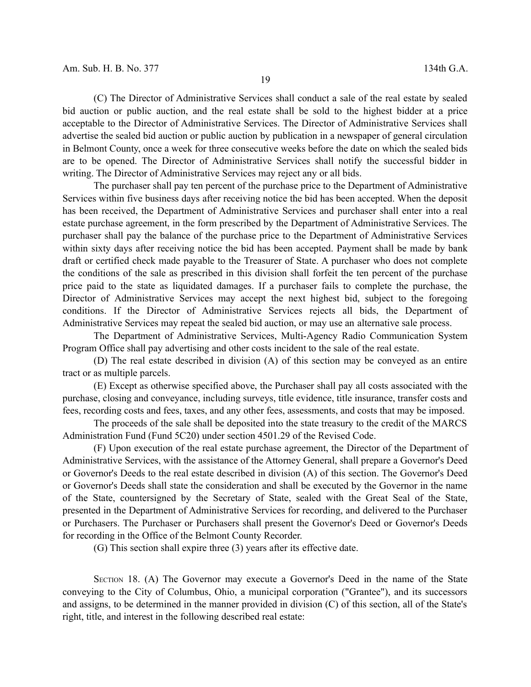(C) The Director of Administrative Services shall conduct a sale of the real estate by sealed bid auction or public auction, and the real estate shall be sold to the highest bidder at a price acceptable to the Director of Administrative Services. The Director of Administrative Services shall advertise the sealed bid auction or public auction by publication in a newspaper of general circulation in Belmont County, once a week for three consecutive weeks before the date on which the sealed bids are to be opened. The Director of Administrative Services shall notify the successful bidder in writing. The Director of Administrative Services may reject any or all bids.

The purchaser shall pay ten percent of the purchase price to the Department of Administrative Services within five business days after receiving notice the bid has been accepted. When the deposit has been received, the Department of Administrative Services and purchaser shall enter into a real estate purchase agreement, in the form prescribed by the Department of Administrative Services. The purchaser shall pay the balance of the purchase price to the Department of Administrative Services within sixty days after receiving notice the bid has been accepted. Payment shall be made by bank draft or certified check made payable to the Treasurer of State. A purchaser who does not complete the conditions of the sale as prescribed in this division shall forfeit the ten percent of the purchase price paid to the state as liquidated damages. If a purchaser fails to complete the purchase, the Director of Administrative Services may accept the next highest bid, subject to the foregoing conditions. If the Director of Administrative Services rejects all bids, the Department of Administrative Services may repeat the sealed bid auction, or may use an alternative sale process.

The Department of Administrative Services, Multi-Agency Radio Communication System Program Office shall pay advertising and other costs incident to the sale of the real estate.

(D) The real estate described in division (A) of this section may be conveyed as an entire tract or as multiple parcels.

(E) Except as otherwise specified above, the Purchaser shall pay all costs associated with the purchase, closing and conveyance, including surveys, title evidence, title insurance, transfer costs and fees, recording costs and fees, taxes, and any other fees, assessments, and costs that may be imposed.

The proceeds of the sale shall be deposited into the state treasury to the credit of the MARCS Administration Fund (Fund 5C20) under section 4501.29 of the Revised Code.

(F) Upon execution of the real estate purchase agreement, the Director of the Department of Administrative Services, with the assistance of the Attorney General, shall prepare a Governor's Deed or Governor's Deeds to the real estate described in division (A) of this section. The Governor's Deed or Governor's Deeds shall state the consideration and shall be executed by the Governor in the name of the State, countersigned by the Secretary of State, sealed with the Great Seal of the State, presented in the Department of Administrative Services for recording, and delivered to the Purchaser or Purchasers. The Purchaser or Purchasers shall present the Governor's Deed or Governor's Deeds for recording in the Office of the Belmont County Recorder.

(G) This section shall expire three (3) years after its effective date.

SECTION 18. (A) The Governor may execute a Governor's Deed in the name of the State conveying to the City of Columbus, Ohio, a municipal corporation ("Grantee"), and its successors and assigns, to be determined in the manner provided in division (C) of this section, all of the State's right, title, and interest in the following described real estate: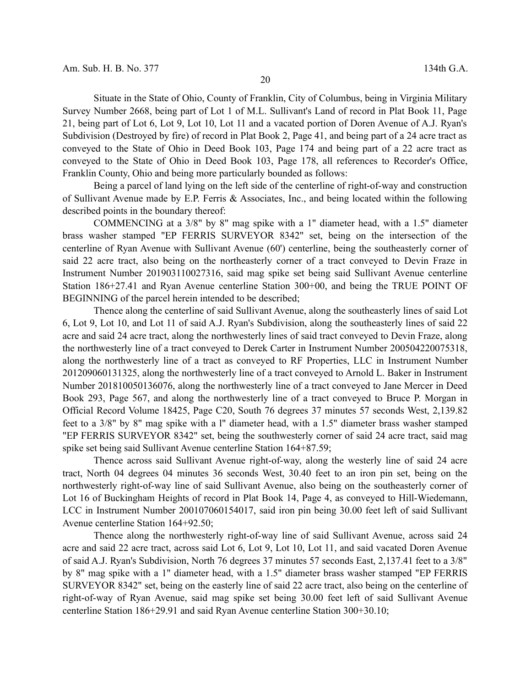Situate in the State of Ohio, County of Franklin, City of Columbus, being in Virginia Military Survey Number 2668, being part of Lot 1 of M.L. Sullivant's Land of record in Plat Book 11, Page 21, being part of Lot 6, Lot 9, Lot 10, Lot 11 and a vacated portion of Doren Avenue of A.J. Ryan's Subdivision (Destroyed by fire) of record in Plat Book 2, Page 41, and being part of a 24 acre tract as conveyed to the State of Ohio in Deed Book 103, Page 174 and being part of a 22 acre tract as conveyed to the State of Ohio in Deed Book 103, Page 178, all references to Recorder's Office, Franklin County, Ohio and being more particularly bounded as follows:

Being a parcel of land lying on the left side of the centerline of right-of-way and construction of Sullivant Avenue made by E.P. Ferris & Associates, Inc., and being located within the following described points in the boundary thereof:

COMMENCING at a 3/8" by 8" mag spike with a 1" diameter head, with a 1.5" diameter brass washer stamped "EP FERRIS SURVEYOR 8342" set, being on the intersection of the centerline of Ryan Avenue with Sullivant Avenue (60') centerline, being the southeasterly corner of said 22 acre tract, also being on the northeasterly corner of a tract conveyed to Devin Fraze in Instrument Number 201903110027316, said mag spike set being said Sullivant Avenue centerline Station 186+27.41 and Ryan Avenue centerline Station 300+00, and being the TRUE POINT OF BEGINNING of the parcel herein intended to be described;

Thence along the centerline of said Sullivant Avenue, along the southeasterly lines of said Lot 6, Lot 9, Lot 10, and Lot 11 of said A.J. Ryan's Subdivision, along the southeasterly lines of said 22 acre and said 24 acre tract, along the northwesterly lines of said tract conveyed to Devin Fraze, along the northwesterly line of a tract conveyed to Derek Carter in Instrument Number 200504220075318, along the northwesterly line of a tract as conveyed to RF Properties, LLC in Instrument Number 201209060131325, along the northwesterly line of a tract conveyed to Arnold L. Baker in Instrument Number 201810050136076, along the northwesterly line of a tract conveyed to Jane Mercer in Deed Book 293, Page 567, and along the northwesterly line of a tract conveyed to Bruce P. Morgan in Official Record Volume 18425, Page C20, South 76 degrees 37 minutes 57 seconds West, 2,139.82 feet to a 3/8" by 8" mag spike with a l" diameter head, with a 1.5" diameter brass washer stamped "EP FERRIS SURVEYOR 8342" set, being the southwesterly corner of said 24 acre tract, said mag spike set being said Sullivant Avenue centerline Station 164+87.59;

Thence across said Sullivant Avenue right-of-way, along the westerly line of said 24 acre tract, North 04 degrees 04 minutes 36 seconds West, 30.40 feet to an iron pin set, being on the northwesterly right-of-way line of said Sullivant Avenue, also being on the southeasterly corner of Lot 16 of Buckingham Heights of record in Plat Book 14, Page 4, as conveyed to Hill-Wiedemann, LCC in Instrument Number 200107060154017, said iron pin being 30.00 feet left of said Sullivant Avenue centerline Station 164+92.50;

Thence along the northwesterly right-of-way line of said Sullivant Avenue, across said 24 acre and said 22 acre tract, across said Lot 6, Lot 9, Lot 10, Lot 11, and said vacated Doren Avenue of said A.J. Ryan's Subdivision, North 76 degrees 37 minutes 57 seconds East, 2,137.41 feet to a 3/8" by 8" mag spike with a 1" diameter head, with a 1.5" diameter brass washer stamped "EP FERRIS SURVEYOR 8342" set, being on the easterly line of said 22 acre tract, also being on the centerline of right-of-way of Ryan Avenue, said mag spike set being 30.00 feet left of said Sullivant Avenue centerline Station 186+29.91 and said Ryan Avenue centerline Station 300+30.10;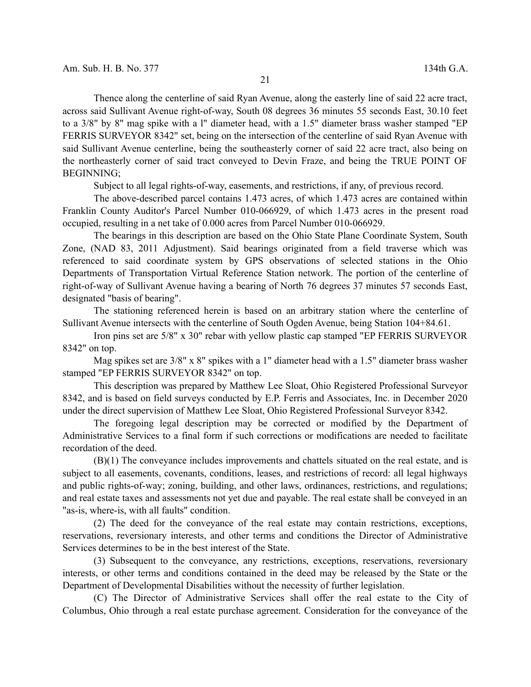Thence along the centerline of said Ryan Avenue, along the easterly line of said 22 acre tract, across said Sullivant Avenue right-of-way, South 08 degrees 36 minutes 55 seconds East, 30.10 feet to a 3/8" by 8" mag spike with a l" diameter head, with a 1.5" diameter brass washer stamped "EP FERRIS SURVEYOR 8342" set, being on the intersection of the centerline of said Ryan Avenue with said Sullivant Avenue centerline, being the southeasterly corner of said 22 acre tract, also being on the northeasterly corner of said tract conveyed to Devin Fraze, and being the TRUE POINT OF BEGINNING;

Subject to all legal rights-of-way, easements, and restrictions, if any, of previous record.

The above-described parcel contains 1.473 acres, of which 1.473 acres are contained within Franklin County Auditor's Parcel Number 010-066929, of which 1.473 acres in the present road occupied, resulting in a net take of 0.000 acres from Parcel Number 010-066929.

The bearings in this description are based on the Ohio State Plane Coordinate System, South Zone, (NAD 83, 2011 Adjustment). Said bearings originated from a field traverse which was referenced to said coordinate system by GPS observations of selected stations in the Ohio Departments of Transportation Virtual Reference Station network. The portion of the centerline of right-of-way of Sullivant Avenue having a bearing of North 76 degrees 37 minutes 57 seconds East, designated "basis of bearing".

The stationing referenced herein is based on an arbitrary station where the centerline of Sullivant Avenue intersects with the centerline of South Ogden Avenue, being Station 104+84.61.

Iron pins set are 5/8" x 30" rebar with yellow plastic cap stamped "EP FERRIS SURVEYOR 8342" on top.

Mag spikes set are 3/8" x 8" spikes with a 1" diameter head with a 1.5" diameter brass washer stamped "EP FERRIS SURVEYOR 8342" on top.

This description was prepared by Matthew Lee Sloat, Ohio Registered Professional Surveyor 8342, and is based on field surveys conducted by E.P. Ferris and Associates, Inc. in December 2020 under the direct supervision of Matthew Lee Sloat, Ohio Registered Professional Surveyor 8342.

The foregoing legal description may be corrected or modified by the Department of Administrative Services to a final form if such corrections or modifications are needed to facilitate recordation of the deed.

(B)(1) The conveyance includes improvements and chattels situated on the real estate, and is subject to all easements, covenants, conditions, leases, and restrictions of record: all legal highways and public rights-of-way; zoning, building, and other laws, ordinances, restrictions, and regulations; and real estate taxes and assessments not yet due and payable. The real estate shall be conveyed in an "as-is, where-is, with all faults" condition.

(2) The deed for the conveyance of the real estate may contain restrictions, exceptions, reservations, reversionary interests, and other terms and conditions the Director of Administrative Services determines to be in the best interest of the State.

(3) Subsequent to the conveyance, any restrictions, exceptions, reservations, reversionary interests, or other terms and conditions contained in the deed may be released by the State or the Department of Developmental Disabilities without the necessity of further legislation.

(C) The Director of Administrative Services shall offer the real estate to the City of Columbus, Ohio through a real estate purchase agreement. Consideration for the conveyance of the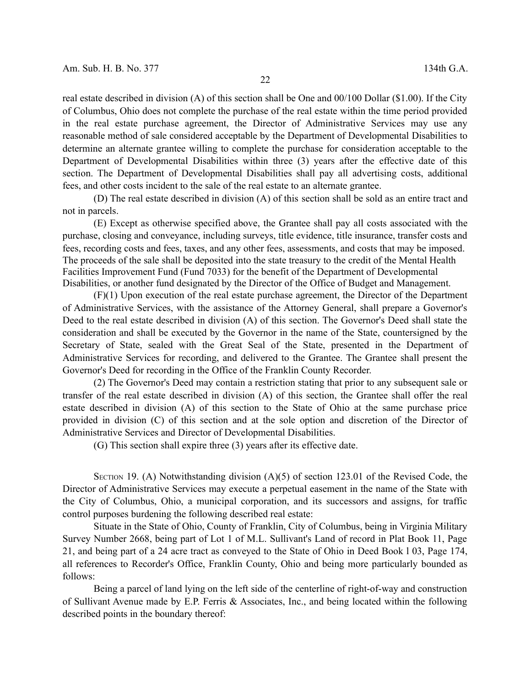real estate described in division (A) of this section shall be One and 00/100 Dollar (\$1.00). If the City of Columbus, Ohio does not complete the purchase of the real estate within the time period provided in the real estate purchase agreement, the Director of Administrative Services may use any reasonable method of sale considered acceptable by the Department of Developmental Disabilities to determine an alternate grantee willing to complete the purchase for consideration acceptable to the Department of Developmental Disabilities within three (3) years after the effective date of this section. The Department of Developmental Disabilities shall pay all advertising costs, additional fees, and other costs incident to the sale of the real estate to an alternate grantee.

(D) The real estate described in division (A) of this section shall be sold as an entire tract and not in parcels.

(E) Except as otherwise specified above, the Grantee shall pay all costs associated with the purchase, closing and conveyance, including surveys, title evidence, title insurance, transfer costs and fees, recording costs and fees, taxes, and any other fees, assessments, and costs that may be imposed. The proceeds of the sale shall be deposited into the state treasury to the credit of the Mental Health Facilities Improvement Fund (Fund 7033) for the benefit of the Department of Developmental Disabilities, or another fund designated by the Director of the Office of Budget and Management.

(F)(1) Upon execution of the real estate purchase agreement, the Director of the Department of Administrative Services, with the assistance of the Attorney General, shall prepare a Governor's Deed to the real estate described in division (A) of this section. The Governor's Deed shall state the consideration and shall be executed by the Governor in the name of the State, countersigned by the Secretary of State, sealed with the Great Seal of the State, presented in the Department of Administrative Services for recording, and delivered to the Grantee. The Grantee shall present the Governor's Deed for recording in the Office of the Franklin County Recorder.

(2) The Governor's Deed may contain a restriction stating that prior to any subsequent sale or transfer of the real estate described in division (A) of this section, the Grantee shall offer the real estate described in division (A) of this section to the State of Ohio at the same purchase price provided in division (C) of this section and at the sole option and discretion of the Director of Administrative Services and Director of Developmental Disabilities.

(G) This section shall expire three (3) years after its effective date.

SECTION 19. (A) Notwithstanding division  $(A)(5)$  of section 123.01 of the Revised Code, the Director of Administrative Services may execute a perpetual easement in the name of the State with the City of Columbus, Ohio, a municipal corporation, and its successors and assigns, for traffic control purposes burdening the following described real estate:

Situate in the State of Ohio, County of Franklin, City of Columbus, being in Virginia Military Survey Number 2668, being part of Lot 1 of M.L. Sullivant's Land of record in Plat Book 11, Page 21, and being part of a 24 acre tract as conveyed to the State of Ohio in Deed Book l 03, Page 174, all references to Recorder's Office, Franklin County, Ohio and being more particularly bounded as follows:

Being a parcel of land lying on the left side of the centerline of right-of-way and construction of Sullivant Avenue made by E.P. Ferris & Associates, Inc., and being located within the following described points in the boundary thereof: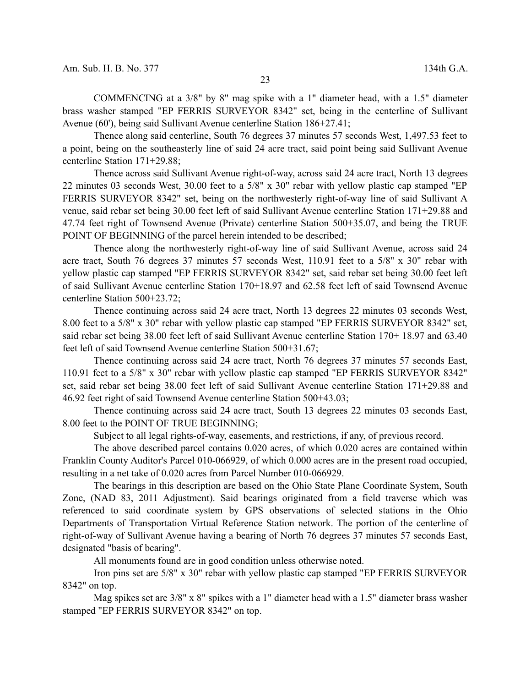COMMENCING at a 3/8" by 8" mag spike with a 1" diameter head, with a 1.5" diameter brass washer stamped "EP FERRIS SURVEYOR 8342" set, being in the centerline of Sullivant Avenue (60'), being said Sullivant Avenue centerline Station 186+27.41;

Thence along said centerline, South 76 degrees 37 minutes 57 seconds West, 1,497.53 feet to a point, being on the southeasterly line of said 24 acre tract, said point being said Sullivant Avenue centerline Station 171+29.88;

Thence across said Sullivant Avenue right-of-way, across said 24 acre tract, North 13 degrees 22 minutes 03 seconds West, 30.00 feet to a 5/8" x 30" rebar with yellow plastic cap stamped "EP FERRIS SURVEYOR 8342" set, being on the northwesterly right-of-way line of said Sullivant A venue, said rebar set being 30.00 feet left of said Sullivant Avenue centerline Station 171+29.88 and 47.74 feet right of Townsend Avenue (Private) centerline Station 500+35.07, and being the TRUE POINT OF BEGINNING of the parcel herein intended to be described;

Thence along the northwesterly right-of-way line of said Sullivant Avenue, across said 24 acre tract, South 76 degrees 37 minutes 57 seconds West, 110.91 feet to a 5/8'' x 30" rebar with yellow plastic cap stamped "EP FERRIS SURVEYOR 8342" set, said rebar set being 30.00 feet left of said Sullivant Avenue centerline Station 170+18.97 and 62.58 feet left of said Townsend Avenue centerline Station 500+23.72;

Thence continuing across said 24 acre tract, North 13 degrees 22 minutes 03 seconds West, 8.00 feet to a 5/8" x 30" rebar with yellow plastic cap stamped "EP FERRIS SURVEYOR 8342" set, said rebar set being 38.00 feet left of said Sullivant Avenue centerline Station 170+ 18.97 and 63.40 feet left of said Townsend Avenue centerline Station 500+31.67;

Thence continuing across said 24 acre tract, North 76 degrees 37 minutes 57 seconds East, 110.91 feet to a 5/8" x 30" rebar with yellow plastic cap stamped "EP FERRIS SURVEYOR 8342" set, said rebar set being 38.00 feet left of said Sullivant Avenue centerline Station 171+29.88 and 46.92 feet right of said Townsend Avenue centerline Station 500+43.03;

Thence continuing across said 24 acre tract, South 13 degrees 22 minutes 03 seconds East, 8.00 feet to the POINT OF TRUE BEGINNING;

Subject to all legal rights-of-way, easements, and restrictions, if any, of previous record.

The above described parcel contains 0.020 acres, of which 0.020 acres are contained within Franklin County Auditor's Parcel 010-066929, of which 0.000 acres are in the present road occupied, resulting in a net take of 0.020 acres from Parcel Number 010-066929.

The bearings in this description are based on the Ohio State Plane Coordinate System, South Zone, (NAD 83, 2011 Adjustment). Said bearings originated from a field traverse which was referenced to said coordinate system by GPS observations of selected stations in the Ohio Departments of Transportation Virtual Reference Station network. The portion of the centerline of right-of-way of Sullivant Avenue having a bearing of North 76 degrees 37 minutes 57 seconds East, designated "basis of bearing".

All monuments found are in good condition unless otherwise noted.

Iron pins set are 5/8" x 30" rebar with yellow plastic cap stamped "EP FERRIS SURVEYOR 8342" on top.

Mag spikes set are  $3/8$ " x 8" spikes with a 1" diameter head with a 1.5" diameter brass washer stamped "EP FERRIS SURVEYOR 8342" on top.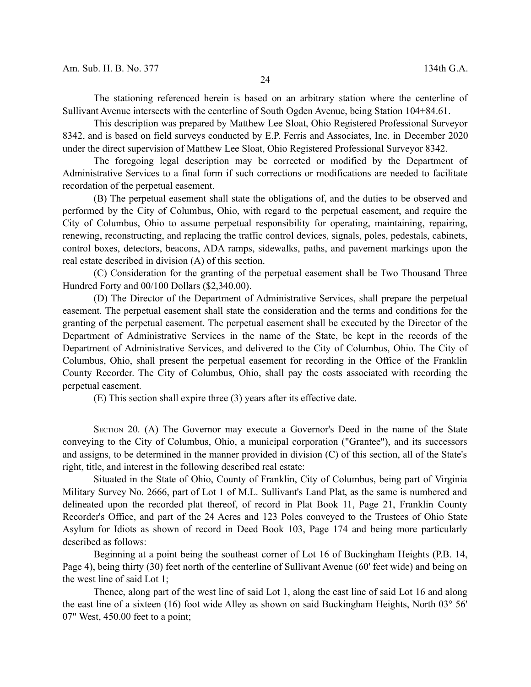The stationing referenced herein is based on an arbitrary station where the centerline of Sullivant Avenue intersects with the centerline of South Ogden Avenue, being Station 104+84.61.

This description was prepared by Matthew Lee Sloat, Ohio Registered Professional Surveyor 8342, and is based on field surveys conducted by E.P. Ferris and Associates, Inc. in December 2020 under the direct supervision of Matthew Lee Sloat, Ohio Registered Professional Surveyor 8342.

The foregoing legal description may be corrected or modified by the Department of Administrative Services to a final form if such corrections or modifications are needed to facilitate recordation of the perpetual easement.

(B) The perpetual easement shall state the obligations of, and the duties to be observed and performed by the City of Columbus, Ohio, with regard to the perpetual easement, and require the City of Columbus, Ohio to assume perpetual responsibility for operating, maintaining, repairing, renewing, reconstructing, and replacing the traffic control devices, signals, poles, pedestals, cabinets, control boxes, detectors, beacons, ADA ramps, sidewalks, paths, and pavement markings upon the real estate described in division (A) of this section.

(C) Consideration for the granting of the perpetual easement shall be Two Thousand Three Hundred Forty and 00/100 Dollars (\$2,340.00).

(D) The Director of the Department of Administrative Services, shall prepare the perpetual easement. The perpetual easement shall state the consideration and the terms and conditions for the granting of the perpetual easement. The perpetual easement shall be executed by the Director of the Department of Administrative Services in the name of the State, be kept in the records of the Department of Administrative Services, and delivered to the City of Columbus, Ohio. The City of Columbus, Ohio, shall present the perpetual easement for recording in the Office of the Franklin County Recorder. The City of Columbus, Ohio, shall pay the costs associated with recording the perpetual easement.

(E) This section shall expire three (3) years after its effective date.

SECTION 20. (A) The Governor may execute a Governor's Deed in the name of the State conveying to the City of Columbus, Ohio, a municipal corporation ("Grantee"), and its successors and assigns, to be determined in the manner provided in division (C) of this section, all of the State's right, title, and interest in the following described real estate:

Situated in the State of Ohio, County of Franklin, City of Columbus, being part of Virginia Military Survey No. 2666, part of Lot 1 of M.L. Sullivant's Land Plat, as the same is numbered and delineated upon the recorded plat thereof, of record in Plat Book 11, Page 21, Franklin County Recorder's Office, and part of the 24 Acres and 123 Poles conveyed to the Trustees of Ohio State Asylum for Idiots as shown of record in Deed Book 103, Page 174 and being more particularly described as follows:

Beginning at a point being the southeast corner of Lot 16 of Buckingham Heights (P.B. 14, Page 4), being thirty (30) feet north of the centerline of Sullivant Avenue (60' feet wide) and being on the west line of said Lot 1;

Thence, along part of the west line of said Lot 1, along the east line of said Lot 16 and along the east line of a sixteen (16) foot wide Alley as shown on said Buckingham Heights, North 03° 56' 07" West, 450.00 feet to a point;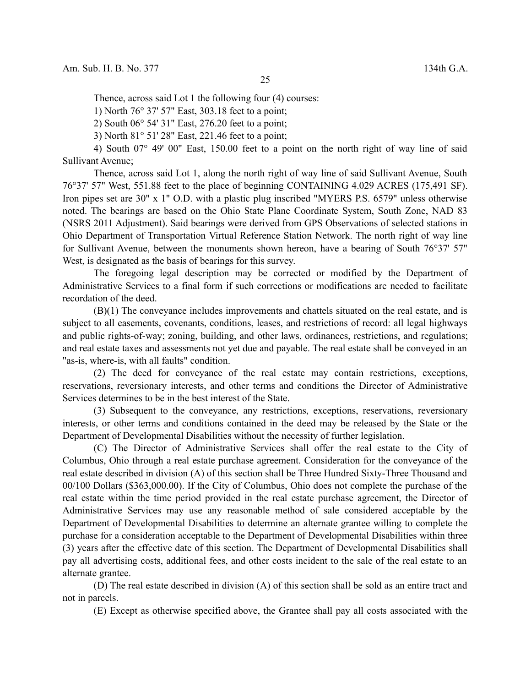Thence, across said Lot 1 the following four (4) courses:

1) North 76° 37' 57" East, 303.18 feet to a point;

2) South 06° 54' 31" East, 276.20 feet to a point;

3) North 81° 51' 28" East, 221.46 feet to a point;

4) South 07° 49' 00" East, 150.00 feet to a point on the north right of way line of said Sullivant Avenue;

Thence, across said Lot 1, along the north right of way line of said Sullivant Avenue, South 76°37' 57" West, 551.88 feet to the place of beginning CONTAINING 4.029 ACRES (175,491 SF). Iron pipes set are 30" x 1" O.D. with a plastic plug inscribed "MYERS P.S. 6579" unless otherwise noted. The bearings are based on the Ohio State Plane Coordinate System, South Zone, NAD 83 (NSRS 2011 Adjustment). Said bearings were derived from GPS Observations of selected stations in Ohio Department of Transportation Virtual Reference Station Network. The north right of way line for Sullivant Avenue, between the monuments shown hereon, have a bearing of South 76°37' 57" West, is designated as the basis of bearings for this survey.

The foregoing legal description may be corrected or modified by the Department of Administrative Services to a final form if such corrections or modifications are needed to facilitate recordation of the deed.

(B)(1) The conveyance includes improvements and chattels situated on the real estate, and is subject to all easements, covenants, conditions, leases, and restrictions of record: all legal highways and public rights-of-way; zoning, building, and other laws, ordinances, restrictions, and regulations; and real estate taxes and assessments not yet due and payable. The real estate shall be conveyed in an "as-is, where-is, with all faults" condition.

(2) The deed for conveyance of the real estate may contain restrictions, exceptions, reservations, reversionary interests, and other terms and conditions the Director of Administrative Services determines to be in the best interest of the State.

(3) Subsequent to the conveyance, any restrictions, exceptions, reservations, reversionary interests, or other terms and conditions contained in the deed may be released by the State or the Department of Developmental Disabilities without the necessity of further legislation.

(C) The Director of Administrative Services shall offer the real estate to the City of Columbus, Ohio through a real estate purchase agreement. Consideration for the conveyance of the real estate described in division (A) of this section shall be Three Hundred Sixty-Three Thousand and 00/100 Dollars (\$363,000.00). If the City of Columbus, Ohio does not complete the purchase of the real estate within the time period provided in the real estate purchase agreement, the Director of Administrative Services may use any reasonable method of sale considered acceptable by the Department of Developmental Disabilities to determine an alternate grantee willing to complete the purchase for a consideration acceptable to the Department of Developmental Disabilities within three (3) years after the effective date of this section. The Department of Developmental Disabilities shall pay all advertising costs, additional fees, and other costs incident to the sale of the real estate to an alternate grantee.

(D) The real estate described in division (A) of this section shall be sold as an entire tract and not in parcels.

(E) Except as otherwise specified above, the Grantee shall pay all costs associated with the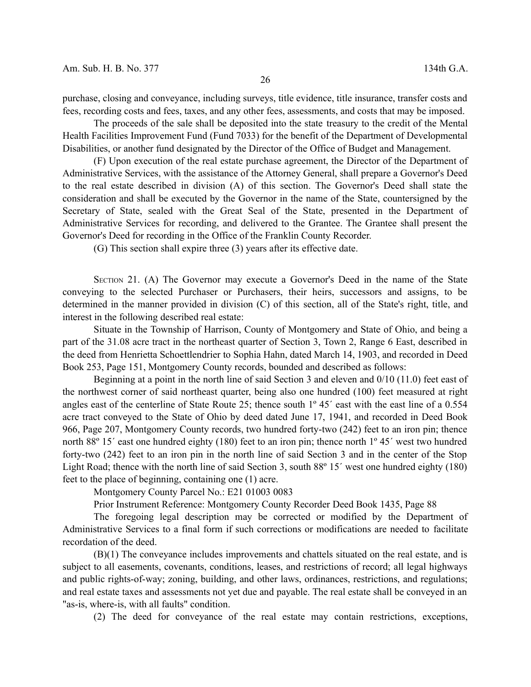purchase, closing and conveyance, including surveys, title evidence, title insurance, transfer costs and fees, recording costs and fees, taxes, and any other fees, assessments, and costs that may be imposed.

The proceeds of the sale shall be deposited into the state treasury to the credit of the Mental Health Facilities Improvement Fund (Fund 7033) for the benefit of the Department of Developmental Disabilities, or another fund designated by the Director of the Office of Budget and Management.

(F) Upon execution of the real estate purchase agreement, the Director of the Department of Administrative Services, with the assistance of the Attorney General, shall prepare a Governor's Deed to the real estate described in division (A) of this section. The Governor's Deed shall state the consideration and shall be executed by the Governor in the name of the State, countersigned by the Secretary of State, sealed with the Great Seal of the State, presented in the Department of Administrative Services for recording, and delivered to the Grantee. The Grantee shall present the Governor's Deed for recording in the Office of the Franklin County Recorder.

(G) This section shall expire three (3) years after its effective date.

SECTION 21. (A) The Governor may execute a Governor's Deed in the name of the State conveying to the selected Purchaser or Purchasers, their heirs, successors and assigns, to be determined in the manner provided in division (C) of this section, all of the State's right, title, and interest in the following described real estate:

Situate in the Township of Harrison, County of Montgomery and State of Ohio, and being a part of the 31.08 acre tract in the northeast quarter of Section 3, Town 2, Range 6 East, described in the deed from Henrietta Schoettlendrier to Sophia Hahn, dated March 14, 1903, and recorded in Deed Book 253, Page 151, Montgomery County records, bounded and described as follows:

Beginning at a point in the north line of said Section 3 and eleven and 0/10 (11.0) feet east of the northwest corner of said northeast quarter, being also one hundred (100) feet measured at right angles east of the centerline of State Route 25; thence south 1º 45´ east with the east line of a 0.554 acre tract conveyed to the State of Ohio by deed dated June 17, 1941, and recorded in Deed Book 966, Page 207, Montgomery County records, two hundred forty-two (242) feet to an iron pin; thence north 88<sup>°</sup> 15<sup>′</sup> east one hundred eighty (180) feet to an iron pin; thence north 1<sup>°</sup> 45<sup>′</sup> west two hundred forty-two (242) feet to an iron pin in the north line of said Section 3 and in the center of the Stop Light Road; thence with the north line of said Section 3, south 88º 15´ west one hundred eighty (180) feet to the place of beginning, containing one (1) acre.

Montgomery County Parcel No.: E21 01003 0083

Prior Instrument Reference: Montgomery County Recorder Deed Book 1435, Page 88

The foregoing legal description may be corrected or modified by the Department of Administrative Services to a final form if such corrections or modifications are needed to facilitate recordation of the deed.

(B)(1) The conveyance includes improvements and chattels situated on the real estate, and is subject to all easements, covenants, conditions, leases, and restrictions of record; all legal highways and public rights-of-way; zoning, building, and other laws, ordinances, restrictions, and regulations; and real estate taxes and assessments not yet due and payable. The real estate shall be conveyed in an "as-is, where-is, with all faults" condition.

(2) The deed for conveyance of the real estate may contain restrictions, exceptions,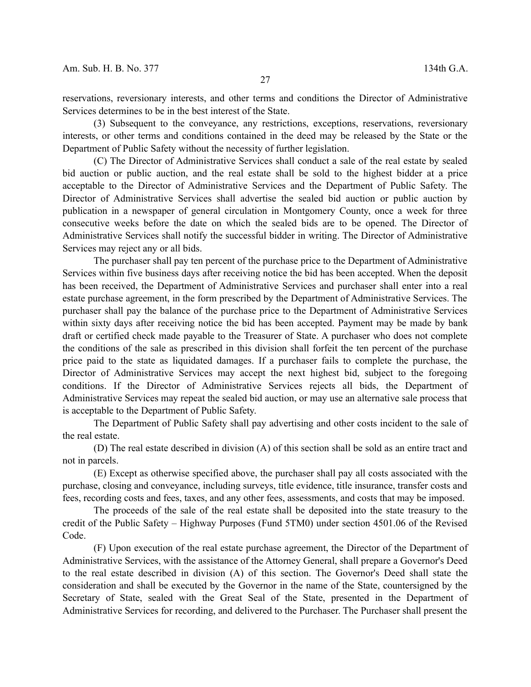reservations, reversionary interests, and other terms and conditions the Director of Administrative Services determines to be in the best interest of the State.

(3) Subsequent to the conveyance, any restrictions, exceptions, reservations, reversionary interests, or other terms and conditions contained in the deed may be released by the State or the Department of Public Safety without the necessity of further legislation.

(C) The Director of Administrative Services shall conduct a sale of the real estate by sealed bid auction or public auction, and the real estate shall be sold to the highest bidder at a price acceptable to the Director of Administrative Services and the Department of Public Safety. The Director of Administrative Services shall advertise the sealed bid auction or public auction by publication in a newspaper of general circulation in Montgomery County, once a week for three consecutive weeks before the date on which the sealed bids are to be opened. The Director of Administrative Services shall notify the successful bidder in writing. The Director of Administrative Services may reject any or all bids.

The purchaser shall pay ten percent of the purchase price to the Department of Administrative Services within five business days after receiving notice the bid has been accepted. When the deposit has been received, the Department of Administrative Services and purchaser shall enter into a real estate purchase agreement, in the form prescribed by the Department of Administrative Services. The purchaser shall pay the balance of the purchase price to the Department of Administrative Services within sixty days after receiving notice the bid has been accepted. Payment may be made by bank draft or certified check made payable to the Treasurer of State. A purchaser who does not complete the conditions of the sale as prescribed in this division shall forfeit the ten percent of the purchase price paid to the state as liquidated damages. If a purchaser fails to complete the purchase, the Director of Administrative Services may accept the next highest bid, subject to the foregoing conditions. If the Director of Administrative Services rejects all bids, the Department of Administrative Services may repeat the sealed bid auction, or may use an alternative sale process that is acceptable to the Department of Public Safety.

The Department of Public Safety shall pay advertising and other costs incident to the sale of the real estate.

(D) The real estate described in division (A) of this section shall be sold as an entire tract and not in parcels.

(E) Except as otherwise specified above, the purchaser shall pay all costs associated with the purchase, closing and conveyance, including surveys, title evidence, title insurance, transfer costs and fees, recording costs and fees, taxes, and any other fees, assessments, and costs that may be imposed.

The proceeds of the sale of the real estate shall be deposited into the state treasury to the credit of the Public Safety – Highway Purposes (Fund 5TM0) under section 4501.06 of the Revised Code.

(F) Upon execution of the real estate purchase agreement, the Director of the Department of Administrative Services, with the assistance of the Attorney General, shall prepare a Governor's Deed to the real estate described in division (A) of this section. The Governor's Deed shall state the consideration and shall be executed by the Governor in the name of the State, countersigned by the Secretary of State, sealed with the Great Seal of the State, presented in the Department of Administrative Services for recording, and delivered to the Purchaser. The Purchaser shall present the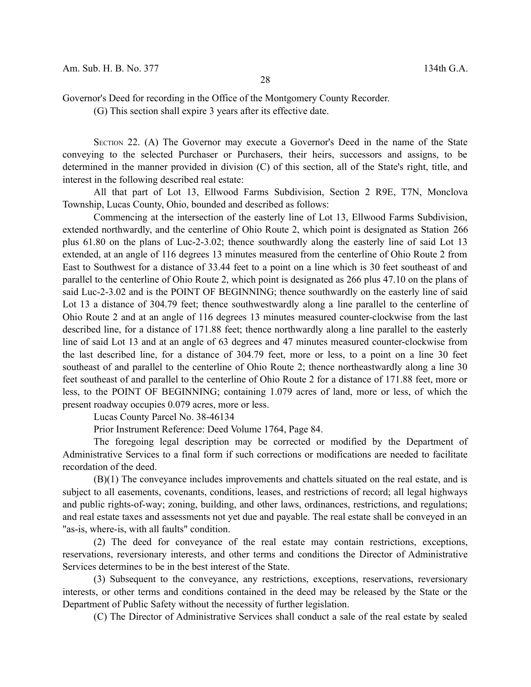Governor's Deed for recording in the Office of the Montgomery County Recorder.

(G) This section shall expire 3 years after its effective date.

SECTION 22. (A) The Governor may execute a Governor's Deed in the name of the State conveying to the selected Purchaser or Purchasers, their heirs, successors and assigns, to be determined in the manner provided in division (C) of this section, all of the State's right, title, and interest in the following described real estate:

All that part of Lot 13, Ellwood Farms Subdivision, Section 2 R9E, T7N, Monclova Township, Lucas County, Ohio, bounded and described as follows:

Commencing at the intersection of the easterly line of Lot 13, Ellwood Farms Subdivision, extended northwardly, and the centerline of Ohio Route 2, which point is designated as Station 266 plus 61.80 on the plans of Luc-2-3.02; thence southwardly along the easterly line of said Lot 13 extended, at an angle of 116 degrees 13 minutes measured from the centerline of Ohio Route 2 from East to Southwest for a distance of 33.44 feet to a point on a line which is 30 feet southeast of and parallel to the centerline of Ohio Route 2, which point is designated as 266 plus 47.10 on the plans of said Luc-2-3.02 and is the POINT OF BEGINNING; thence southwardly on the easterly line of said Lot 13 a distance of 304.79 feet; thence southwestwardly along a line parallel to the centerline of Ohio Route 2 and at an angle of 116 degrees 13 minutes measured counter-clockwise from the last described line, for a distance of 171.88 feet; thence northwardly along a line parallel to the easterly line of said Lot 13 and at an angle of 63 degrees and 47 minutes measured counter-clockwise from the last described line, for a distance of 304.79 feet, more or less, to a point on a line 30 feet southeast of and parallel to the centerline of Ohio Route 2; thence northeastwardly along a line 30 feet southeast of and parallel to the centerline of Ohio Route 2 for a distance of 171.88 feet, more or less, to the POINT OF BEGINNING; containing 1.079 acres of land, more or less, of which the present roadway occupies 0.079 acres, more or less.

Lucas County Parcel No. 38-46134

Prior Instrument Reference: Deed Volume 1764, Page 84.

The foregoing legal description may be corrected or modified by the Department of Administrative Services to a final form if such corrections or modifications are needed to facilitate recordation of the deed.

(B)(1) The conveyance includes improvements and chattels situated on the real estate, and is subject to all easements, covenants, conditions, leases, and restrictions of record; all legal highways and public rights-of-way; zoning, building, and other laws, ordinances, restrictions, and regulations; and real estate taxes and assessments not yet due and payable. The real estate shall be conveyed in an "as-is, where-is, with all faults" condition.

(2) The deed for conveyance of the real estate may contain restrictions, exceptions, reservations, reversionary interests, and other terms and conditions the Director of Administrative Services determines to be in the best interest of the State.

(3) Subsequent to the conveyance, any restrictions, exceptions, reservations, reversionary interests, or other terms and conditions contained in the deed may be released by the State or the Department of Public Safety without the necessity of further legislation.

(C) The Director of Administrative Services shall conduct a sale of the real estate by sealed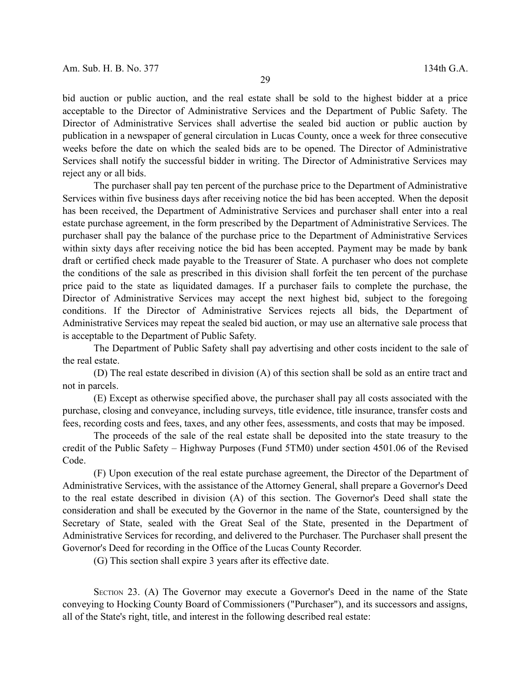bid auction or public auction, and the real estate shall be sold to the highest bidder at a price acceptable to the Director of Administrative Services and the Department of Public Safety. The Director of Administrative Services shall advertise the sealed bid auction or public auction by publication in a newspaper of general circulation in Lucas County, once a week for three consecutive weeks before the date on which the sealed bids are to be opened. The Director of Administrative Services shall notify the successful bidder in writing. The Director of Administrative Services may reject any or all bids.

The purchaser shall pay ten percent of the purchase price to the Department of Administrative Services within five business days after receiving notice the bid has been accepted. When the deposit has been received, the Department of Administrative Services and purchaser shall enter into a real estate purchase agreement, in the form prescribed by the Department of Administrative Services. The purchaser shall pay the balance of the purchase price to the Department of Administrative Services within sixty days after receiving notice the bid has been accepted. Payment may be made by bank draft or certified check made payable to the Treasurer of State. A purchaser who does not complete the conditions of the sale as prescribed in this division shall forfeit the ten percent of the purchase price paid to the state as liquidated damages. If a purchaser fails to complete the purchase, the Director of Administrative Services may accept the next highest bid, subject to the foregoing conditions. If the Director of Administrative Services rejects all bids, the Department of Administrative Services may repeat the sealed bid auction, or may use an alternative sale process that is acceptable to the Department of Public Safety.

The Department of Public Safety shall pay advertising and other costs incident to the sale of the real estate.

(D) The real estate described in division (A) of this section shall be sold as an entire tract and not in parcels.

(E) Except as otherwise specified above, the purchaser shall pay all costs associated with the purchase, closing and conveyance, including surveys, title evidence, title insurance, transfer costs and fees, recording costs and fees, taxes, and any other fees, assessments, and costs that may be imposed.

The proceeds of the sale of the real estate shall be deposited into the state treasury to the credit of the Public Safety – Highway Purposes (Fund 5TM0) under section 4501.06 of the Revised Code.

(F) Upon execution of the real estate purchase agreement, the Director of the Department of Administrative Services, with the assistance of the Attorney General, shall prepare a Governor's Deed to the real estate described in division (A) of this section. The Governor's Deed shall state the consideration and shall be executed by the Governor in the name of the State, countersigned by the Secretary of State, sealed with the Great Seal of the State, presented in the Department of Administrative Services for recording, and delivered to the Purchaser. The Purchaser shall present the Governor's Deed for recording in the Office of the Lucas County Recorder.

(G) This section shall expire 3 years after its effective date.

SECTION 23. (A) The Governor may execute a Governor's Deed in the name of the State conveying to Hocking County Board of Commissioners ("Purchaser"), and its successors and assigns, all of the State's right, title, and interest in the following described real estate: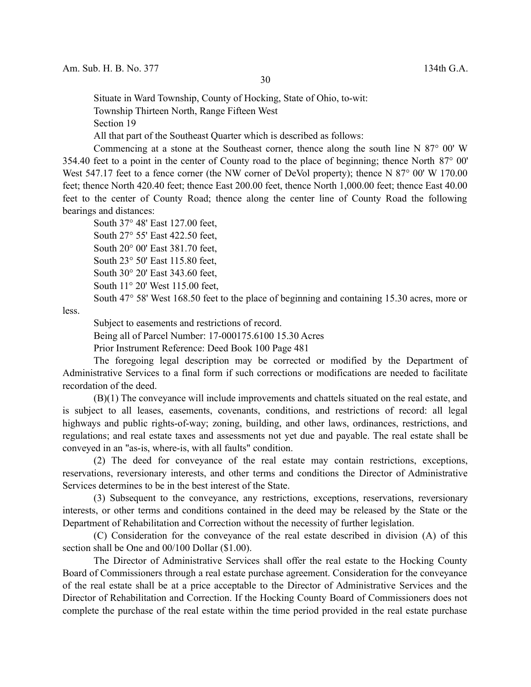Situate in Ward Township, County of Hocking, State of Ohio, to-wit:

Township Thirteen North, Range Fifteen West

Section 19

All that part of the Southeast Quarter which is described as follows:

Commencing at a stone at the Southeast corner, thence along the south line N 87° 00' W 354.40 feet to a point in the center of County road to the place of beginning; thence North 87° 00' West 547.17 feet to a fence corner (the NW corner of DeVol property); thence N 87° 00' W 170.00 feet; thence North 420.40 feet; thence East 200.00 feet, thence North 1,000.00 feet; thence East 40.00 feet to the center of County Road; thence along the center line of County Road the following bearings and distances:

South 37° 48' East 127.00 feet,

South 27° 55' East 422.50 feet,

South 20° 00' East 381.70 feet,

South 23° 50' East 115.80 feet,

South 30° 20' East 343.60 feet,

South 11° 20' West 115.00 feet,

South 47° 58' West 168.50 feet to the place of beginning and containing 15.30 acres, more or

less.

Subject to easements and restrictions of record.

Being all of Parcel Number: 17-000175.6100 15.30 Acres

Prior Instrument Reference: Deed Book 100 Page 481

The foregoing legal description may be corrected or modified by the Department of Administrative Services to a final form if such corrections or modifications are needed to facilitate recordation of the deed.

(B)(1) The conveyance will include improvements and chattels situated on the real estate, and is subject to all leases, easements, covenants, conditions, and restrictions of record: all legal highways and public rights-of-way; zoning, building, and other laws, ordinances, restrictions, and regulations; and real estate taxes and assessments not yet due and payable. The real estate shall be conveyed in an "as-is, where-is, with all faults" condition.

(2) The deed for conveyance of the real estate may contain restrictions, exceptions, reservations, reversionary interests, and other terms and conditions the Director of Administrative Services determines to be in the best interest of the State.

(3) Subsequent to the conveyance, any restrictions, exceptions, reservations, reversionary interests, or other terms and conditions contained in the deed may be released by the State or the Department of Rehabilitation and Correction without the necessity of further legislation.

(C) Consideration for the conveyance of the real estate described in division (A) of this section shall be One and 00/100 Dollar (\$1.00).

The Director of Administrative Services shall offer the real estate to the Hocking County Board of Commissioners through a real estate purchase agreement. Consideration for the conveyance of the real estate shall be at a price acceptable to the Director of Administrative Services and the Director of Rehabilitation and Correction. If the Hocking County Board of Commissioners does not complete the purchase of the real estate within the time period provided in the real estate purchase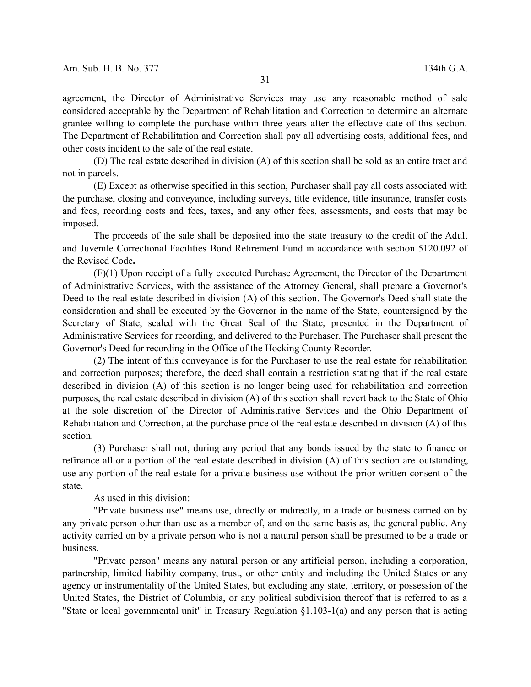agreement, the Director of Administrative Services may use any reasonable method of sale considered acceptable by the Department of Rehabilitation and Correction to determine an alternate grantee willing to complete the purchase within three years after the effective date of this section. The Department of Rehabilitation and Correction shall pay all advertising costs, additional fees, and other costs incident to the sale of the real estate.

(D) The real estate described in division (A) of this section shall be sold as an entire tract and not in parcels.

(E) Except as otherwise specified in this section, Purchaser shall pay all costs associated with the purchase, closing and conveyance, including surveys, title evidence, title insurance, transfer costs and fees, recording costs and fees, taxes, and any other fees, assessments, and costs that may be imposed.

The proceeds of the sale shall be deposited into the state treasury to the credit of the Adult and Juvenile Correctional Facilities Bond Retirement Fund in accordance with section 5120.092 of the Revised Code**.**

(F)(1) Upon receipt of a fully executed Purchase Agreement, the Director of the Department of Administrative Services, with the assistance of the Attorney General, shall prepare a Governor's Deed to the real estate described in division (A) of this section. The Governor's Deed shall state the consideration and shall be executed by the Governor in the name of the State, countersigned by the Secretary of State, sealed with the Great Seal of the State, presented in the Department of Administrative Services for recording, and delivered to the Purchaser. The Purchaser shall present the Governor's Deed for recording in the Office of the Hocking County Recorder.

(2) The intent of this conveyance is for the Purchaser to use the real estate for rehabilitation and correction purposes; therefore, the deed shall contain a restriction stating that if the real estate described in division (A) of this section is no longer being used for rehabilitation and correction purposes, the real estate described in division (A) of this section shall revert back to the State of Ohio at the sole discretion of the Director of Administrative Services and the Ohio Department of Rehabilitation and Correction, at the purchase price of the real estate described in division (A) of this section.

(3) Purchaser shall not, during any period that any bonds issued by the state to finance or refinance all or a portion of the real estate described in division (A) of this section are outstanding, use any portion of the real estate for a private business use without the prior written consent of the state.

As used in this division:

"Private business use" means use, directly or indirectly, in a trade or business carried on by any private person other than use as a member of, and on the same basis as, the general public. Any activity carried on by a private person who is not a natural person shall be presumed to be a trade or business.

"Private person" means any natural person or any artificial person, including a corporation, partnership, limited liability company, trust, or other entity and including the United States or any agency or instrumentality of the United States, but excluding any state, territory, or possession of the United States, the District of Columbia, or any political subdivision thereof that is referred to as a "State or local governmental unit" in Treasury Regulation §1.103-1(a) and any person that is acting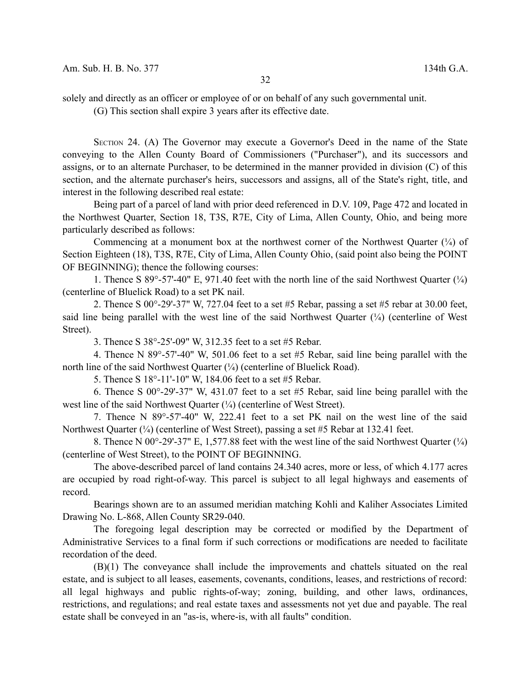solely and directly as an officer or employee of or on behalf of any such governmental unit.

(G) This section shall expire 3 years after its effective date.

SECTION 24. (A) The Governor may execute a Governor's Deed in the name of the State conveying to the Allen County Board of Commissioners ("Purchaser"), and its successors and assigns, or to an alternate Purchaser, to be determined in the manner provided in division (C) of this section, and the alternate purchaser's heirs, successors and assigns, all of the State's right, title, and interest in the following described real estate:

Being part of a parcel of land with prior deed referenced in D.V. 109, Page 472 and located in the Northwest Quarter, Section 18, T3S, R7E, City of Lima, Allen County, Ohio, and being more particularly described as follows:

Commencing at a monument box at the northwest corner of the Northwest Quarter  $(\frac{1}{4})$  of Section Eighteen (18), T3S, R7E, City of Lima, Allen County Ohio, (said point also being the POINT OF BEGINNING); thence the following courses:

1. Thence S 89°-57'-40" E, 971.40 feet with the north line of the said Northwest Quarter  $(\frac{1}{4})$ (centerline of Bluelick Road) to a set PK nail.

2. Thence S 00°-29'-37" W, 727.04 feet to a set #5 Rebar, passing a set #5 rebar at 30.00 feet, said line being parallel with the west line of the said Northwest Quarter  $(\frac{1}{4})$  (centerline of West Street).

3. Thence S 38°-25'-09" W, 312.35 feet to a set #5 Rebar.

4. Thence N 89°-57'-40" W, 501.06 feet to a set #5 Rebar, said line being parallel with the north line of the said Northwest Quarter  $(\frac{1}{4})$  (centerline of Bluelick Road).

5. Thence S 18°-11'-10" W, 184.06 feet to a set #5 Rebar.

6. Thence S 00°-29'-37" W, 431.07 feet to a set #5 Rebar, said line being parallel with the west line of the said Northwest Quarter (¼) (centerline of West Street).

7. Thence N 89°-57'-40" W, 222.41 feet to a set PK nail on the west line of the said Northwest Quarter (¼) (centerline of West Street), passing a set #5 Rebar at 132.41 feet.

8. Thence N  $00^{\circ}$ -29'-37" E, 1,577.88 feet with the west line of the said Northwest Quarter ( $\frac{1}{4}$ ) (centerline of West Street), to the POINT OF BEGINNING.

The above-described parcel of land contains 24.340 acres, more or less, of which 4.177 acres are occupied by road right-of-way. This parcel is subject to all legal highways and easements of record.

Bearings shown are to an assumed meridian matching Kohli and Kaliher Associates Limited Drawing No. L-868, Allen County SR29-040.

The foregoing legal description may be corrected or modified by the Department of Administrative Services to a final form if such corrections or modifications are needed to facilitate recordation of the deed.

(B)(1) The conveyance shall include the improvements and chattels situated on the real estate, and is subject to all leases, easements, covenants, conditions, leases, and restrictions of record: all legal highways and public rights-of-way; zoning, building, and other laws, ordinances, restrictions, and regulations; and real estate taxes and assessments not yet due and payable. The real estate shall be conveyed in an "as-is, where-is, with all faults" condition.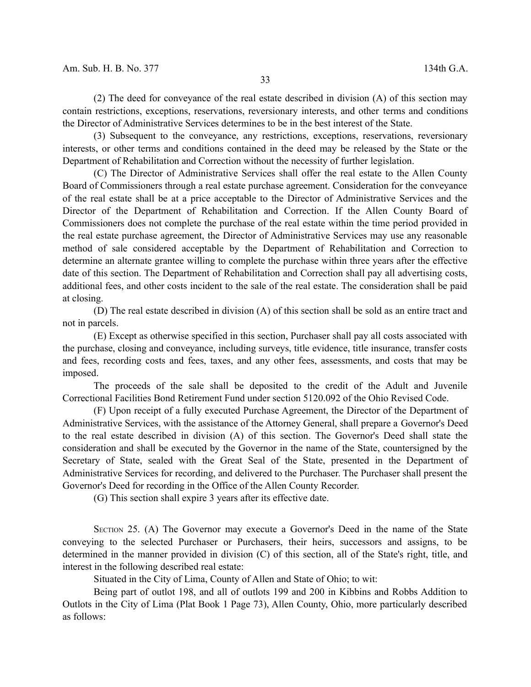(2) The deed for conveyance of the real estate described in division (A) of this section may contain restrictions, exceptions, reservations, reversionary interests, and other terms and conditions the Director of Administrative Services determines to be in the best interest of the State.

(3) Subsequent to the conveyance, any restrictions, exceptions, reservations, reversionary interests, or other terms and conditions contained in the deed may be released by the State or the Department of Rehabilitation and Correction without the necessity of further legislation.

(C) The Director of Administrative Services shall offer the real estate to the Allen County Board of Commissioners through a real estate purchase agreement. Consideration for the conveyance of the real estate shall be at a price acceptable to the Director of Administrative Services and the Director of the Department of Rehabilitation and Correction. If the Allen County Board of Commissioners does not complete the purchase of the real estate within the time period provided in the real estate purchase agreement, the Director of Administrative Services may use any reasonable method of sale considered acceptable by the Department of Rehabilitation and Correction to determine an alternate grantee willing to complete the purchase within three years after the effective date of this section. The Department of Rehabilitation and Correction shall pay all advertising costs, additional fees, and other costs incident to the sale of the real estate. The consideration shall be paid at closing.

(D) The real estate described in division (A) of this section shall be sold as an entire tract and not in parcels.

(E) Except as otherwise specified in this section, Purchaser shall pay all costs associated with the purchase, closing and conveyance, including surveys, title evidence, title insurance, transfer costs and fees, recording costs and fees, taxes, and any other fees, assessments, and costs that may be imposed.

The proceeds of the sale shall be deposited to the credit of the Adult and Juvenile Correctional Facilities Bond Retirement Fund under section 5120.092 of the Ohio Revised Code.

(F) Upon receipt of a fully executed Purchase Agreement, the Director of the Department of Administrative Services, with the assistance of the Attorney General, shall prepare a Governor's Deed to the real estate described in division (A) of this section. The Governor's Deed shall state the consideration and shall be executed by the Governor in the name of the State, countersigned by the Secretary of State, sealed with the Great Seal of the State, presented in the Department of Administrative Services for recording, and delivered to the Purchaser. The Purchaser shall present the Governor's Deed for recording in the Office of the Allen County Recorder.

(G) This section shall expire 3 years after its effective date.

SECTION 25. (A) The Governor may execute a Governor's Deed in the name of the State conveying to the selected Purchaser or Purchasers, their heirs, successors and assigns, to be determined in the manner provided in division (C) of this section, all of the State's right, title, and interest in the following described real estate:

Situated in the City of Lima, County of Allen and State of Ohio; to wit:

Being part of outlot 198, and all of outlots 199 and 200 in Kibbins and Robbs Addition to Outlots in the City of Lima (Plat Book 1 Page 73), Allen County, Ohio, more particularly described as follows: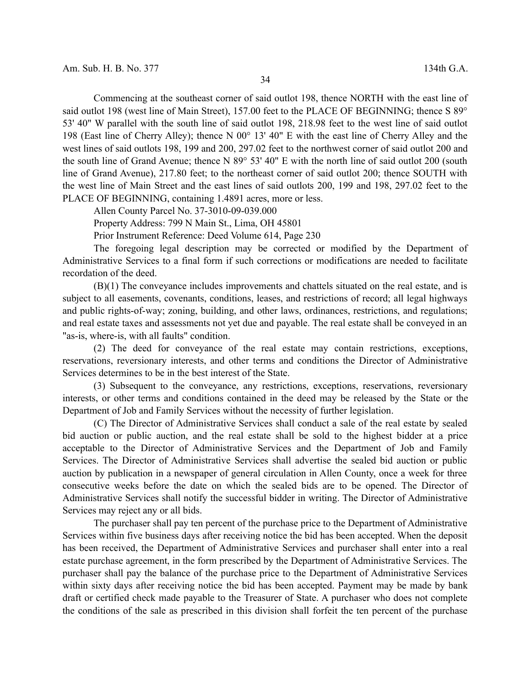Commencing at the southeast corner of said outlot 198, thence NORTH with the east line of said outlot 198 (west line of Main Street), 157.00 feet to the PLACE OF BEGINNING; thence S 89° 53' 40" W parallel with the south line of said outlot 198, 218.98 feet to the west line of said outlot 198 (East line of Cherry Alley); thence N 00° 13' 40" E with the east line of Cherry Alley and the west lines of said outlots 198, 199 and 200, 297.02 feet to the northwest corner of said outlot 200 and the south line of Grand Avenue; thence N 89° 53' 40" E with the north line of said outlot 200 (south line of Grand Avenue), 217.80 feet; to the northeast corner of said outlot 200; thence SOUTH with the west line of Main Street and the east lines of said outlots 200, 199 and 198, 297.02 feet to the PLACE OF BEGINNING, containing 1.4891 acres, more or less.

Allen County Parcel No. 37-3010-09-039.000

Property Address: 799 N Main St., Lima, OH 45801

Prior Instrument Reference: Deed Volume 614, Page 230

The foregoing legal description may be corrected or modified by the Department of Administrative Services to a final form if such corrections or modifications are needed to facilitate recordation of the deed.

(B)(1) The conveyance includes improvements and chattels situated on the real estate, and is subject to all easements, covenants, conditions, leases, and restrictions of record; all legal highways and public rights-of-way; zoning, building, and other laws, ordinances, restrictions, and regulations; and real estate taxes and assessments not yet due and payable. The real estate shall be conveyed in an "as-is, where-is, with all faults" condition.

(2) The deed for conveyance of the real estate may contain restrictions, exceptions, reservations, reversionary interests, and other terms and conditions the Director of Administrative Services determines to be in the best interest of the State.

(3) Subsequent to the conveyance, any restrictions, exceptions, reservations, reversionary interests, or other terms and conditions contained in the deed may be released by the State or the Department of Job and Family Services without the necessity of further legislation.

(C) The Director of Administrative Services shall conduct a sale of the real estate by sealed bid auction or public auction, and the real estate shall be sold to the highest bidder at a price acceptable to the Director of Administrative Services and the Department of Job and Family Services. The Director of Administrative Services shall advertise the sealed bid auction or public auction by publication in a newspaper of general circulation in Allen County, once a week for three consecutive weeks before the date on which the sealed bids are to be opened. The Director of Administrative Services shall notify the successful bidder in writing. The Director of Administrative Services may reject any or all bids.

The purchaser shall pay ten percent of the purchase price to the Department of Administrative Services within five business days after receiving notice the bid has been accepted. When the deposit has been received, the Department of Administrative Services and purchaser shall enter into a real estate purchase agreement, in the form prescribed by the Department of Administrative Services. The purchaser shall pay the balance of the purchase price to the Department of Administrative Services within sixty days after receiving notice the bid has been accepted. Payment may be made by bank draft or certified check made payable to the Treasurer of State. A purchaser who does not complete the conditions of the sale as prescribed in this division shall forfeit the ten percent of the purchase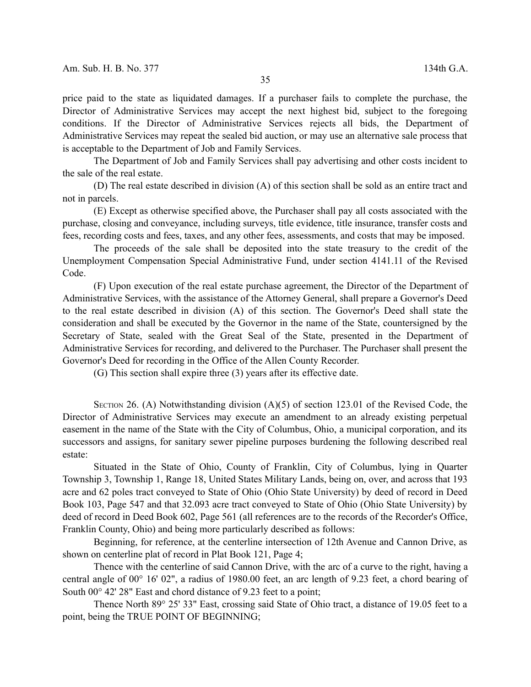price paid to the state as liquidated damages. If a purchaser fails to complete the purchase, the Director of Administrative Services may accept the next highest bid, subject to the foregoing conditions. If the Director of Administrative Services rejects all bids, the Department of Administrative Services may repeat the sealed bid auction, or may use an alternative sale process that is acceptable to the Department of Job and Family Services.

The Department of Job and Family Services shall pay advertising and other costs incident to the sale of the real estate.

(D) The real estate described in division (A) of this section shall be sold as an entire tract and not in parcels.

(E) Except as otherwise specified above, the Purchaser shall pay all costs associated with the purchase, closing and conveyance, including surveys, title evidence, title insurance, transfer costs and fees, recording costs and fees, taxes, and any other fees, assessments, and costs that may be imposed.

The proceeds of the sale shall be deposited into the state treasury to the credit of the Unemployment Compensation Special Administrative Fund, under section 4141.11 of the Revised Code.

(F) Upon execution of the real estate purchase agreement, the Director of the Department of Administrative Services, with the assistance of the Attorney General, shall prepare a Governor's Deed to the real estate described in division (A) of this section. The Governor's Deed shall state the consideration and shall be executed by the Governor in the name of the State, countersigned by the Secretary of State, sealed with the Great Seal of the State, presented in the Department of Administrative Services for recording, and delivered to the Purchaser. The Purchaser shall present the Governor's Deed for recording in the Office of the Allen County Recorder.

(G) This section shall expire three (3) years after its effective date.

SECTION 26. (A) Notwithstanding division  $(A)(5)$  of section 123.01 of the Revised Code, the Director of Administrative Services may execute an amendment to an already existing perpetual easement in the name of the State with the City of Columbus, Ohio, a municipal corporation, and its successors and assigns, for sanitary sewer pipeline purposes burdening the following described real estate:

Situated in the State of Ohio, County of Franklin, City of Columbus, lying in Quarter Township 3, Township 1, Range 18, United States Military Lands, being on, over, and across that 193 acre and 62 poles tract conveyed to State of Ohio (Ohio State University) by deed of record in Deed Book 103, Page 547 and that 32.093 acre tract conveyed to State of Ohio (Ohio State University) by deed of record in Deed Book 602, Page 561 (all references are to the records of the Recorder's Office, Franklin County, Ohio) and being more particularly described as follows:

Beginning, for reference, at the centerline intersection of 12th Avenue and Cannon Drive, as shown on centerline plat of record in Plat Book 121, Page 4;

Thence with the centerline of said Cannon Drive, with the arc of a curve to the right, having a central angle of 00° 16' 02", a radius of 1980.00 feet, an arc length of 9.23 feet, a chord bearing of South 00 $\degree$  42' 28" East and chord distance of 9.23 feet to a point;

Thence North 89° 25' 33" East, crossing said State of Ohio tract, a distance of 19.05 feet to a point, being the TRUE POINT OF BEGINNING;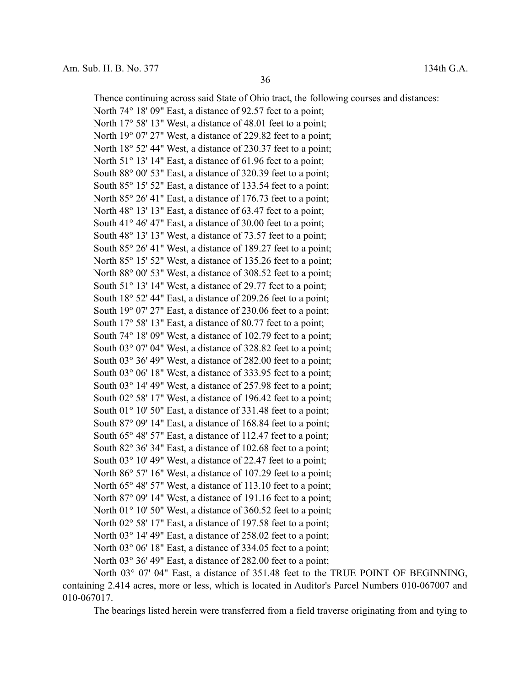Thence continuing across said State of Ohio tract, the following courses and distances: North 74° 18' 09" East, a distance of 92.57 feet to a point; North 17° 58' 13" West, a distance of 48.01 feet to a point; North 19<sup>°</sup> 07′ 27″ West, a distance of 229.82 feet to a point; North 18° 52′ 44″ West, a distance of 230.37 feet to a point; North 51<sup>°</sup> 13' 14" East, a distance of 61.96 feet to a point; South 88° 00' 53" East, a distance of 320.39 feet to a point; South 85° 15′ 52″ East, a distance of 133.54 feet to a point; North 85° 26′ 41″ East, a distance of 176.73 feet to a point; North 48° 13′ 13″ East, a distance of 63.47 feet to a point; South 41° 46' 47" East, a distance of 30.00 feet to a point; South 48° 13' 13" West, a distance of 73.57 feet to a point; South 85° 26' 41" West, a distance of 189.27 feet to a point; North 85° 15′ 52″ West, a distance of 135.26 feet to a point; North 88° 00' 53" West, a distance of 308.52 feet to a point; South 51° 13′ 14″ West, a distance of 29.77 feet to a point; South 18° 52' 44" East, a distance of 209.26 feet to a point; South 19° 07' 27" East, a distance of 230.06 feet to a point; South 17° 58′ 13″ East, a distance of 80.77 feet to a point; South 74° 18' 09" West, a distance of 102.79 feet to a point; South 03° 07' 04" West, a distance of 328.82 feet to a point; South 03° 36' 49" West, a distance of 282.00 feet to a point; South 03° 06' 18" West, a distance of 333.95 feet to a point; South 03° 14' 49" West, a distance of 257.98 feet to a point; South 02° 58' 17" West, a distance of 196.42 feet to a point; South 01° 10' 50" East, a distance of 331.48 feet to a point; South 87° 09' 14" East, a distance of 168.84 feet to a point; South 65° 48′ 57″ East, a distance of 112.47 feet to a point; South 82° 36' 34" East, a distance of 102.68 feet to a point; South 03° 10' 49" West, a distance of 22.47 feet to a point; North 86° 57' 16" West, a distance of 107.29 feet to a point; North 65° 48′ 57″ West, a distance of 113.10 feet to a point; North 87° 09' 14" West, a distance of 191.16 feet to a point; North 01° 10' 50" West, a distance of 360.52 feet to a point; North 02° 58' 17" East, a distance of 197.58 feet to a point; North 03<sup>°</sup> 14' 49" East, a distance of 258,02 feet to a point; North 03<sup>°</sup> 06' 18" East, a distance of 334.05 feet to a point; North 03° 36' 49" East, a distance of 282.00 feet to a point;

North 03° 07' 04" East, a distance of 351.48 feet to the TRUE POINT OF BEGINNING, containing 2.414 acres, more or less, which is located in Auditor's Parcel Numbers 010-067007 and 010-067017.

The bearings listed herein were transferred from a field traverse originating from and tying to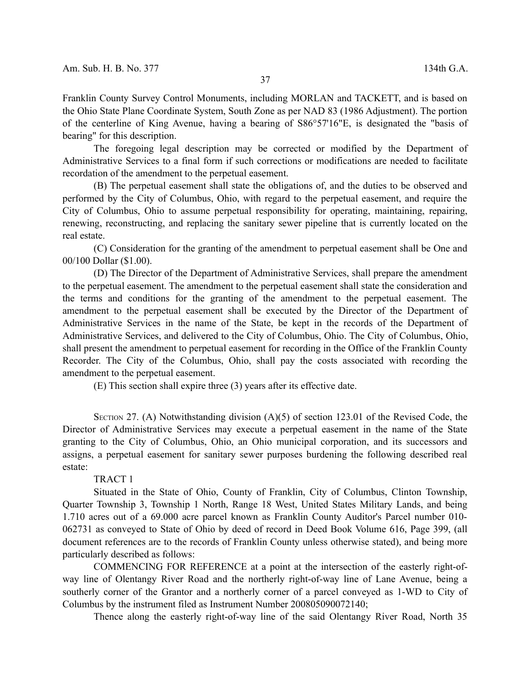Franklin County Survey Control Monuments, including MORLAN and TACKETT, and is based on the Ohio State Plane Coordinate System, South Zone as per NAD 83 (1986 Adjustment). The portion of the centerline of King Avenue, having a bearing of S86°57'16"E, is designated the "basis of bearing" for this description.

The foregoing legal description may be corrected or modified by the Department of Administrative Services to a final form if such corrections or modifications are needed to facilitate recordation of the amendment to the perpetual easement.

(B) The perpetual easement shall state the obligations of, and the duties to be observed and performed by the City of Columbus, Ohio, with regard to the perpetual easement, and require the City of Columbus, Ohio to assume perpetual responsibility for operating, maintaining, repairing, renewing, reconstructing, and replacing the sanitary sewer pipeline that is currently located on the real estate.

(C) Consideration for the granting of the amendment to perpetual easement shall be One and 00/100 Dollar (\$1.00).

(D) The Director of the Department of Administrative Services, shall prepare the amendment to the perpetual easement. The amendment to the perpetual easement shall state the consideration and the terms and conditions for the granting of the amendment to the perpetual easement. The amendment to the perpetual easement shall be executed by the Director of the Department of Administrative Services in the name of the State, be kept in the records of the Department of Administrative Services, and delivered to the City of Columbus, Ohio. The City of Columbus, Ohio, shall present the amendment to perpetual easement for recording in the Office of the Franklin County Recorder. The City of the Columbus, Ohio, shall pay the costs associated with recording the amendment to the perpetual easement.

(E) This section shall expire three (3) years after its effective date.

SECTION 27. (A) Notwithstanding division  $(A)(5)$  of section 123.01 of the Revised Code, the Director of Administrative Services may execute a perpetual easement in the name of the State granting to the City of Columbus, Ohio, an Ohio municipal corporation, and its successors and assigns, a perpetual easement for sanitary sewer purposes burdening the following described real estate:

#### TRACT 1

Situated in the State of Ohio, County of Franklin, City of Columbus, Clinton Township, Quarter Township 3, Township 1 North, Range 18 West, United States Military Lands, and being 1.710 acres out of a 69.000 acre parcel known as Franklin County Auditor's Parcel number 010- 062731 as conveyed to State of Ohio by deed of record in Deed Book Volume 616, Page 399, (all document references are to the records of Franklin County unless otherwise stated), and being more particularly described as follows:

COMMENCING FOR REFERENCE at a point at the intersection of the easterly right-ofway line of Olentangy River Road and the northerly right-of-way line of Lane Avenue, being a southerly corner of the Grantor and a northerly corner of a parcel conveyed as 1-WD to City of Columbus by the instrument filed as Instrument Number 200805090072140;

Thence along the easterly right-of-way line of the said Olentangy River Road, North 35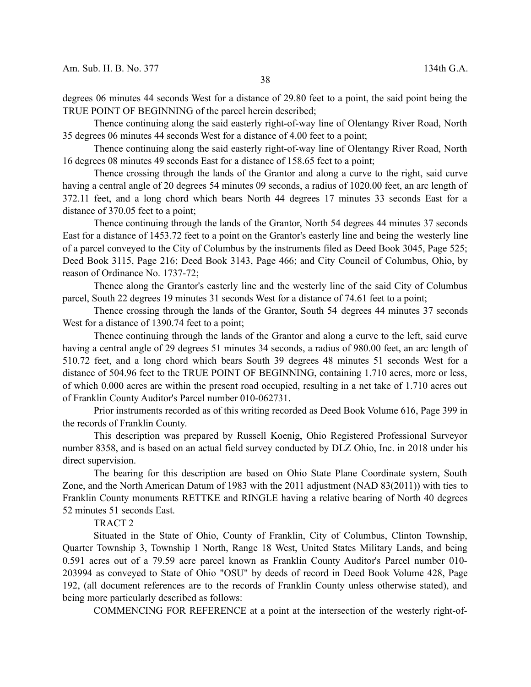degrees 06 minutes 44 seconds West for a distance of 29.80 feet to a point, the said point being the TRUE POINT OF BEGINNING of the parcel herein described;

Thence continuing along the said easterly right-of-way line of Olentangy River Road, North 35 degrees 06 minutes 44 seconds West for a distance of 4.00 feet to a point;

Thence continuing along the said easterly right-of-way line of Olentangy River Road, North 16 degrees 08 minutes 49 seconds East for a distance of 158.65 feet to a point;

Thence crossing through the lands of the Grantor and along a curve to the right, said curve having a central angle of 20 degrees 54 minutes 09 seconds, a radius of 1020.00 feet, an arc length of 372.11 feet, and a long chord which bears North 44 degrees 17 minutes 33 seconds East for a distance of 370.05 feet to a point;

Thence continuing through the lands of the Grantor, North 54 degrees 44 minutes 37 seconds East for a distance of 1453.72 feet to a point on the Grantor's easterly line and being the westerly line of a parcel conveyed to the City of Columbus by the instruments filed as Deed Book 3045, Page 525; Deed Book 3115, Page 216; Deed Book 3143, Page 466; and City Council of Columbus, Ohio, by reason of Ordinance No. 1737-72;

Thence along the Grantor's easterly line and the westerly line of the said City of Columbus parcel, South 22 degrees 19 minutes 31 seconds West for a distance of 74.61 feet to a point;

Thence crossing through the lands of the Grantor, South 54 degrees 44 minutes 37 seconds West for a distance of 1390.74 feet to a point;

Thence continuing through the lands of the Grantor and along a curve to the left, said curve having a central angle of 29 degrees 51 minutes 34 seconds, a radius of 980.00 feet, an arc length of 510.72 feet, and a long chord which bears South 39 degrees 48 minutes 51 seconds West for a distance of 504.96 feet to the TRUE POINT OF BEGINNING, containing 1.710 acres, more or less, of which 0.000 acres are within the present road occupied, resulting in a net take of 1.710 acres out of Franklin County Auditor's Parcel number 010-062731.

Prior instruments recorded as of this writing recorded as Deed Book Volume 616, Page 399 in the records of Franklin County.

This description was prepared by Russell Koenig, Ohio Registered Professional Surveyor number 8358, and is based on an actual field survey conducted by DLZ Ohio, Inc. in 2018 under his direct supervision.

The bearing for this description are based on Ohio State Plane Coordinate system, South Zone, and the North American Datum of 1983 with the 2011 adjustment (NAD 83(2011)) with ties to Franklin County monuments RETTKE and RINGLE having a relative bearing of North 40 degrees 52 minutes 51 seconds East.

TRACT 2

Situated in the State of Ohio, County of Franklin, City of Columbus, Clinton Township, Quarter Township 3, Township 1 North, Range 18 West, United States Military Lands, and being 0.591 acres out of a 79.59 acre parcel known as Franklin County Auditor's Parcel number 010- 203994 as conveyed to State of Ohio "OSU" by deeds of record in Deed Book Volume 428, Page 192, (all document references are to the records of Franklin County unless otherwise stated), and being more particularly described as follows:

COMMENCING FOR REFERENCE at a point at the intersection of the westerly right-of-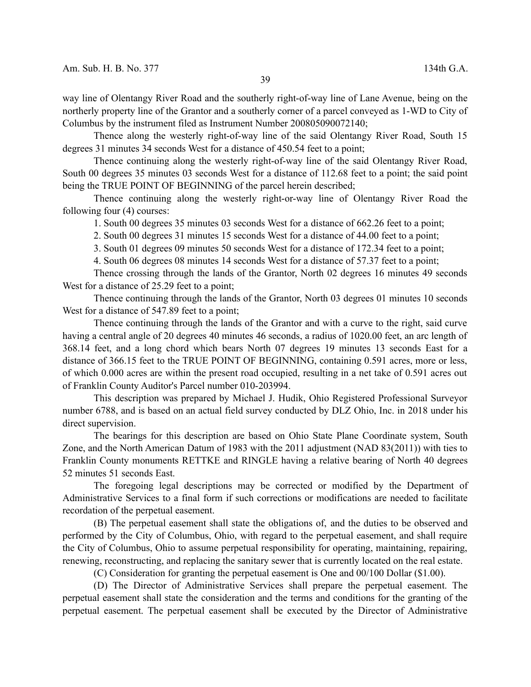way line of Olentangy River Road and the southerly right-of-way line of Lane Avenue, being on the northerly property line of the Grantor and a southerly corner of a parcel conveyed as 1-WD to City of Columbus by the instrument filed as Instrument Number 200805090072140;

Thence along the westerly right-of-way line of the said Olentangy River Road, South 15 degrees 31 minutes 34 seconds West for a distance of 450.54 feet to a point;

Thence continuing along the westerly right-of-way line of the said Olentangy River Road, South 00 degrees 35 minutes 03 seconds West for a distance of 112.68 feet to a point; the said point being the TRUE POINT OF BEGINNING of the parcel herein described;

Thence continuing along the westerly right-or-way line of Olentangy River Road the following four (4) courses:

1. South 00 degrees 35 minutes 03 seconds West for a distance of 662.26 feet to a point;

2. South 00 degrees 31 minutes 15 seconds West for a distance of 44.00 feet to a point;

3. South 01 degrees 09 minutes 50 seconds West for a distance of 172.34 feet to a point;

4. South 06 degrees 08 minutes 14 seconds West for a distance of 57.37 feet to a point;

Thence crossing through the lands of the Grantor, North 02 degrees 16 minutes 49 seconds West for a distance of 25.29 feet to a point;

Thence continuing through the lands of the Grantor, North 03 degrees 01 minutes 10 seconds West for a distance of 547.89 feet to a point;

Thence continuing through the lands of the Grantor and with a curve to the right, said curve having a central angle of 20 degrees 40 minutes 46 seconds, a radius of 1020.00 feet, an arc length of 368.14 feet, and a long chord which bears North 07 degrees 19 minutes 13 seconds East for a distance of 366.15 feet to the TRUE POINT OF BEGINNING, containing 0.591 acres, more or less, of which 0.000 acres are within the present road occupied, resulting in a net take of 0.591 acres out of Franklin County Auditor's Parcel number 010-203994.

This description was prepared by Michael J. Hudik, Ohio Registered Professional Surveyor number 6788, and is based on an actual field survey conducted by DLZ Ohio, Inc. in 2018 under his direct supervision.

The bearings for this description are based on Ohio State Plane Coordinate system, South Zone, and the North American Datum of 1983 with the 2011 adjustment (NAD 83(2011)) with ties to Franklin County monuments RETTKE and RINGLE having a relative bearing of North 40 degrees 52 minutes 51 seconds East.

The foregoing legal descriptions may be corrected or modified by the Department of Administrative Services to a final form if such corrections or modifications are needed to facilitate recordation of the perpetual easement.

(B) The perpetual easement shall state the obligations of, and the duties to be observed and performed by the City of Columbus, Ohio, with regard to the perpetual easement, and shall require the City of Columbus, Ohio to assume perpetual responsibility for operating, maintaining, repairing, renewing, reconstructing, and replacing the sanitary sewer that is currently located on the real estate.

(C) Consideration for granting the perpetual easement is One and 00/100 Dollar (\$1.00).

(D) The Director of Administrative Services shall prepare the perpetual easement. The perpetual easement shall state the consideration and the terms and conditions for the granting of the perpetual easement. The perpetual easement shall be executed by the Director of Administrative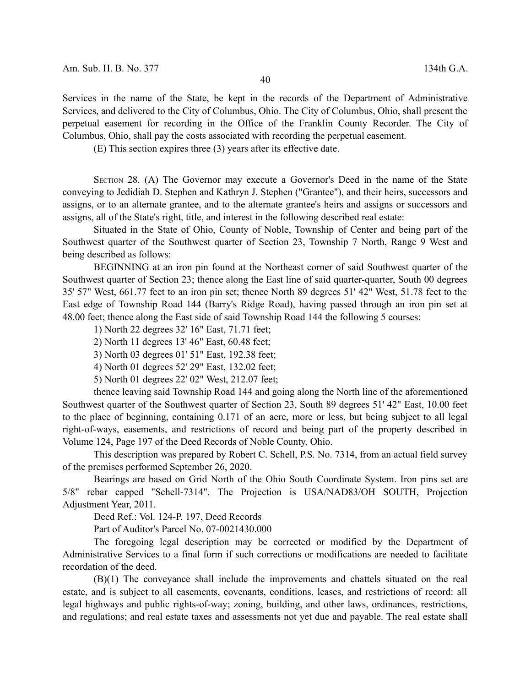Services in the name of the State, be kept in the records of the Department of Administrative Services, and delivered to the City of Columbus, Ohio. The City of Columbus, Ohio, shall present the perpetual easement for recording in the Office of the Franklin County Recorder. The City of Columbus, Ohio, shall pay the costs associated with recording the perpetual easement.

(E) This section expires three (3) years after its effective date.

SECTION 28. (A) The Governor may execute a Governor's Deed in the name of the State conveying to Jedidiah D. Stephen and Kathryn J. Stephen ("Grantee"), and their heirs, successors and assigns, or to an alternate grantee, and to the alternate grantee's heirs and assigns or successors and assigns, all of the State's right, title, and interest in the following described real estate:

Situated in the State of Ohio, County of Noble, Township of Center and being part of the Southwest quarter of the Southwest quarter of Section 23, Township 7 North, Range 9 West and being described as follows:

BEGINNING at an iron pin found at the Northeast corner of said Southwest quarter of the Southwest quarter of Section 23; thence along the East line of said quarter-quarter, South 00 degrees 35' 57" West, 661.77 feet to an iron pin set; thence North 89 degrees 51' 42" West, 51.78 feet to the East edge of Township Road 144 (Barry's Ridge Road), having passed through an iron pin set at 48.00 feet; thence along the East side of said Township Road 144 the following 5 courses:

- 1) North 22 degrees 32' 16" East, 71.71 feet;
- 2) North 11 degrees 13' 46" East, 60.48 feet;
- 3) North 03 degrees 01' 51" East, 192.38 feet;
- 4) North 01 degrees 52' 29" East, 132.02 feet;
- 5) North 01 degrees 22' 02" West, 212.07 feet;

thence leaving said Township Road 144 and going along the North line of the aforementioned Southwest quarter of the Southwest quarter of Section 23, South 89 degrees 51' 42" East, 10.00 feet to the place of beginning, containing 0.171 of an acre, more or less, but being subject to all legal right-of-ways, easements, and restrictions of record and being part of the property described in Volume 124, Page 197 of the Deed Records of Noble County, Ohio.

This description was prepared by Robert C. Schell, P.S. No. 7314, from an actual field survey of the premises performed September 26, 2020.

Bearings are based on Grid North of the Ohio South Coordinate System. Iron pins set are 5/8" rebar capped "Schell-7314". The Projection is USA/NAD83/OH SOUTH, Projection Adjustment Year, 2011.

Deed Ref.: Vol. 124-P. 197, Deed Records

Part of Auditor's Parcel No. 07-0021430.000

The foregoing legal description may be corrected or modified by the Department of Administrative Services to a final form if such corrections or modifications are needed to facilitate recordation of the deed.

(B)(1) The conveyance shall include the improvements and chattels situated on the real estate, and is subject to all easements, covenants, conditions, leases, and restrictions of record: all legal highways and public rights-of-way; zoning, building, and other laws, ordinances, restrictions, and regulations; and real estate taxes and assessments not yet due and payable. The real estate shall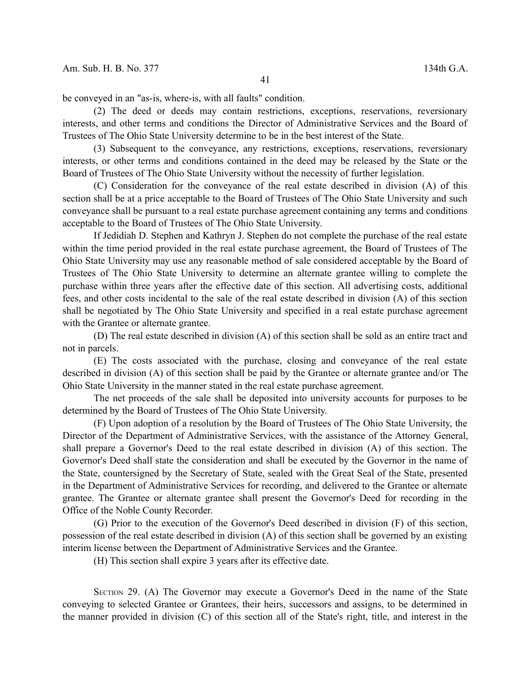be conveyed in an "as-is, where-is, with all faults" condition.

(2) The deed or deeds may contain restrictions, exceptions, reservations, reversionary interests, and other terms and conditions the Director of Administrative Services and the Board of Trustees of The Ohio State University determine to be in the best interest of the State.

(3) Subsequent to the conveyance, any restrictions, exceptions, reservations, reversionary interests, or other terms and conditions contained in the deed may be released by the State or the Board of Trustees of The Ohio State University without the necessity of further legislation.

(C) Consideration for the conveyance of the real estate described in division (A) of this section shall be at a price acceptable to the Board of Trustees of The Ohio State University and such conveyance shall be pursuant to a real estate purchase agreement containing any terms and conditions acceptable to the Board of Trustees of The Ohio State University.

If Jedidiah D. Stephen and Kathryn J. Stephen do not complete the purchase of the real estate within the time period provided in the real estate purchase agreement, the Board of Trustees of The Ohio State University may use any reasonable method of sale considered acceptable by the Board of Trustees of The Ohio State University to determine an alternate grantee willing to complete the purchase within three years after the effective date of this section. All advertising costs, additional fees, and other costs incidental to the sale of the real estate described in division (A) of this section shall be negotiated by The Ohio State University and specified in a real estate purchase agreement with the Grantee or alternate grantee.

(D) The real estate described in division (A) of this section shall be sold as an entire tract and not in parcels.

(E) The costs associated with the purchase, closing and conveyance of the real estate described in division (A) of this section shall be paid by the Grantee or alternate grantee and/or The Ohio State University in the manner stated in the real estate purchase agreement.

The net proceeds of the sale shall be deposited into university accounts for purposes to be determined by the Board of Trustees of The Ohio State University.

(F) Upon adoption of a resolution by the Board of Trustees of The Ohio State University, the Director of the Department of Administrative Services, with the assistance of the Attorney General, shall prepare a Governor's Deed to the real estate described in division (A) of this section. The Governor's Deed shall state the consideration and shall be executed by the Governor in the name of the State, countersigned by the Secretary of State, sealed with the Great Seal of the State, presented in the Department of Administrative Services for recording, and delivered to the Grantee or alternate grantee. The Grantee or alternate grantee shall present the Governor's Deed for recording in the Office of the Noble County Recorder.

(G) Prior to the execution of the Governor's Deed described in division (F) of this section, possession of the real estate described in division (A) of this section shall be governed by an existing interim license between the Department of Administrative Services and the Grantee.

(H) This section shall expire 3 years after its effective date.

SECTION 29. (A) The Governor may execute a Governor's Deed in the name of the State conveying to selected Grantee or Grantees, their heirs, successors and assigns, to be determined in the manner provided in division (C) of this section all of the State's right, title, and interest in the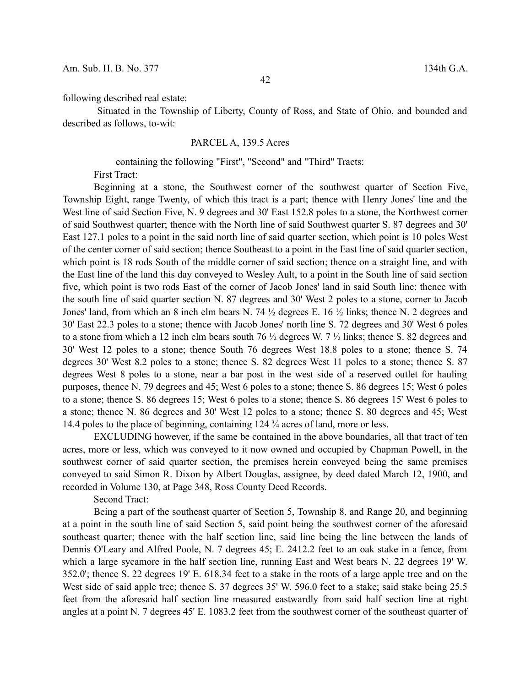following described real estate:

Situated in the Township of Liberty, County of Ross, and State of Ohio, and bounded and described as follows, to-wit:

# PARCEL A, 139.5 Acres

containing the following "First", "Second" and "Third" Tracts:

First Tract:

Beginning at a stone, the Southwest corner of the southwest quarter of Section Five, Township Eight, range Twenty, of which this tract is a part; thence with Henry Jones' line and the West line of said Section Five, N. 9 degrees and 30' East 152.8 poles to a stone, the Northwest corner of said Southwest quarter; thence with the North line of said Southwest quarter S. 87 degrees and 30' East 127.1 poles to a point in the said north line of said quarter section, which point is 10 poles West of the center corner of said section; thence Southeast to a point in the East line of said quarter section, which point is 18 rods South of the middle corner of said section; thence on a straight line, and with the East line of the land this day conveyed to Wesley Ault, to a point in the South line of said section five, which point is two rods East of the corner of Jacob Jones' land in said South line; thence with the south line of said quarter section N. 87 degrees and 30' West 2 poles to a stone, corner to Jacob Jones' land, from which an 8 inch elm bears N. 74 ½ degrees E. 16 ½ links; thence N. 2 degrees and 30' East 22.3 poles to a stone; thence with Jacob Jones' north line S. 72 degrees and 30' West 6 poles to a stone from which a 12 inch elm bears south 76 ½ degrees W. 7 ½ links; thence S. 82 degrees and 30' West 12 poles to a stone; thence South 76 degrees West 18.8 poles to a stone; thence S. 74 degrees 30' West 8.2 poles to a stone; thence S. 82 degrees West 11 poles to a stone; thence S. 87 degrees West 8 poles to a stone, near a bar post in the west side of a reserved outlet for hauling purposes, thence N. 79 degrees and 45; West 6 poles to a stone; thence S. 86 degrees 15; West 6 poles to a stone; thence S. 86 degrees 15; West 6 poles to a stone; thence S. 86 degrees 15' West 6 poles to a stone; thence N. 86 degrees and 30' West 12 poles to a stone; thence S. 80 degrees and 45; West 14.4 poles to the place of beginning, containing 124 ¾ acres of land, more or less.

EXCLUDING however, if the same be contained in the above boundaries, all that tract of ten acres, more or less, which was conveyed to it now owned and occupied by Chapman Powell, in the southwest corner of said quarter section, the premises herein conveyed being the same premises conveyed to said Simon R. Dixon by Albert Douglas, assignee, by deed dated March 12, 1900, and recorded in Volume 130, at Page 348, Ross County Deed Records.

Second Tract:

Being a part of the southeast quarter of Section 5, Township 8, and Range 20, and beginning at a point in the south line of said Section 5, said point being the southwest corner of the aforesaid southeast quarter; thence with the half section line, said line being the line between the lands of Dennis O'Leary and Alfred Poole, N. 7 degrees 45; E. 2412.2 feet to an oak stake in a fence, from which a large sycamore in the half section line, running East and West bears N. 22 degrees 19' W. 352.0'; thence S. 22 degrees 19' E. 618.34 feet to a stake in the roots of a large apple tree and on the West side of said apple tree; thence S. 37 degrees 35' W. 596.0 feet to a stake; said stake being 25.5 feet from the aforesaid half section line measured eastwardly from said half section line at right angles at a point N. 7 degrees 45' E. 1083.2 feet from the southwest corner of the southeast quarter of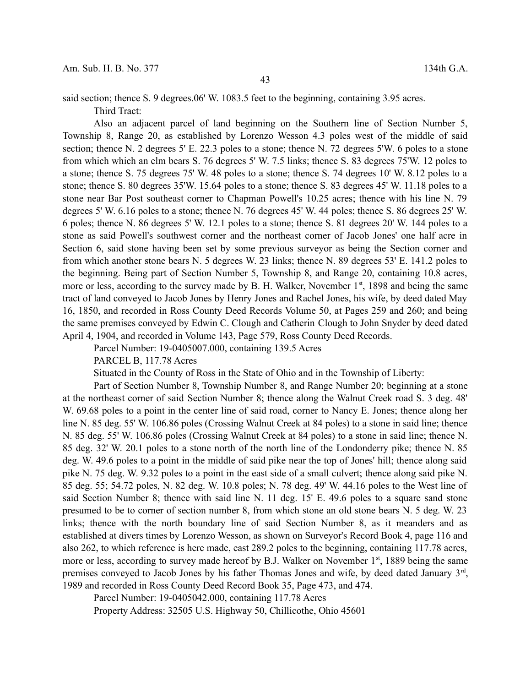said section; thence S. 9 degrees.06' W. 1083.5 feet to the beginning, containing 3.95 acres.

Third Tract:

Also an adjacent parcel of land beginning on the Southern line of Section Number 5, Township 8, Range 20, as established by Lorenzo Wesson 4.3 poles west of the middle of said section; thence N. 2 degrees 5' E. 22.3 poles to a stone; thence N. 72 degrees 5'W. 6 poles to a stone from which which an elm bears S. 76 degrees 5' W. 7.5 links; thence S. 83 degrees 75'W. 12 poles to a stone; thence S. 75 degrees 75' W. 48 poles to a stone; thence S. 74 degrees 10' W. 8.12 poles to a stone; thence S. 80 degrees 35'W. 15.64 poles to a stone; thence S. 83 degrees 45' W. 11.18 poles to a stone near Bar Post southeast corner to Chapman Powell's 10.25 acres; thence with his line N. 79 degrees 5' W. 6.16 poles to a stone; thence N. 76 degrees 45' W. 44 poles; thence S. 86 degrees 25' W. 6 poles; thence N. 86 degrees 5' W. 12.1 poles to a stone; thence S. 81 degrees 20' W. 144 poles to a stone as said Powell's southwest corner and the northeast corner of Jacob Jones' one half acre in Section 6, said stone having been set by some previous surveyor as being the Section corner and from which another stone bears N. 5 degrees W. 23 links; thence N. 89 degrees 53' E. 141.2 poles to the beginning. Being part of Section Number 5, Township 8, and Range 20, containing 10.8 acres, more or less, according to the survey made by B. H. Walker, November 1<sup>st</sup>, 1898 and being the same tract of land conveyed to Jacob Jones by Henry Jones and Rachel Jones, his wife, by deed dated May 16, 1850, and recorded in Ross County Deed Records Volume 50, at Pages 259 and 260; and being the same premises conveyed by Edwin C. Clough and Catherin Clough to John Snyder by deed dated April 4, 1904, and recorded in Volume 143, Page 579, Ross County Deed Records.

Parcel Number: 19-0405007.000, containing 139.5 Acres

PARCEL B, 117.78 Acres

Situated in the County of Ross in the State of Ohio and in the Township of Liberty:

Part of Section Number 8, Township Number 8, and Range Number 20; beginning at a stone at the northeast corner of said Section Number 8; thence along the Walnut Creek road S. 3 deg. 48' W. 69.68 poles to a point in the center line of said road, corner to Nancy E. Jones; thence along her line N. 85 deg. 55' W. 106.86 poles (Crossing Walnut Creek at 84 poles) to a stone in said line; thence N. 85 deg. 55' W. 106.86 poles (Crossing Walnut Creek at 84 poles) to a stone in said line; thence N. 85 deg. 32' W. 20.1 poles to a stone north of the north line of the Londonderry pike; thence N. 85 deg. W. 49.6 poles to a point in the middle of said pike near the top of Jones' hill; thence along said pike N. 75 deg. W. 9.32 poles to a point in the east side of a small culvert; thence along said pike N. 85 deg. 55; 54.72 poles, N. 82 deg. W. 10.8 poles; N. 78 deg. 49' W. 44.16 poles to the West line of said Section Number 8; thence with said line N. 11 deg. 15' E. 49.6 poles to a square sand stone presumed to be to corner of section number 8, from which stone an old stone bears N. 5 deg. W. 23 links; thence with the north boundary line of said Section Number 8, as it meanders and as established at divers times by Lorenzo Wesson, as shown on Surveyor's Record Book 4, page 116 and also 262, to which reference is here made, east 289.2 poles to the beginning, containing 117.78 acres, more or less, according to survey made hereof by B.J. Walker on November 1<sup>st</sup>, 1889 being the same premises conveyed to Jacob Jones by his father Thomas Jones and wife, by deed dated January 3<sup>rd</sup>, 1989 and recorded in Ross County Deed Record Book 35, Page 473, and 474.

Parcel Number: 19-0405042.000, containing 117.78 Acres

Property Address: 32505 U.S. Highway 50, Chillicothe, Ohio 45601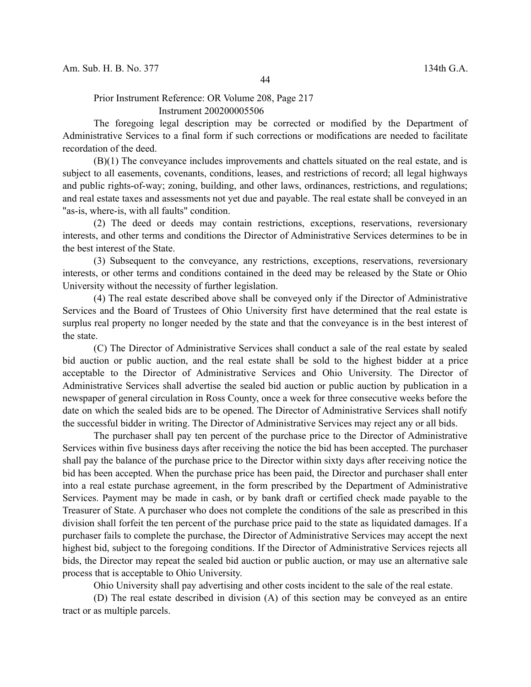Prior Instrument Reference: OR Volume 208, Page 217 Instrument 200200005506

The foregoing legal description may be corrected or modified by the Department of Administrative Services to a final form if such corrections or modifications are needed to facilitate recordation of the deed.

(B)(1) The conveyance includes improvements and chattels situated on the real estate, and is subject to all easements, covenants, conditions, leases, and restrictions of record; all legal highways and public rights-of-way; zoning, building, and other laws, ordinances, restrictions, and regulations; and real estate taxes and assessments not yet due and payable. The real estate shall be conveyed in an "as-is, where-is, with all faults" condition.

(2) The deed or deeds may contain restrictions, exceptions, reservations, reversionary interests, and other terms and conditions the Director of Administrative Services determines to be in the best interest of the State.

(3) Subsequent to the conveyance, any restrictions, exceptions, reservations, reversionary interests, or other terms and conditions contained in the deed may be released by the State or Ohio University without the necessity of further legislation.

(4) The real estate described above shall be conveyed only if the Director of Administrative Services and the Board of Trustees of Ohio University first have determined that the real estate is surplus real property no longer needed by the state and that the conveyance is in the best interest of the state.

(C) The Director of Administrative Services shall conduct a sale of the real estate by sealed bid auction or public auction, and the real estate shall be sold to the highest bidder at a price acceptable to the Director of Administrative Services and Ohio University. The Director of Administrative Services shall advertise the sealed bid auction or public auction by publication in a newspaper of general circulation in Ross County, once a week for three consecutive weeks before the date on which the sealed bids are to be opened. The Director of Administrative Services shall notify the successful bidder in writing. The Director of Administrative Services may reject any or all bids.

The purchaser shall pay ten percent of the purchase price to the Director of Administrative Services within five business days after receiving the notice the bid has been accepted. The purchaser shall pay the balance of the purchase price to the Director within sixty days after receiving notice the bid has been accepted. When the purchase price has been paid, the Director and purchaser shall enter into a real estate purchase agreement, in the form prescribed by the Department of Administrative Services. Payment may be made in cash, or by bank draft or certified check made payable to the Treasurer of State. A purchaser who does not complete the conditions of the sale as prescribed in this division shall forfeit the ten percent of the purchase price paid to the state as liquidated damages. If a purchaser fails to complete the purchase, the Director of Administrative Services may accept the next highest bid, subject to the foregoing conditions. If the Director of Administrative Services rejects all bids, the Director may repeat the sealed bid auction or public auction, or may use an alternative sale process that is acceptable to Ohio University.

Ohio University shall pay advertising and other costs incident to the sale of the real estate.

(D) The real estate described in division (A) of this section may be conveyed as an entire tract or as multiple parcels.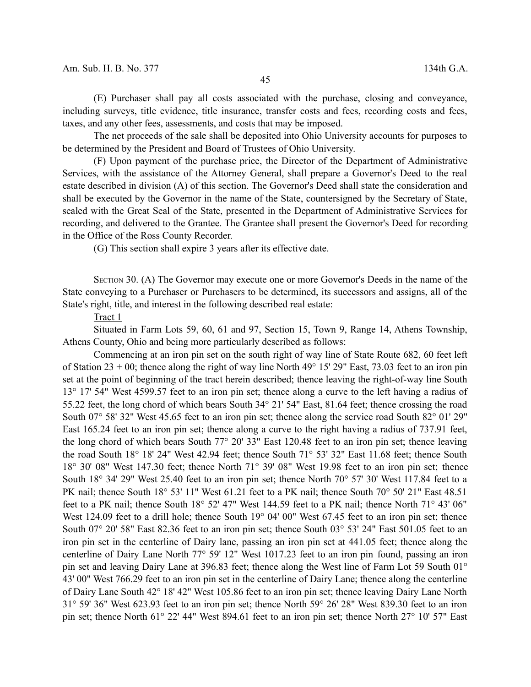(E) Purchaser shall pay all costs associated with the purchase, closing and conveyance, including surveys, title evidence, title insurance, transfer costs and fees, recording costs and fees, taxes, and any other fees, assessments, and costs that may be imposed.

The net proceeds of the sale shall be deposited into Ohio University accounts for purposes to be determined by the President and Board of Trustees of Ohio University.

(F) Upon payment of the purchase price, the Director of the Department of Administrative Services, with the assistance of the Attorney General, shall prepare a Governor's Deed to the real estate described in division (A) of this section. The Governor's Deed shall state the consideration and shall be executed by the Governor in the name of the State, countersigned by the Secretary of State, sealed with the Great Seal of the State, presented in the Department of Administrative Services for recording, and delivered to the Grantee. The Grantee shall present the Governor's Deed for recording in the Office of the Ross County Recorder.

(G) This section shall expire 3 years after its effective date.

SECTION 30. (A) The Governor may execute one or more Governor's Deeds in the name of the State conveying to a Purchaser or Purchasers to be determined, its successors and assigns, all of the State's right, title, and interest in the following described real estate:

#### Tract 1

Situated in Farm Lots 59, 60, 61 and 97, Section 15, Town 9, Range 14, Athens Township, Athens County, Ohio and being more particularly described as follows:

Commencing at an iron pin set on the south right of way line of State Route 682, 60 feet left of Station 23 + 00; thence along the right of way line North 49° 15' 29" East, 73.03 feet to an iron pin set at the point of beginning of the tract herein described; thence leaving the right-of-way line South 13° 17' 54" West 4599.57 feet to an iron pin set; thence along a curve to the left having a radius of 55.22 feet, the long chord of which bears South 34° 21' 54" East, 81.64 feet; thence crossing the road South 07° 58' 32" West 45.65 feet to an iron pin set; thence along the service road South 82° 01' 29" East 165.24 feet to an iron pin set; thence along a curve to the right having a radius of 737.91 feet, the long chord of which bears South 77° 20' 33" East 120.48 feet to an iron pin set; thence leaving the road South 18° 18' 24" West 42.94 feet; thence South 71° 53' 32" East 11.68 feet; thence South 18° 30' 08" West 147.30 feet; thence North 71° 39' 08" West 19.98 feet to an iron pin set; thence South 18° 34' 29" West 25.40 feet to an iron pin set; thence North 70° 57' 30' West 117.84 feet to a PK nail; thence South 18° 53' 11" West 61.21 feet to a PK nail; thence South 70° 50' 21" East 48.51 feet to a PK nail; thence South 18° 52' 47" West 144.59 feet to a PK nail; thence North 71° 43' 06" West 124.09 feet to a drill hole; thence South 19° 04' 00" West 67.45 feet to an iron pin set; thence South 07° 20' 58" East 82.36 feet to an iron pin set; thence South 03° 53' 24" East 501.05 feet to an iron pin set in the centerline of Dairy lane, passing an iron pin set at 441.05 feet; thence along the centerline of Dairy Lane North 77° 59' 12" West 1017.23 feet to an iron pin found, passing an iron pin set and leaving Dairy Lane at 396.83 feet; thence along the West line of Farm Lot 59 South 01° 43' 00" West 766.29 feet to an iron pin set in the centerline of Dairy Lane; thence along the centerline of Dairy Lane South 42° 18' 42" West 105.86 feet to an iron pin set; thence leaving Dairy Lane North 31° 59' 36" West 623.93 feet to an iron pin set; thence North 59° 26' 28" West 839.30 feet to an iron pin set; thence North 61° 22' 44" West 894.61 feet to an iron pin set; thence North 27° 10' 57" East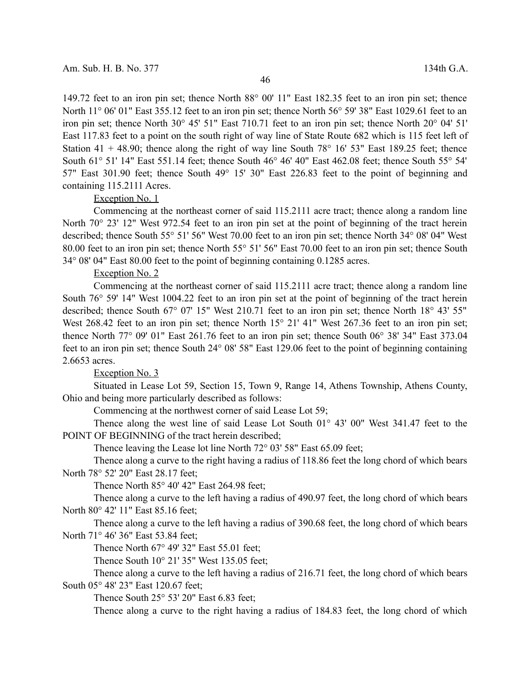149.72 feet to an iron pin set; thence North 88° 00' 11" East 182.35 feet to an iron pin set; thence North 11° 06' 01" East 355.12 feet to an iron pin set; thence North 56° 59' 38" East 1029.61 feet to an iron pin set; thence North 30° 45' 51" East 710.71 feet to an iron pin set; thence North 20° 04' 51' East 117.83 feet to a point on the south right of way line of State Route 682 which is 115 feet left of Station 41 + 48.90; thence along the right of way line South  $78^{\circ}$  16' 53" East 189.25 feet; thence South 61° 51' 14" East 551.14 feet; thence South 46° 46' 40" East 462.08 feet; thence South 55° 54' 57" East 301.90 feet; thence South 49° 15' 30" East 226.83 feet to the point of beginning and containing 115.2111 Acres.

# Exception No. 1

Commencing at the northeast corner of said 115.2111 acre tract; thence along a random line North 70° 23' 12" West 972.54 feet to an iron pin set at the point of beginning of the tract herein described; thence South 55° 51' 56" West 70.00 feet to an iron pin set; thence North 34° 08' 04" West 80.00 feet to an iron pin set; thence North 55° 51' 56" East 70.00 feet to an iron pin set; thence South 34° 08' 04" East 80.00 feet to the point of beginning containing 0.1285 acres.

### Exception No. 2

Commencing at the northeast corner of said 115.2111 acre tract; thence along a random line South 76° 59' 14" West 1004.22 feet to an iron pin set at the point of beginning of the tract herein described; thence South 67° 07' 15" West 210.71 feet to an iron pin set; thence North 18° 43' 55" West 268.42 feet to an iron pin set; thence North 15<sup>°</sup> 21' 41" West 267.36 feet to an iron pin set; thence North 77° 09' 01" East 261.76 feet to an iron pin set; thence South 06° 38' 34" East 373.04 feet to an iron pin set; thence South 24° 08' 58" East 129.06 feet to the point of beginning containing 2.6653 acres.

#### Exception No. 3

Situated in Lease Lot 59, Section 15, Town 9, Range 14, Athens Township, Athens County, Ohio and being more particularly described as follows:

Commencing at the northwest corner of said Lease Lot 59;

Thence along the west line of said Lease Lot South 01° 43' 00" West 341.47 feet to the POINT OF BEGINNING of the tract herein described;

Thence leaving the Lease lot line North 72° 03' 58" East 65.09 feet;

Thence along a curve to the right having a radius of 118.86 feet the long chord of which bears North 78° 52' 20" East 28.17 feet;

Thence North 85° 40' 42" East 264.98 feet;

Thence along a curve to the left having a radius of 490.97 feet, the long chord of which bears North 80° 42' 11" East 85.16 feet;

Thence along a curve to the left having a radius of 390.68 feet, the long chord of which bears North 71° 46' 36" East 53.84 feet;

Thence North 67° 49' 32" East 55.01 feet;

Thence South 10° 21' 35" West 135.05 feet;

Thence along a curve to the left having a radius of 216.71 feet, the long chord of which bears South 05° 48' 23" East 120.67 feet;

Thence South 25° 53' 20" East 6.83 feet;

Thence along a curve to the right having a radius of 184.83 feet, the long chord of which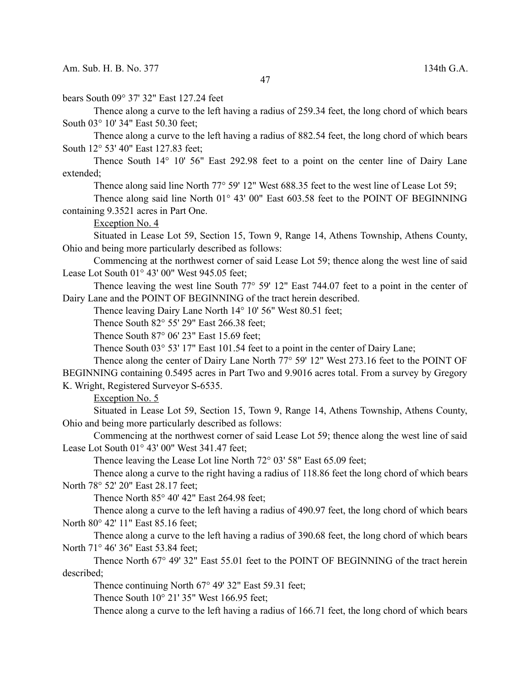bears South 09° 37' 32" East 127.24 feet

Thence along a curve to the left having a radius of 259.34 feet, the long chord of which bears South 03° 10' 34" East 50.30 feet;

Thence along a curve to the left having a radius of 882.54 feet, the long chord of which bears South 12° 53' 40" East 127.83 feet;

Thence South 14° 10' 56" East 292.98 feet to a point on the center line of Dairy Lane extended;

Thence along said line North 77° 59' 12" West 688.35 feet to the west line of Lease Lot 59;

Thence along said line North 01° 43' 00" East 603.58 feet to the POINT OF BEGINNING containing 9.3521 acres in Part One.

Exception No. 4

Situated in Lease Lot 59, Section 15, Town 9, Range 14, Athens Township, Athens County, Ohio and being more particularly described as follows:

Commencing at the northwest corner of said Lease Lot 59; thence along the west line of said Lease Lot South 01° 43' 00" West 945.05 feet;

Thence leaving the west line South 77° 59' 12" East 744.07 feet to a point in the center of Dairy Lane and the POINT OF BEGINNING of the tract herein described.

Thence leaving Dairy Lane North 14° 10' 56" West 80.51 feet;

Thence South 82° 55' 29" East 266.38 feet;

Thence South 87° 06' 23" East 15.69 feet;

Thence South 03° 53' 17" East 101.54 feet to a point in the center of Dairy Lane;

Thence along the center of Dairy Lane North 77° 59' 12" West 273.16 feet to the POINT OF BEGINNING containing 0.5495 acres in Part Two and 9.9016 acres total. From a survey by Gregory K. Wright, Registered Surveyor S-6535.

Exception No. 5

Situated in Lease Lot 59, Section 15, Town 9, Range 14, Athens Township, Athens County, Ohio and being more particularly described as follows:

Commencing at the northwest corner of said Lease Lot 59; thence along the west line of said Lease Lot South 01° 43' 00" West 341.47 feet;

Thence leaving the Lease Lot line North 72° 03' 58" East 65.09 feet;

Thence along a curve to the right having a radius of 118.86 feet the long chord of which bears North 78° 52' 20" East 28.17 feet;

Thence North 85° 40' 42" East 264.98 feet;

Thence along a curve to the left having a radius of 490.97 feet, the long chord of which bears North 80° 42' 11" East 85.16 feet;

Thence along a curve to the left having a radius of 390.68 feet, the long chord of which bears North 71° 46' 36" East 53.84 feet;

Thence North 67° 49' 32" East 55.01 feet to the POINT OF BEGINNING of the tract herein described;

Thence continuing North 67° 49′ 32″ East 59.31 feet;

Thence South 10° 21' 35" West 166.95 feet;

Thence along a curve to the left having a radius of 166.71 feet, the long chord of which bears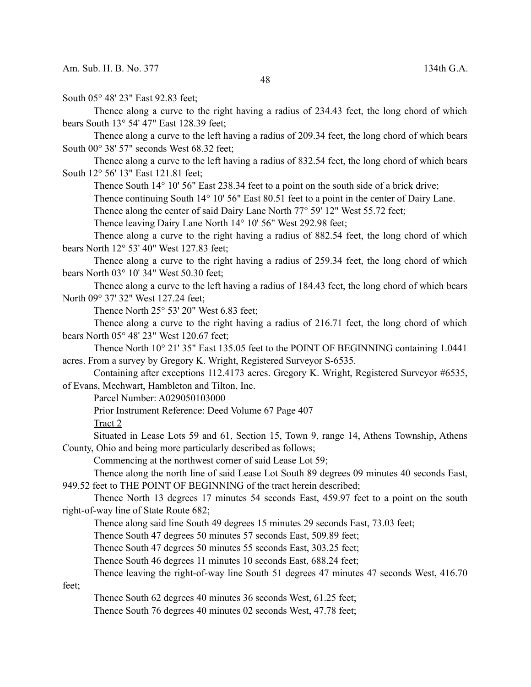South 05° 48' 23" East 92.83 feet;

Thence along a curve to the right having a radius of 234.43 feet, the long chord of which bears South 13° 54' 47" East 128.39 feet;

Thence along a curve to the left having a radius of 209.34 feet, the long chord of which bears South 00° 38' 57" seconds West 68.32 feet;

Thence along a curve to the left having a radius of 832.54 feet, the long chord of which bears South 12° 56' 13" East 121.81 feet;

Thence South 14° 10' 56" East 238.34 feet to a point on the south side of a brick drive;

Thence continuing South 14° 10' 56" East 80.51 feet to a point in the center of Dairy Lane.

Thence along the center of said Dairy Lane North 77° 59' 12" West 55.72 feet;

Thence leaving Dairy Lane North 14° 10' 56" West 292.98 feet;

Thence along a curve to the right having a radius of 882.54 feet, the long chord of which bears North 12° 53' 40" West 127.83 feet;

Thence along a curve to the right having a radius of 259.34 feet, the long chord of which bears North 03° 10' 34" West 50.30 feet;

Thence along a curve to the left having a radius of 184.43 feet, the long chord of which bears North 09° 37' 32" West 127.24 feet;

Thence North 25° 53' 20" West 6.83 feet;

Thence along a curve to the right having a radius of 216.71 feet, the long chord of which bears North 05° 48' 23" West 120.67 feet;

Thence North 10° 21' 35" East 135.05 feet to the POINT OF BEGINNING containing 1.0441 acres. From a survey by Gregory K. Wright, Registered Surveyor S-6535.

Containing after exceptions 112.4173 acres. Gregory K. Wright, Registered Surveyor #6535, of Evans, Mechwart, Hambleton and Tilton, Inc.

Parcel Number: A029050103000

Prior Instrument Reference: Deed Volume 67 Page 407

Tract 2

Situated in Lease Lots 59 and 61, Section 15, Town 9, range 14, Athens Township, Athens County, Ohio and being more particularly described as follows;

Commencing at the northwest corner of said Lease Lot 59;

Thence along the north line of said Lease Lot South 89 degrees 09 minutes 40 seconds East, 949.52 feet to THE POINT OF BEGINNING of the tract herein described;

Thence North 13 degrees 17 minutes 54 seconds East, 459.97 feet to a point on the south right-of-way line of State Route 682;

Thence along said line South 49 degrees 15 minutes 29 seconds East, 73.03 feet;

Thence South 47 degrees 50 minutes 57 seconds East, 509.89 feet;

Thence South 47 degrees 50 minutes 55 seconds East, 303.25 feet;

Thence South 46 degrees 11 minutes 10 seconds East, 688.24 feet;

Thence leaving the right-of-way line South 51 degrees 47 minutes 47 seconds West, 416.70

feet;

Thence South 62 degrees 40 minutes 36 seconds West, 61.25 feet;

Thence South 76 degrees 40 minutes 02 seconds West, 47.78 feet;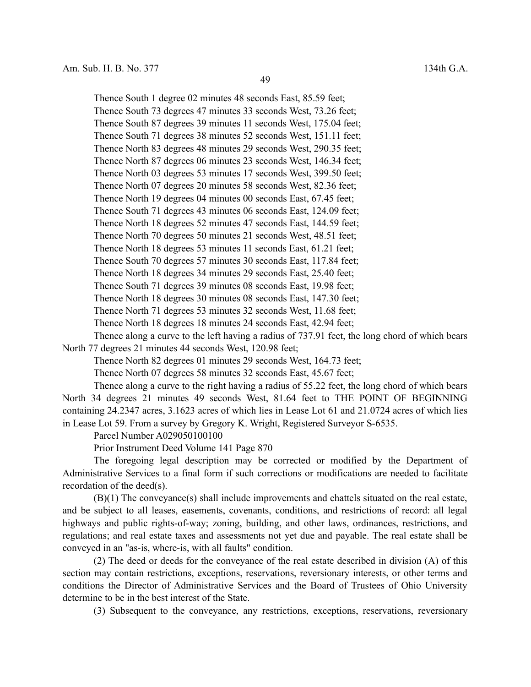49

Thence South 73 degrees 47 minutes 33 seconds West, 73.26 feet; Thence South 87 degrees 39 minutes 11 seconds West, 175.04 feet; Thence South 71 degrees 38 minutes 52 seconds West, 151.11 feet; Thence North 83 degrees 48 minutes 29 seconds West, 290.35 feet; Thence North 87 degrees 06 minutes 23 seconds West, 146.34 feet; Thence North 03 degrees 53 minutes 17 seconds West, 399.50 feet; Thence North 07 degrees 20 minutes 58 seconds West, 82.36 feet; Thence North 19 degrees 04 minutes 00 seconds East, 67.45 feet; Thence South 71 degrees 43 minutes 06 seconds East, 124.09 feet; Thence North 18 degrees 52 minutes 47 seconds East, 144.59 feet; Thence North 70 degrees 50 minutes 21 seconds West, 48.51 feet; Thence North 18 degrees 53 minutes 11 seconds East, 61.21 feet; Thence South 70 degrees 57 minutes 30 seconds East, 117.84 feet; Thence North 18 degrees 34 minutes 29 seconds East, 25.40 feet; Thence South 71 degrees 39 minutes 08 seconds East, 19.98 feet; Thence North 18 degrees 30 minutes 08 seconds East, 147.30 feet; Thence North 71 degrees 53 minutes 32 seconds West, 11.68 feet; Thence North 18 degrees 18 minutes 24 seconds East, 42.94 feet;

Thence South 1 degree 02 minutes 48 seconds East, 85.59 feet;

Thence along a curve to the left having a radius of 737.91 feet, the long chord of which bears North 77 degrees 21 minutes 44 seconds West, 120.98 feet;

Thence North 82 degrees 01 minutes 29 seconds West, 164.73 feet;

Thence North 07 degrees 58 minutes 32 seconds East, 45.67 feet;

Thence along a curve to the right having a radius of 55.22 feet, the long chord of which bears North 34 degrees 21 minutes 49 seconds West, 81.64 feet to THE POINT OF BEGINNING containing 24.2347 acres, 3.1623 acres of which lies in Lease Lot 61 and 21.0724 acres of which lies in Lease Lot 59. From a survey by Gregory K. Wright, Registered Surveyor S-6535.

Parcel Number A029050100100

Prior Instrument Deed Volume 141 Page 870

The foregoing legal description may be corrected or modified by the Department of Administrative Services to a final form if such corrections or modifications are needed to facilitate recordation of the deed(s).

(B)(1) The conveyance(s) shall include improvements and chattels situated on the real estate, and be subject to all leases, easements, covenants, conditions, and restrictions of record: all legal highways and public rights-of-way; zoning, building, and other laws, ordinances, restrictions, and regulations; and real estate taxes and assessments not yet due and payable. The real estate shall be conveyed in an "as-is, where-is, with all faults" condition.

(2) The deed or deeds for the conveyance of the real estate described in division (A) of this section may contain restrictions, exceptions, reservations, reversionary interests, or other terms and conditions the Director of Administrative Services and the Board of Trustees of Ohio University determine to be in the best interest of the State.

(3) Subsequent to the conveyance, any restrictions, exceptions, reservations, reversionary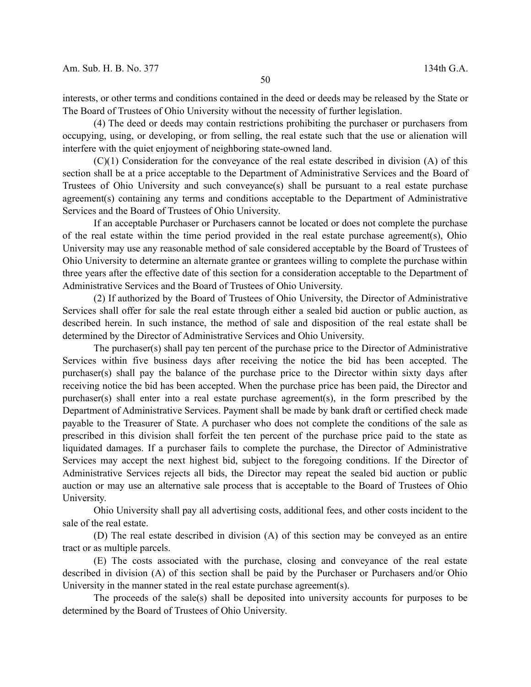interests, or other terms and conditions contained in the deed or deeds may be released by the State or The Board of Trustees of Ohio University without the necessity of further legislation.

(4) The deed or deeds may contain restrictions prohibiting the purchaser or purchasers from occupying, using, or developing, or from selling, the real estate such that the use or alienation will interfere with the quiet enjoyment of neighboring state-owned land.

(C)(1) Consideration for the conveyance of the real estate described in division (A) of this section shall be at a price acceptable to the Department of Administrative Services and the Board of Trustees of Ohio University and such conveyance(s) shall be pursuant to a real estate purchase agreement(s) containing any terms and conditions acceptable to the Department of Administrative Services and the Board of Trustees of Ohio University.

If an acceptable Purchaser or Purchasers cannot be located or does not complete the purchase of the real estate within the time period provided in the real estate purchase agreement(s), Ohio University may use any reasonable method of sale considered acceptable by the Board of Trustees of Ohio University to determine an alternate grantee or grantees willing to complete the purchase within three years after the effective date of this section for a consideration acceptable to the Department of Administrative Services and the Board of Trustees of Ohio University.

(2) If authorized by the Board of Trustees of Ohio University, the Director of Administrative Services shall offer for sale the real estate through either a sealed bid auction or public auction, as described herein. In such instance, the method of sale and disposition of the real estate shall be determined by the Director of Administrative Services and Ohio University.

The purchaser(s) shall pay ten percent of the purchase price to the Director of Administrative Services within five business days after receiving the notice the bid has been accepted. The purchaser(s) shall pay the balance of the purchase price to the Director within sixty days after receiving notice the bid has been accepted. When the purchase price has been paid, the Director and purchaser(s) shall enter into a real estate purchase agreement(s), in the form prescribed by the Department of Administrative Services. Payment shall be made by bank draft or certified check made payable to the Treasurer of State. A purchaser who does not complete the conditions of the sale as prescribed in this division shall forfeit the ten percent of the purchase price paid to the state as liquidated damages. If a purchaser fails to complete the purchase, the Director of Administrative Services may accept the next highest bid, subject to the foregoing conditions. If the Director of Administrative Services rejects all bids, the Director may repeat the sealed bid auction or public auction or may use an alternative sale process that is acceptable to the Board of Trustees of Ohio University.

Ohio University shall pay all advertising costs, additional fees, and other costs incident to the sale of the real estate.

(D) The real estate described in division (A) of this section may be conveyed as an entire tract or as multiple parcels.

(E) The costs associated with the purchase, closing and conveyance of the real estate described in division (A) of this section shall be paid by the Purchaser or Purchasers and/or Ohio University in the manner stated in the real estate purchase agreement(s).

The proceeds of the sale(s) shall be deposited into university accounts for purposes to be determined by the Board of Trustees of Ohio University.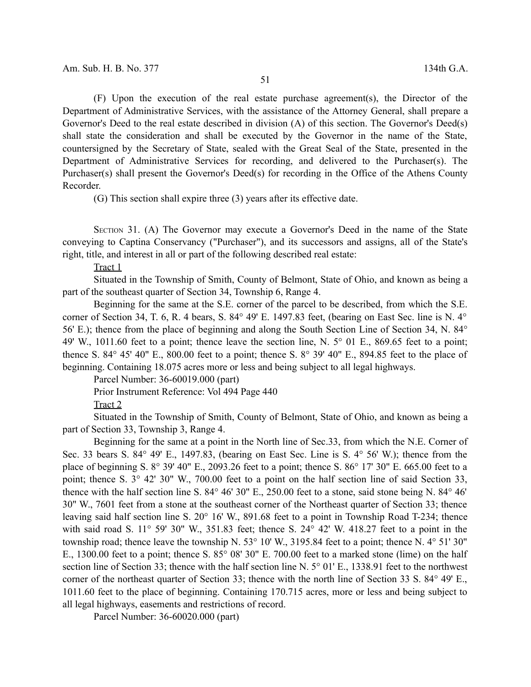(F) Upon the execution of the real estate purchase agreement(s), the Director of the Department of Administrative Services, with the assistance of the Attorney General, shall prepare a Governor's Deed to the real estate described in division (A) of this section. The Governor's Deed(s) shall state the consideration and shall be executed by the Governor in the name of the State, countersigned by the Secretary of State, sealed with the Great Seal of the State, presented in the Department of Administrative Services for recording, and delivered to the Purchaser(s). The Purchaser(s) shall present the Governor's Deed(s) for recording in the Office of the Athens County Recorder.

(G) This section shall expire three (3) years after its effective date.

SECTION 31. (A) The Governor may execute a Governor's Deed in the name of the State conveying to Captina Conservancy ("Purchaser"), and its successors and assigns, all of the State's right, title, and interest in all or part of the following described real estate:

Tract 1

Situated in the Township of Smith, County of Belmont, State of Ohio, and known as being a part of the southeast quarter of Section 34, Township 6, Range 4.

Beginning for the same at the S.E. corner of the parcel to be described, from which the S.E. corner of Section 34, T. 6, R. 4 bears, S. 84° 49' E. 1497.83 feet, (bearing on East Sec. line is N. 4° 56' E.); thence from the place of beginning and along the South Section Line of Section 34, N. 84° 49' W., 1011.60 feet to a point; thence leave the section line, N. 5° 01 E., 869.65 feet to a point; thence S.  $84^\circ$  45' 40" E.,  $800.00$  feet to a point; thence S.  $8^\circ$  39' 40" E.,  $894.85$  feet to the place of beginning. Containing 18.075 acres more or less and being subject to all legal highways.

Parcel Number: 36-60019.000 (part)

Prior Instrument Reference: Vol 494 Page 440

Tract 2

Situated in the Township of Smith, County of Belmont, State of Ohio, and known as being a part of Section 33, Township 3, Range 4.

Beginning for the same at a point in the North line of Sec.33, from which the N.E. Corner of Sec. 33 bears S. 84° 49' E., 1497.83, (bearing on East Sec. Line is S. 4° 56' W.); thence from the place of beginning S. 8° 39' 40" E., 2093.26 feet to a point; thence S. 86° 17' 30" E. 665.00 feet to a point; thence S. 3° 42' 30" W., 700.00 feet to a point on the half section line of said Section 33, thence with the half section line S. 84° 46' 30" E., 250.00 feet to a stone, said stone being N. 84° 46' 30" W., 7601 feet from a stone at the southeast corner of the Northeast quarter of Section 33; thence leaving said half section line S. 20° 16' W., 891.68 feet to a point in Township Road T-234; thence with said road S. 11° 59' 30" W., 351.83 feet; thence S. 24° 42' W. 418.27 feet to a point in the township road; thence leave the township N. 53° 10' W., 3195.84 feet to a point; thence N. 4° 51' 30" E., 1300.00 feet to a point; thence S. 85° 08' 30" E. 700.00 feet to a marked stone (lime) on the half section line of Section 33; thence with the half section line N. 5° 01' E., 1338.91 feet to the northwest corner of the northeast quarter of Section 33; thence with the north line of Section 33 S. 84° 49' E., 1011.60 feet to the place of beginning. Containing 170.715 acres, more or less and being subject to all legal highways, easements and restrictions of record.

Parcel Number: 36-60020.000 (part)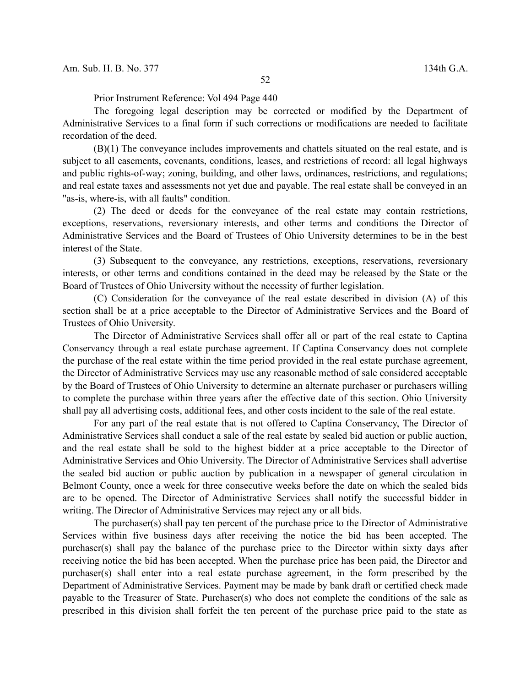Prior Instrument Reference: Vol 494 Page 440

The foregoing legal description may be corrected or modified by the Department of Administrative Services to a final form if such corrections or modifications are needed to facilitate recordation of the deed.

(B)(1) The conveyance includes improvements and chattels situated on the real estate, and is subject to all easements, covenants, conditions, leases, and restrictions of record: all legal highways and public rights-of-way; zoning, building, and other laws, ordinances, restrictions, and regulations; and real estate taxes and assessments not yet due and payable. The real estate shall be conveyed in an "as-is, where-is, with all faults" condition.

(2) The deed or deeds for the conveyance of the real estate may contain restrictions, exceptions, reservations, reversionary interests, and other terms and conditions the Director of Administrative Services and the Board of Trustees of Ohio University determines to be in the best interest of the State.

(3) Subsequent to the conveyance, any restrictions, exceptions, reservations, reversionary interests, or other terms and conditions contained in the deed may be released by the State or the Board of Trustees of Ohio University without the necessity of further legislation.

(C) Consideration for the conveyance of the real estate described in division (A) of this section shall be at a price acceptable to the Director of Administrative Services and the Board of Trustees of Ohio University.

The Director of Administrative Services shall offer all or part of the real estate to Captina Conservancy through a real estate purchase agreement. If Captina Conservancy does not complete the purchase of the real estate within the time period provided in the real estate purchase agreement, the Director of Administrative Services may use any reasonable method of sale considered acceptable by the Board of Trustees of Ohio University to determine an alternate purchaser or purchasers willing to complete the purchase within three years after the effective date of this section. Ohio University shall pay all advertising costs, additional fees, and other costs incident to the sale of the real estate.

For any part of the real estate that is not offered to Captina Conservancy, The Director of Administrative Services shall conduct a sale of the real estate by sealed bid auction or public auction, and the real estate shall be sold to the highest bidder at a price acceptable to the Director of Administrative Services and Ohio University. The Director of Administrative Services shall advertise the sealed bid auction or public auction by publication in a newspaper of general circulation in Belmont County, once a week for three consecutive weeks before the date on which the sealed bids are to be opened. The Director of Administrative Services shall notify the successful bidder in writing. The Director of Administrative Services may reject any or all bids.

The purchaser(s) shall pay ten percent of the purchase price to the Director of Administrative Services within five business days after receiving the notice the bid has been accepted. The purchaser(s) shall pay the balance of the purchase price to the Director within sixty days after receiving notice the bid has been accepted. When the purchase price has been paid, the Director and purchaser(s) shall enter into a real estate purchase agreement, in the form prescribed by the Department of Administrative Services. Payment may be made by bank draft or certified check made payable to the Treasurer of State. Purchaser(s) who does not complete the conditions of the sale as prescribed in this division shall forfeit the ten percent of the purchase price paid to the state as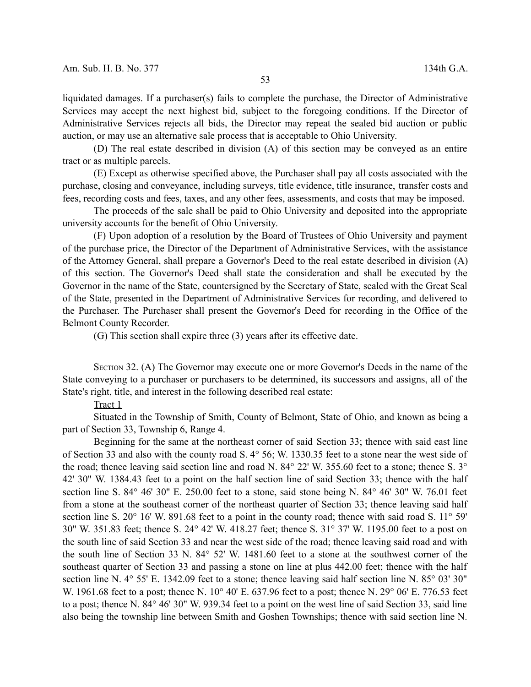liquidated damages. If a purchaser(s) fails to complete the purchase, the Director of Administrative Services may accept the next highest bid, subject to the foregoing conditions. If the Director of Administrative Services rejects all bids, the Director may repeat the sealed bid auction or public auction, or may use an alternative sale process that is acceptable to Ohio University.

(D) The real estate described in division (A) of this section may be conveyed as an entire tract or as multiple parcels.

(E) Except as otherwise specified above, the Purchaser shall pay all costs associated with the purchase, closing and conveyance, including surveys, title evidence, title insurance, transfer costs and fees, recording costs and fees, taxes, and any other fees, assessments, and costs that may be imposed.

The proceeds of the sale shall be paid to Ohio University and deposited into the appropriate university accounts for the benefit of Ohio University.

(F) Upon adoption of a resolution by the Board of Trustees of Ohio University and payment of the purchase price, the Director of the Department of Administrative Services, with the assistance of the Attorney General, shall prepare a Governor's Deed to the real estate described in division (A) of this section. The Governor's Deed shall state the consideration and shall be executed by the Governor in the name of the State, countersigned by the Secretary of State, sealed with the Great Seal of the State, presented in the Department of Administrative Services for recording, and delivered to the Purchaser. The Purchaser shall present the Governor's Deed for recording in the Office of the Belmont County Recorder.

(G) This section shall expire three (3) years after its effective date.

SECTION 32. (A) The Governor may execute one or more Governor's Deeds in the name of the State conveying to a purchaser or purchasers to be determined, its successors and assigns, all of the State's right, title, and interest in the following described real estate:

# Tract 1

Situated in the Township of Smith, County of Belmont, State of Ohio, and known as being a part of Section 33, Township 6, Range 4.

Beginning for the same at the northeast corner of said Section 33; thence with said east line of Section 33 and also with the county road S. 4° 56; W. 1330.35 feet to a stone near the west side of the road; thence leaving said section line and road N. 84° 22' W. 355.60 feet to a stone; thence S. 3° 42' 30" W. 1384.43 feet to a point on the half section line of said Section 33; thence with the half section line S. 84° 46' 30" E. 250.00 feet to a stone, said stone being N. 84° 46' 30" W. 76.01 feet from a stone at the southeast corner of the northeast quarter of Section 33; thence leaving said half section line S. 20° 16' W. 891.68 feet to a point in the county road; thence with said road S. 11° 59' 30" W. 351.83 feet; thence S. 24° 42' W. 418.27 feet; thence S. 31° 37' W. 1195.00 feet to a post on the south line of said Section 33 and near the west side of the road; thence leaving said road and with the south line of Section 33 N. 84° 52' W. 1481.60 feet to a stone at the southwest corner of the southeast quarter of Section 33 and passing a stone on line at plus 442.00 feet; thence with the half section line N.  $4^{\circ}$  55' E. 1342.09 feet to a stone; thence leaving said half section line N. 85° 03' 30" W. 1961.68 feet to a post; thence N. 10° 40' E. 637.96 feet to a post; thence N. 29° 06' E. 776.53 feet to a post; thence N. 84° 46' 30" W. 939.34 feet to a point on the west line of said Section 33, said line also being the township line between Smith and Goshen Townships; thence with said section line N.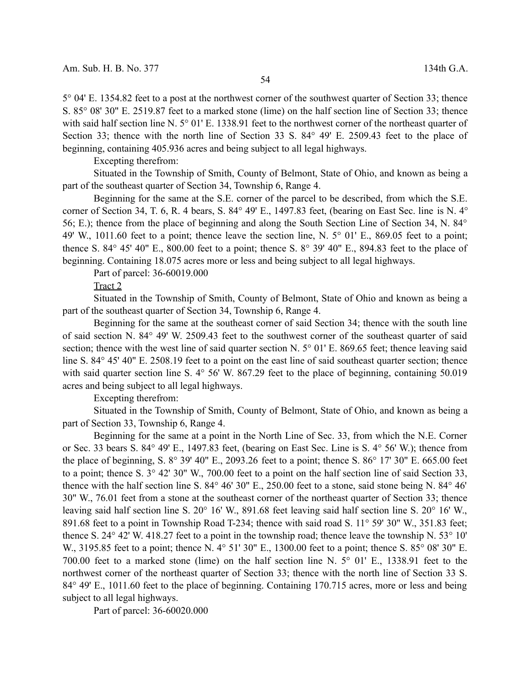5° 04' E. 1354.82 feet to a post at the northwest corner of the southwest quarter of Section 33; thence S. 85° 08' 30" E. 2519.87 feet to a marked stone (lime) on the half section line of Section 33; thence with said half section line N. 5° 01' E. 1338.91 feet to the northwest corner of the northeast quarter of Section 33; thence with the north line of Section 33 S. 84° 49' E. 2509.43 feet to the place of beginning, containing 405.936 acres and being subject to all legal highways.

Excepting therefrom:

Situated in the Township of Smith, County of Belmont, State of Ohio, and known as being a part of the southeast quarter of Section 34, Township 6, Range 4.

Beginning for the same at the S.E. corner of the parcel to be described, from which the S.E. corner of Section 34, T. 6, R. 4 bears, S. 84° 49' E., 1497.83 feet, (bearing on East Sec. line is N. 4° 56; E.); thence from the place of beginning and along the South Section Line of Section 34, N. 84° 49' W., 1011.60 feet to a point; thence leave the section line, N. 5° 01' E., 869.05 feet to a point; thence S. 84 $\degree$  45' 40" E., 800.00 feet to a point; thence S. 8 $\degree$  39' 40" E., 894.83 feet to the place of beginning. Containing 18.075 acres more or less and being subject to all legal highways.

Part of parcel: 36-60019.000

Tract 2

Situated in the Township of Smith, County of Belmont, State of Ohio and known as being a part of the southeast quarter of Section 34, Township 6, Range 4.

Beginning for the same at the southeast corner of said Section 34; thence with the south line of said section N. 84° 49' W. 2509.43 feet to the southwest corner of the southeast quarter of said section; thence with the west line of said quarter section N. 5° 01' E. 869.65 feet; thence leaving said line S. 84° 45′ 40″ E. 2508.19 feet to a point on the east line of said southeast quarter section; thence with said quarter section line S.  $4^{\circ}$  56' W. 867.29 feet to the place of beginning, containing 50.019 acres and being subject to all legal highways.

Excepting therefrom:

Situated in the Township of Smith, County of Belmont, State of Ohio, and known as being a part of Section 33, Township 6, Range 4.

Beginning for the same at a point in the North Line of Sec. 33, from which the N.E. Corner or Sec. 33 bears S. 84° 49' E., 1497.83 feet, (bearing on East Sec. Line is S. 4° 56' W.); thence from the place of beginning, S. 8° 39' 40" E., 2093.26 feet to a point; thence S. 86° 17' 30" E. 665.00 feet to a point; thence S. 3° 42' 30" W., 700.00 feet to a point on the half section line of said Section 33, thence with the half section line S. 84° 46' 30" E., 250.00 feet to a stone, said stone being N. 84° 46' 30" W., 76.01 feet from a stone at the southeast corner of the northeast quarter of Section 33; thence leaving said half section line S. 20° 16' W., 891.68 feet leaving said half section line S. 20° 16' W., 891.68 feet to a point in Township Road T-234; thence with said road S. 11° 59' 30" W., 351.83 feet; thence S. 24° 42' W. 418.27 feet to a point in the township road; thence leave the township N. 53° 10' W., 3195.85 feet to a point; thence N. 4° 51' 30" E., 1300.00 feet to a point; thence S. 85° 08' 30" E. 700.00 feet to a marked stone (lime) on the half section line N. 5° 01' E., 1338.91 feet to the northwest corner of the northeast quarter of Section 33; thence with the north line of Section 33 S. 84° 49' E., 1011.60 feet to the place of beginning. Containing 170.715 acres, more or less and being subject to all legal highways.

Part of parcel: 36-60020.000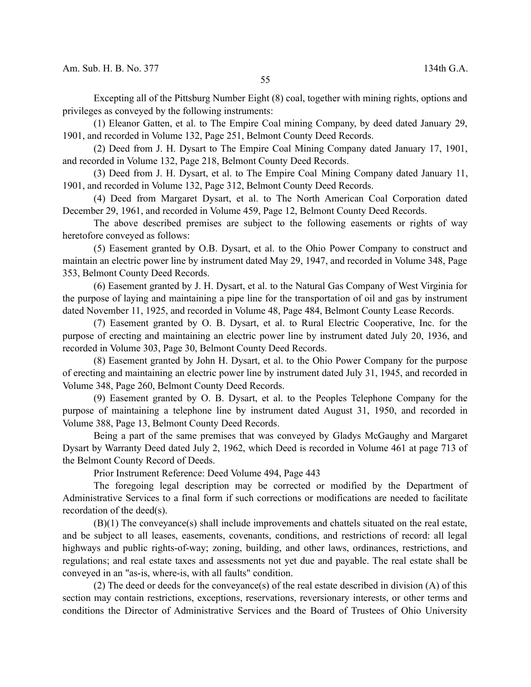Excepting all of the Pittsburg Number Eight (8) coal, together with mining rights, options and privileges as conveyed by the following instruments:

(1) Eleanor Gatten, et al. to The Empire Coal mining Company, by deed dated January 29, 1901, and recorded in Volume 132, Page 251, Belmont County Deed Records.

(2) Deed from J. H. Dysart to The Empire Coal Mining Company dated January 17, 1901, and recorded in Volume 132, Page 218, Belmont County Deed Records.

(3) Deed from J. H. Dysart, et al. to The Empire Coal Mining Company dated January 11, 1901, and recorded in Volume 132, Page 312, Belmont County Deed Records.

(4) Deed from Margaret Dysart, et al. to The North American Coal Corporation dated December 29, 1961, and recorded in Volume 459, Page 12, Belmont County Deed Records.

The above described premises are subject to the following easements or rights of way heretofore conveyed as follows:

(5) Easement granted by O.B. Dysart, et al. to the Ohio Power Company to construct and maintain an electric power line by instrument dated May 29, 1947, and recorded in Volume 348, Page 353, Belmont County Deed Records.

(6) Easement granted by J. H. Dysart, et al. to the Natural Gas Company of West Virginia for the purpose of laying and maintaining a pipe line for the transportation of oil and gas by instrument dated November 11, 1925, and recorded in Volume 48, Page 484, Belmont County Lease Records.

(7) Easement granted by O. B. Dysart, et al. to Rural Electric Cooperative, Inc. for the purpose of erecting and maintaining an electric power line by instrument dated July 20, 1936, and recorded in Volume 303, Page 30, Belmont County Deed Records.

(8) Easement granted by John H. Dysart, et al. to the Ohio Power Company for the purpose of erecting and maintaining an electric power line by instrument dated July 31, 1945, and recorded in Volume 348, Page 260, Belmont County Deed Records.

(9) Easement granted by O. B. Dysart, et al. to the Peoples Telephone Company for the purpose of maintaining a telephone line by instrument dated August 31, 1950, and recorded in Volume 388, Page 13, Belmont County Deed Records.

Being a part of the same premises that was conveyed by Gladys McGaughy and Margaret Dysart by Warranty Deed dated July 2, 1962, which Deed is recorded in Volume 461 at page 713 of the Belmont County Record of Deeds.

Prior Instrument Reference: Deed Volume 494, Page 443

The foregoing legal description may be corrected or modified by the Department of Administrative Services to a final form if such corrections or modifications are needed to facilitate recordation of the deed(s).

(B)(1) The conveyance(s) shall include improvements and chattels situated on the real estate, and be subject to all leases, easements, covenants, conditions, and restrictions of record: all legal highways and public rights-of-way; zoning, building, and other laws, ordinances, restrictions, and regulations; and real estate taxes and assessments not yet due and payable. The real estate shall be conveyed in an "as-is, where-is, with all faults" condition.

(2) The deed or deeds for the conveyance(s) of the real estate described in division (A) of this section may contain restrictions, exceptions, reservations, reversionary interests, or other terms and conditions the Director of Administrative Services and the Board of Trustees of Ohio University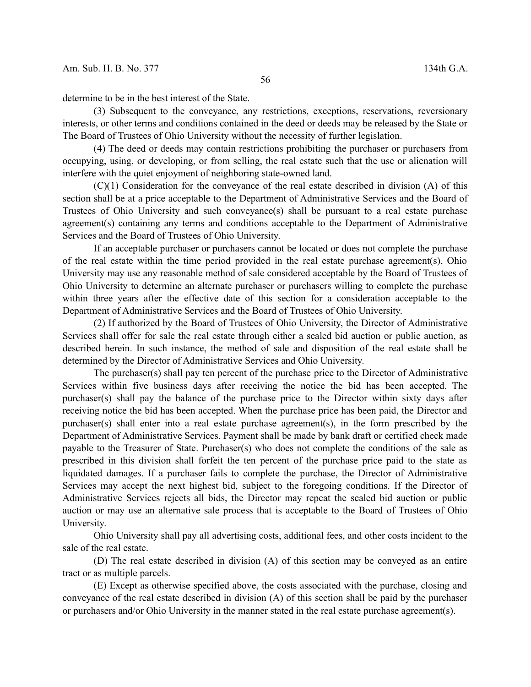determine to be in the best interest of the State.

(3) Subsequent to the conveyance, any restrictions, exceptions, reservations, reversionary interests, or other terms and conditions contained in the deed or deeds may be released by the State or The Board of Trustees of Ohio University without the necessity of further legislation.

(4) The deed or deeds may contain restrictions prohibiting the purchaser or purchasers from occupying, using, or developing, or from selling, the real estate such that the use or alienation will interfere with the quiet enjoyment of neighboring state-owned land.

(C)(1) Consideration for the conveyance of the real estate described in division (A) of this section shall be at a price acceptable to the Department of Administrative Services and the Board of Trustees of Ohio University and such conveyance(s) shall be pursuant to a real estate purchase agreement(s) containing any terms and conditions acceptable to the Department of Administrative Services and the Board of Trustees of Ohio University.

If an acceptable purchaser or purchasers cannot be located or does not complete the purchase of the real estate within the time period provided in the real estate purchase agreement(s), Ohio University may use any reasonable method of sale considered acceptable by the Board of Trustees of Ohio University to determine an alternate purchaser or purchasers willing to complete the purchase within three years after the effective date of this section for a consideration acceptable to the Department of Administrative Services and the Board of Trustees of Ohio University.

(2) If authorized by the Board of Trustees of Ohio University, the Director of Administrative Services shall offer for sale the real estate through either a sealed bid auction or public auction, as described herein. In such instance, the method of sale and disposition of the real estate shall be determined by the Director of Administrative Services and Ohio University.

The purchaser(s) shall pay ten percent of the purchase price to the Director of Administrative Services within five business days after receiving the notice the bid has been accepted. The purchaser(s) shall pay the balance of the purchase price to the Director within sixty days after receiving notice the bid has been accepted. When the purchase price has been paid, the Director and purchaser(s) shall enter into a real estate purchase agreement(s), in the form prescribed by the Department of Administrative Services. Payment shall be made by bank draft or certified check made payable to the Treasurer of State. Purchaser(s) who does not complete the conditions of the sale as prescribed in this division shall forfeit the ten percent of the purchase price paid to the state as liquidated damages. If a purchaser fails to complete the purchase, the Director of Administrative Services may accept the next highest bid, subject to the foregoing conditions. If the Director of Administrative Services rejects all bids, the Director may repeat the sealed bid auction or public auction or may use an alternative sale process that is acceptable to the Board of Trustees of Ohio University.

Ohio University shall pay all advertising costs, additional fees, and other costs incident to the sale of the real estate.

(D) The real estate described in division (A) of this section may be conveyed as an entire tract or as multiple parcels.

(E) Except as otherwise specified above, the costs associated with the purchase, closing and conveyance of the real estate described in division (A) of this section shall be paid by the purchaser or purchasers and/or Ohio University in the manner stated in the real estate purchase agreement(s).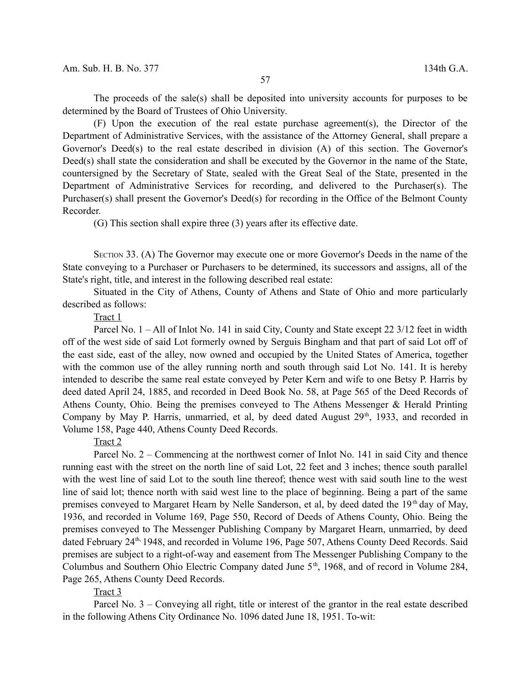The proceeds of the sale(s) shall be deposited into university accounts for purposes to be determined by the Board of Trustees of Ohio University.

(F) Upon the execution of the real estate purchase agreement(s), the Director of the Department of Administrative Services, with the assistance of the Attorney General, shall prepare a Governor's Deed(s) to the real estate described in division (A) of this section. The Governor's Deed(s) shall state the consideration and shall be executed by the Governor in the name of the State, countersigned by the Secretary of State, sealed with the Great Seal of the State, presented in the Department of Administrative Services for recording, and delivered to the Purchaser(s). The Purchaser(s) shall present the Governor's Deed(s) for recording in the Office of the Belmont County Recorder.

(G) This section shall expire three (3) years after its effective date.

SECTION 33. (A) The Governor may execute one or more Governor's Deeds in the name of the State conveying to a Purchaser or Purchasers to be determined, its successors and assigns, all of the State's right, title, and interest in the following described real estate:

Situated in the City of Athens, County of Athens and State of Ohio and more particularly described as follows:

### Tract 1

Parcel No. 1 – All of Inlot No. 141 in said City, County and State except 22 3/12 feet in width off of the west side of said Lot formerly owned by Serguis Bingham and that part of said Lot off of the east side, east of the alley, now owned and occupied by the United States of America, together with the common use of the alley running north and south through said Lot No. 141. It is hereby intended to describe the same real estate conveyed by Peter Kern and wife to one Betsy P. Harris by deed dated April 24, 1885, and recorded in Deed Book No. 58, at Page 565 of the Deed Records of Athens County, Ohio. Being the premises conveyed to The Athens Messenger & Herald Printing Company by May P. Harris, unmarried, et al, by deed dated August  $29<sup>th</sup>$ , 1933, and recorded in Volume 158, Page 440, Athens County Deed Records.

### Tract 2

Parcel No. 2 – Commencing at the northwest corner of Inlot No. 141 in said City and thence running east with the street on the north line of said Lot, 22 feet and 3 inches; thence south parallel with the west line of said Lot to the south line thereof; thence west with said south line to the west line of said lot; thence north with said west line to the place of beginning. Being a part of the same premises conveyed to Margaret Hearn by Nelle Sanderson, et al, by deed dated the 19<sup>th</sup> day of May, 1936, and recorded in Volume 169, Page 550, Record of Deeds of Athens County, Ohio. Being the premises conveyed to The Messenger Publishing Company by Margaret Hearn, unmarried, by deed dated February 24<sup>th,</sup> 1948, and recorded in Volume 196, Page 507, Athens County Deed Records. Said premises are subject to a right-of-way and easement from The Messenger Publishing Company to the Columbus and Southern Ohio Electric Company dated June  $5<sup>th</sup>$ , 1968, and of record in Volume 284, Page 265, Athens County Deed Records.

## Tract 3

Parcel No. 3 – Conveying all right, title or interest of the grantor in the real estate described in the following Athens City Ordinance No. 1096 dated June 18, 1951. To-wit: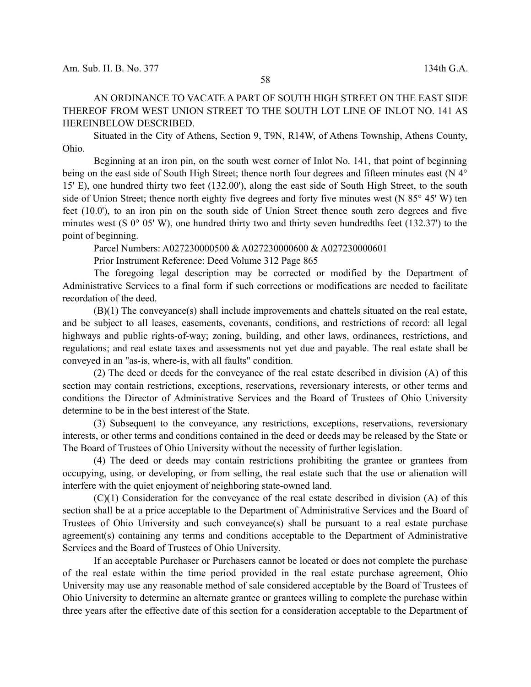AN ORDINANCE TO VACATE A PART OF SOUTH HIGH STREET ON THE EAST SIDE THEREOF FROM WEST UNION STREET TO THE SOUTH LOT LINE OF INLOT NO. 141 AS HEREINBELOW DESCRIBED.

Situated in the City of Athens, Section 9, T9N, R14W, of Athens Township, Athens County, Ohio.

Beginning at an iron pin, on the south west corner of Inlot No. 141, that point of beginning being on the east side of South High Street; thence north four degrees and fifteen minutes east (N 4<sup>°</sup> 15' E), one hundred thirty two feet (132.00'), along the east side of South High Street, to the south side of Union Street; thence north eighty five degrees and forty five minutes west (N 85 $\degree$  45' W) ten feet (10.0'), to an iron pin on the south side of Union Street thence south zero degrees and five minutes west (S  $0^{\circ}$  05' W), one hundred thirty two and thirty seven hundredths feet (132.37') to the point of beginning.

Parcel Numbers: A027230000500 & A027230000600 & A027230000601

Prior Instrument Reference: Deed Volume 312 Page 865

The foregoing legal description may be corrected or modified by the Department of Administrative Services to a final form if such corrections or modifications are needed to facilitate recordation of the deed.

(B)(1) The conveyance(s) shall include improvements and chattels situated on the real estate, and be subject to all leases, easements, covenants, conditions, and restrictions of record: all legal highways and public rights-of-way; zoning, building, and other laws, ordinances, restrictions, and regulations; and real estate taxes and assessments not yet due and payable. The real estate shall be conveyed in an "as-is, where-is, with all faults" condition.

(2) The deed or deeds for the conveyance of the real estate described in division (A) of this section may contain restrictions, exceptions, reservations, reversionary interests, or other terms and conditions the Director of Administrative Services and the Board of Trustees of Ohio University determine to be in the best interest of the State.

(3) Subsequent to the conveyance, any restrictions, exceptions, reservations, reversionary interests, or other terms and conditions contained in the deed or deeds may be released by the State or The Board of Trustees of Ohio University without the necessity of further legislation.

(4) The deed or deeds may contain restrictions prohibiting the grantee or grantees from occupying, using, or developing, or from selling, the real estate such that the use or alienation will interfere with the quiet enjoyment of neighboring state-owned land.

(C)(1) Consideration for the conveyance of the real estate described in division (A) of this section shall be at a price acceptable to the Department of Administrative Services and the Board of Trustees of Ohio University and such conveyance(s) shall be pursuant to a real estate purchase agreement(s) containing any terms and conditions acceptable to the Department of Administrative Services and the Board of Trustees of Ohio University.

If an acceptable Purchaser or Purchasers cannot be located or does not complete the purchase of the real estate within the time period provided in the real estate purchase agreement, Ohio University may use any reasonable method of sale considered acceptable by the Board of Trustees of Ohio University to determine an alternate grantee or grantees willing to complete the purchase within three years after the effective date of this section for a consideration acceptable to the Department of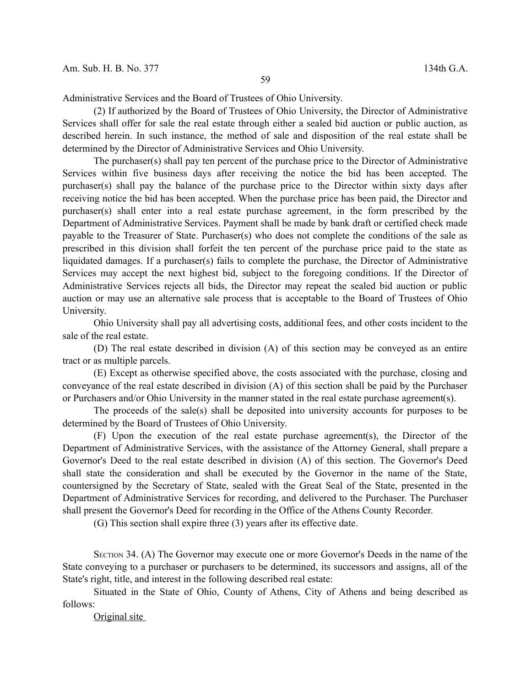Administrative Services and the Board of Trustees of Ohio University.

(2) If authorized by the Board of Trustees of Ohio University, the Director of Administrative Services shall offer for sale the real estate through either a sealed bid auction or public auction, as described herein. In such instance, the method of sale and disposition of the real estate shall be determined by the Director of Administrative Services and Ohio University.

The purchaser(s) shall pay ten percent of the purchase price to the Director of Administrative Services within five business days after receiving the notice the bid has been accepted. The purchaser(s) shall pay the balance of the purchase price to the Director within sixty days after receiving notice the bid has been accepted. When the purchase price has been paid, the Director and purchaser(s) shall enter into a real estate purchase agreement, in the form prescribed by the Department of Administrative Services. Payment shall be made by bank draft or certified check made payable to the Treasurer of State. Purchaser(s) who does not complete the conditions of the sale as prescribed in this division shall forfeit the ten percent of the purchase price paid to the state as liquidated damages. If a purchaser(s) fails to complete the purchase, the Director of Administrative Services may accept the next highest bid, subject to the foregoing conditions. If the Director of Administrative Services rejects all bids, the Director may repeat the sealed bid auction or public auction or may use an alternative sale process that is acceptable to the Board of Trustees of Ohio University.

Ohio University shall pay all advertising costs, additional fees, and other costs incident to the sale of the real estate.

(D) The real estate described in division (A) of this section may be conveyed as an entire tract or as multiple parcels.

(E) Except as otherwise specified above, the costs associated with the purchase, closing and conveyance of the real estate described in division (A) of this section shall be paid by the Purchaser or Purchasers and/or Ohio University in the manner stated in the real estate purchase agreement(s).

The proceeds of the sale(s) shall be deposited into university accounts for purposes to be determined by the Board of Trustees of Ohio University.

(F) Upon the execution of the real estate purchase agreement(s), the Director of the Department of Administrative Services, with the assistance of the Attorney General, shall prepare a Governor's Deed to the real estate described in division (A) of this section. The Governor's Deed shall state the consideration and shall be executed by the Governor in the name of the State, countersigned by the Secretary of State, sealed with the Great Seal of the State, presented in the Department of Administrative Services for recording, and delivered to the Purchaser. The Purchaser shall present the Governor's Deed for recording in the Office of the Athens County Recorder.

(G) This section shall expire three (3) years after its effective date.

SECTION 34. (A) The Governor may execute one or more Governor's Deeds in the name of the State conveying to a purchaser or purchasers to be determined, its successors and assigns, all of the State's right, title, and interest in the following described real estate:

Situated in the State of Ohio, County of Athens, City of Athens and being described as follows:

Original site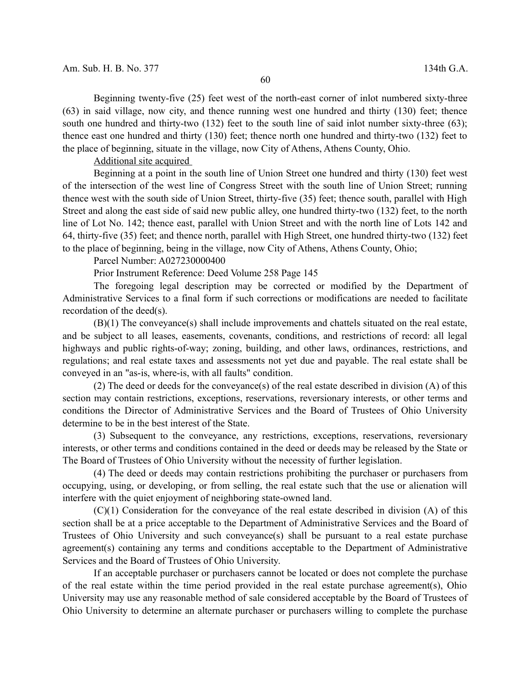Beginning twenty-five (25) feet west of the north-east corner of inlot numbered sixty-three (63) in said village, now city, and thence running west one hundred and thirty (130) feet; thence south one hundred and thirty-two (132) feet to the south line of said inlot number sixty-three (63); thence east one hundred and thirty (130) feet; thence north one hundred and thirty-two (132) feet to the place of beginning, situate in the village, now City of Athens, Athens County, Ohio.

Additional site acquired

Beginning at a point in the south line of Union Street one hundred and thirty (130) feet west of the intersection of the west line of Congress Street with the south line of Union Street; running thence west with the south side of Union Street, thirty-five (35) feet; thence south, parallel with High Street and along the east side of said new public alley, one hundred thirty-two (132) feet, to the north line of Lot No. 142; thence east, parallel with Union Street and with the north line of Lots 142 and 64, thirty-five (35) feet; and thence north, parallel with High Street, one hundred thirty-two (132) feet to the place of beginning, being in the village, now City of Athens, Athens County, Ohio;

Parcel Number: A027230000400

Prior Instrument Reference: Deed Volume 258 Page 145

The foregoing legal description may be corrected or modified by the Department of Administrative Services to a final form if such corrections or modifications are needed to facilitate recordation of the deed(s).

(B)(1) The conveyance(s) shall include improvements and chattels situated on the real estate, and be subject to all leases, easements, covenants, conditions, and restrictions of record: all legal highways and public rights-of-way; zoning, building, and other laws, ordinances, restrictions, and regulations; and real estate taxes and assessments not yet due and payable. The real estate shall be conveyed in an "as-is, where-is, with all faults" condition.

(2) The deed or deeds for the conveyance(s) of the real estate described in division (A) of this section may contain restrictions, exceptions, reservations, reversionary interests, or other terms and conditions the Director of Administrative Services and the Board of Trustees of Ohio University determine to be in the best interest of the State.

(3) Subsequent to the conveyance, any restrictions, exceptions, reservations, reversionary interests, or other terms and conditions contained in the deed or deeds may be released by the State or The Board of Trustees of Ohio University without the necessity of further legislation.

(4) The deed or deeds may contain restrictions prohibiting the purchaser or purchasers from occupying, using, or developing, or from selling, the real estate such that the use or alienation will interfere with the quiet enjoyment of neighboring state-owned land.

(C)(1) Consideration for the conveyance of the real estate described in division (A) of this section shall be at a price acceptable to the Department of Administrative Services and the Board of Trustees of Ohio University and such conveyance(s) shall be pursuant to a real estate purchase agreement(s) containing any terms and conditions acceptable to the Department of Administrative Services and the Board of Trustees of Ohio University.

If an acceptable purchaser or purchasers cannot be located or does not complete the purchase of the real estate within the time period provided in the real estate purchase agreement(s), Ohio University may use any reasonable method of sale considered acceptable by the Board of Trustees of Ohio University to determine an alternate purchaser or purchasers willing to complete the purchase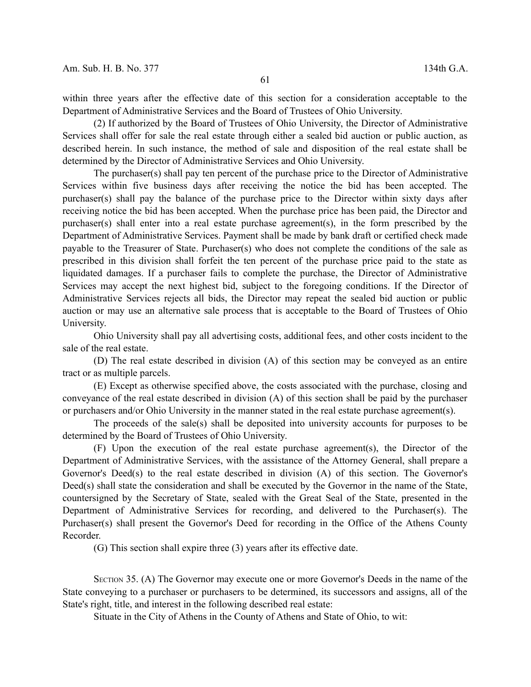within three years after the effective date of this section for a consideration acceptable to the Department of Administrative Services and the Board of Trustees of Ohio University.

(2) If authorized by the Board of Trustees of Ohio University, the Director of Administrative Services shall offer for sale the real estate through either a sealed bid auction or public auction, as described herein. In such instance, the method of sale and disposition of the real estate shall be determined by the Director of Administrative Services and Ohio University.

The purchaser(s) shall pay ten percent of the purchase price to the Director of Administrative Services within five business days after receiving the notice the bid has been accepted. The purchaser(s) shall pay the balance of the purchase price to the Director within sixty days after receiving notice the bid has been accepted. When the purchase price has been paid, the Director and purchaser(s) shall enter into a real estate purchase agreement(s), in the form prescribed by the Department of Administrative Services. Payment shall be made by bank draft or certified check made payable to the Treasurer of State. Purchaser(s) who does not complete the conditions of the sale as prescribed in this division shall forfeit the ten percent of the purchase price paid to the state as liquidated damages. If a purchaser fails to complete the purchase, the Director of Administrative Services may accept the next highest bid, subject to the foregoing conditions. If the Director of Administrative Services rejects all bids, the Director may repeat the sealed bid auction or public auction or may use an alternative sale process that is acceptable to the Board of Trustees of Ohio University.

Ohio University shall pay all advertising costs, additional fees, and other costs incident to the sale of the real estate.

(D) The real estate described in division (A) of this section may be conveyed as an entire tract or as multiple parcels.

(E) Except as otherwise specified above, the costs associated with the purchase, closing and conveyance of the real estate described in division (A) of this section shall be paid by the purchaser or purchasers and/or Ohio University in the manner stated in the real estate purchase agreement(s).

The proceeds of the sale(s) shall be deposited into university accounts for purposes to be determined by the Board of Trustees of Ohio University.

(F) Upon the execution of the real estate purchase agreement(s), the Director of the Department of Administrative Services, with the assistance of the Attorney General, shall prepare a Governor's Deed(s) to the real estate described in division (A) of this section. The Governor's Deed(s) shall state the consideration and shall be executed by the Governor in the name of the State, countersigned by the Secretary of State, sealed with the Great Seal of the State, presented in the Department of Administrative Services for recording, and delivered to the Purchaser(s). The Purchaser(s) shall present the Governor's Deed for recording in the Office of the Athens County Recorder.

(G) This section shall expire three (3) years after its effective date.

SECTION 35. (A) The Governor may execute one or more Governor's Deeds in the name of the State conveying to a purchaser or purchasers to be determined, its successors and assigns, all of the State's right, title, and interest in the following described real estate:

Situate in the City of Athens in the County of Athens and State of Ohio, to wit: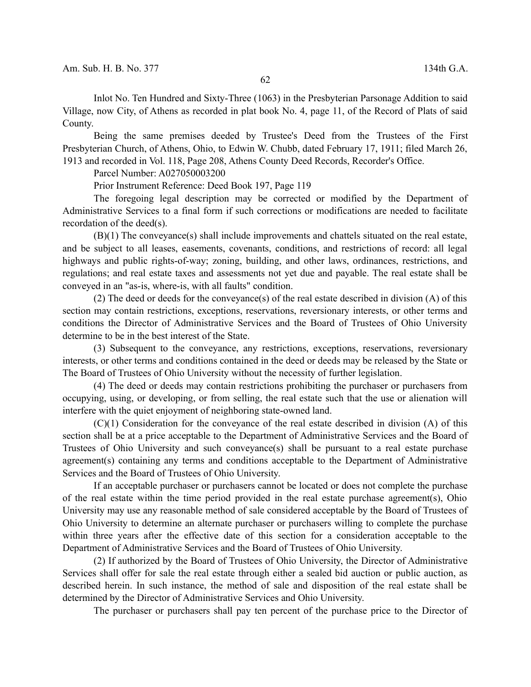Inlot No. Ten Hundred and Sixty-Three (1063) in the Presbyterian Parsonage Addition to said Village, now City, of Athens as recorded in plat book No. 4, page 11, of the Record of Plats of said County.

Being the same premises deeded by Trustee's Deed from the Trustees of the First Presbyterian Church, of Athens, Ohio, to Edwin W. Chubb, dated February 17, 1911; filed March 26, 1913 and recorded in Vol. 118, Page 208, Athens County Deed Records, Recorder's Office.

Parcel Number: A027050003200

Prior Instrument Reference: Deed Book 197, Page 119

The foregoing legal description may be corrected or modified by the Department of Administrative Services to a final form if such corrections or modifications are needed to facilitate recordation of the deed(s).

(B)(1) The conveyance(s) shall include improvements and chattels situated on the real estate, and be subject to all leases, easements, covenants, conditions, and restrictions of record: all legal highways and public rights-of-way; zoning, building, and other laws, ordinances, restrictions, and regulations; and real estate taxes and assessments not yet due and payable. The real estate shall be conveyed in an "as-is, where-is, with all faults" condition.

(2) The deed or deeds for the conveyance(s) of the real estate described in division (A) of this section may contain restrictions, exceptions, reservations, reversionary interests, or other terms and conditions the Director of Administrative Services and the Board of Trustees of Ohio University determine to be in the best interest of the State.

(3) Subsequent to the conveyance, any restrictions, exceptions, reservations, reversionary interests, or other terms and conditions contained in the deed or deeds may be released by the State or The Board of Trustees of Ohio University without the necessity of further legislation.

(4) The deed or deeds may contain restrictions prohibiting the purchaser or purchasers from occupying, using, or developing, or from selling, the real estate such that the use or alienation will interfere with the quiet enjoyment of neighboring state-owned land.

(C)(1) Consideration for the conveyance of the real estate described in division (A) of this section shall be at a price acceptable to the Department of Administrative Services and the Board of Trustees of Ohio University and such conveyance(s) shall be pursuant to a real estate purchase agreement(s) containing any terms and conditions acceptable to the Department of Administrative Services and the Board of Trustees of Ohio University.

If an acceptable purchaser or purchasers cannot be located or does not complete the purchase of the real estate within the time period provided in the real estate purchase agreement(s), Ohio University may use any reasonable method of sale considered acceptable by the Board of Trustees of Ohio University to determine an alternate purchaser or purchasers willing to complete the purchase within three years after the effective date of this section for a consideration acceptable to the Department of Administrative Services and the Board of Trustees of Ohio University.

(2) If authorized by the Board of Trustees of Ohio University, the Director of Administrative Services shall offer for sale the real estate through either a sealed bid auction or public auction, as described herein. In such instance, the method of sale and disposition of the real estate shall be determined by the Director of Administrative Services and Ohio University.

The purchaser or purchasers shall pay ten percent of the purchase price to the Director of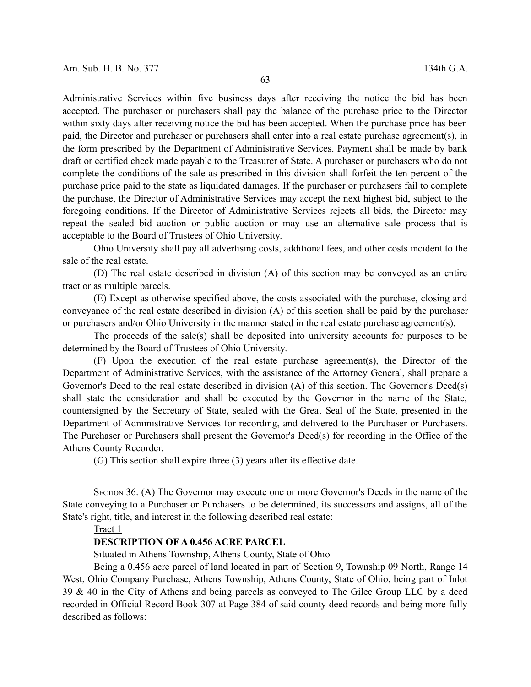Administrative Services within five business days after receiving the notice the bid has been accepted. The purchaser or purchasers shall pay the balance of the purchase price to the Director within sixty days after receiving notice the bid has been accepted. When the purchase price has been paid, the Director and purchaser or purchasers shall enter into a real estate purchase agreement(s), in the form prescribed by the Department of Administrative Services. Payment shall be made by bank draft or certified check made payable to the Treasurer of State. A purchaser or purchasers who do not complete the conditions of the sale as prescribed in this division shall forfeit the ten percent of the purchase price paid to the state as liquidated damages. If the purchaser or purchasers fail to complete the purchase, the Director of Administrative Services may accept the next highest bid, subject to the foregoing conditions. If the Director of Administrative Services rejects all bids, the Director may repeat the sealed bid auction or public auction or may use an alternative sale process that is acceptable to the Board of Trustees of Ohio University.

Ohio University shall pay all advertising costs, additional fees, and other costs incident to the sale of the real estate.

(D) The real estate described in division (A) of this section may be conveyed as an entire tract or as multiple parcels.

(E) Except as otherwise specified above, the costs associated with the purchase, closing and conveyance of the real estate described in division (A) of this section shall be paid by the purchaser or purchasers and/or Ohio University in the manner stated in the real estate purchase agreement(s).

The proceeds of the sale(s) shall be deposited into university accounts for purposes to be determined by the Board of Trustees of Ohio University.

(F) Upon the execution of the real estate purchase agreement(s), the Director of the Department of Administrative Services, with the assistance of the Attorney General, shall prepare a Governor's Deed to the real estate described in division (A) of this section. The Governor's Deed(s) shall state the consideration and shall be executed by the Governor in the name of the State, countersigned by the Secretary of State, sealed with the Great Seal of the State, presented in the Department of Administrative Services for recording, and delivered to the Purchaser or Purchasers. The Purchaser or Purchasers shall present the Governor's Deed(s) for recording in the Office of the Athens County Recorder.

(G) This section shall expire three (3) years after its effective date.

SECTION 36. (A) The Governor may execute one or more Governor's Deeds in the name of the State conveying to a Purchaser or Purchasers to be determined, its successors and assigns, all of the State's right, title, and interest in the following described real estate:

# Tract 1

#### **DESCRIPTION OF A 0.456 ACRE PARCEL**

Situated in Athens Township, Athens County, State of Ohio

Being a 0.456 acre parcel of land located in part of Section 9, Township 09 North, Range 14 West, Ohio Company Purchase, Athens Township, Athens County, State of Ohio, being part of Inlot 39 & 40 in the City of Athens and being parcels as conveyed to The Gilee Group LLC by a deed recorded in Official Record Book 307 at Page 384 of said county deed records and being more fully described as follows: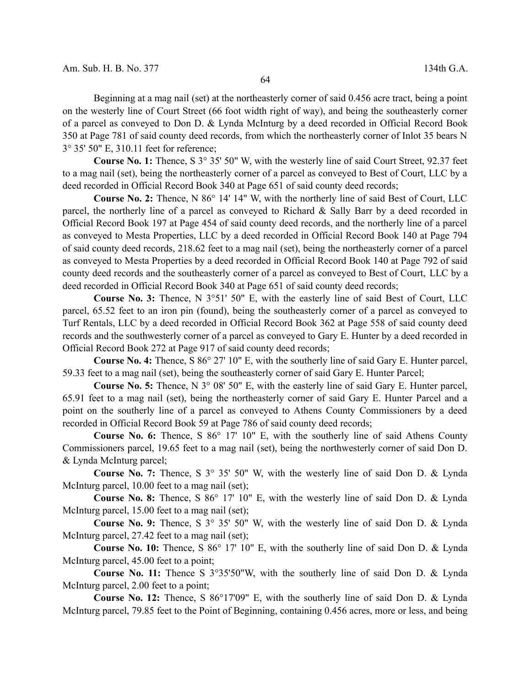Beginning at a mag nail (set) at the northeasterly corner of said 0.456 acre tract, being a point on the westerly line of Court Street (66 foot width right of way), and being the southeasterly corner of a parcel as conveyed to Don D. & Lynda McInturg by a deed recorded in Official Record Book 350 at Page 781 of said county deed records, from which the northeasterly corner of Inlot 35 bears N 3° 35' 50" E, 310.11 feet for reference;

**Course No. 1:** Thence, S 3° 35' 50" W, with the westerly line of said Court Street, 92.37 feet to a mag nail (set), being the northeasterly corner of a parcel as conveyed to Best of Court, LLC by a deed recorded in Official Record Book 340 at Page 651 of said county deed records;

**Course No. 2:** Thence, N 86° 14' 14" W, with the northerly line of said Best of Court, LLC parcel, the northerly line of a parcel as conveyed to Richard & Sally Barr by a deed recorded in Official Record Book 197 at Page 454 of said county deed records, and the northerly line of a parcel as conveyed to Mesta Properties, LLC by a deed recorded in Official Record Book 140 at Page 794 of said county deed records, 218.62 feet to a mag nail (set), being the northeasterly corner of a parcel as conveyed to Mesta Properties by a deed recorded in Official Record Book 140 at Page 792 of said county deed records and the southeasterly corner of a parcel as conveyed to Best of Court, LLC by a deed recorded in Official Record Book 340 at Page 651 of said county deed records;

**Course No. 3:** Thence, N 3°51' 50" E, with the easterly line of said Best of Court, LLC parcel, 65.52 feet to an iron pin (found), being the southeasterly corner of a parcel as conveyed to Turf Rentals, LLC by a deed recorded in Official Record Book 362 at Page 558 of said county deed records and the southwesterly corner of a parcel as conveyed to Gary E. Hunter by a deed recorded in Official Record Book 272 at Page 917 of said county deed records;

**Course No. 4:** Thence, S 86° 27' 10" E, with the southerly line of said Gary E. Hunter parcel, 59.33 feet to a mag nail (set), being the southeasterly corner of said Gary E. Hunter Parcel;

**Course No. 5:** Thence, N 3° 08' 50" E, with the easterly line of said Gary E. Hunter parcel, 65.91 feet to a mag nail (set), being the northeasterly corner of said Gary E. Hunter Parcel and a point on the southerly line of a parcel as conveyed to Athens County Commissioners by a deed recorded in Official Record Book 59 at Page 786 of said county deed records;

**Course No. 6:** Thence, S 86° 17' 10" E, with the southerly line of said Athens County Commissioners parcel, 19.65 feet to a mag nail (set), being the northwesterly corner of said Don D. & Lynda McInturg parcel;

**Course No. 7:** Thence, S 3° 35' 50" W, with the westerly line of said Don D. & Lynda McInturg parcel, 10.00 feet to a mag nail (set);

**Course No. 8:** Thence, S 86° 17' 10" E, with the westerly line of said Don D. & Lynda McInturg parcel, 15.00 feet to a mag nail (set);

**Course No. 9:** Thence, S 3° 35' 50" W, with the westerly line of said Don D. & Lynda McInturg parcel, 27.42 feet to a mag nail (set);

**Course No. 10:** Thence, S 86° 17' 10" E, with the southerly line of said Don D. & Lynda McInturg parcel, 45.00 feet to a point;

**Course No. 11:** Thence S 3°35'50"W, with the southerly line of said Don D. & Lynda McInturg parcel, 2.00 feet to a point;

**Course No. 12:** Thence, S 86°17'09" E, with the southerly line of said Don D. & Lynda McInturg parcel, 79.85 feet to the Point of Beginning, containing 0.456 acres, more or less, and being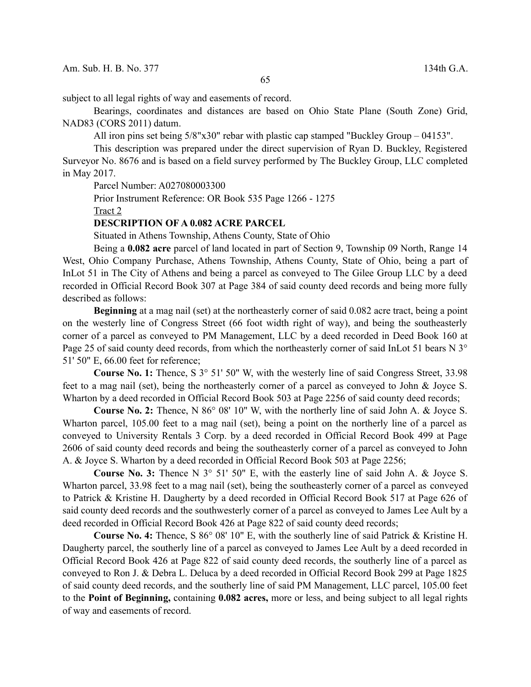subject to all legal rights of way and easements of record.

Bearings, coordinates and distances are based on Ohio State Plane (South Zone) Grid, NAD83 (CORS 2011) datum.

All iron pins set being 5/8"x30" rebar with plastic cap stamped "Buckley Group – 04153".

This description was prepared under the direct supervision of Ryan D. Buckley, Registered Surveyor No. 8676 and is based on a field survey performed by The Buckley Group, LLC completed in May 2017.

Parcel Number: A027080003300

Prior Instrument Reference: OR Book 535 Page 1266 - 1275

Tract 2

#### **DESCRIPTION OF A 0.082 ACRE PARCEL**

Situated in Athens Township, Athens County, State of Ohio

Being a **0.082 acre** parcel of land located in part of Section 9, Township 09 North, Range 14 West, Ohio Company Purchase, Athens Township, Athens County, State of Ohio, being a part of InLot 51 in The City of Athens and being a parcel as conveyed to The Gilee Group LLC by a deed recorded in Official Record Book 307 at Page 384 of said county deed records and being more fully described as follows:

**Beginning** at a mag nail (set) at the northeasterly corner of said 0.082 acre tract, being a point on the westerly line of Congress Street (66 foot width right of way), and being the southeasterly corner of a parcel as conveyed to PM Management, LLC by a deed recorded in Deed Book 160 at Page 25 of said county deed records, from which the northeasterly corner of said InLot 51 bears N 3° 51' 50" E, 66.00 feet for reference;

**Course No. 1:** Thence, S 3° 51' 50" W, with the westerly line of said Congress Street, 33.98 feet to a mag nail (set), being the northeasterly corner of a parcel as conveyed to John & Joyce S. Wharton by a deed recorded in Official Record Book 503 at Page 2256 of said county deed records;

**Course No. 2:** Thence, N 86° 08' 10" W, with the northerly line of said John A. & Joyce S. Wharton parcel, 105.00 feet to a mag nail (set), being a point on the northerly line of a parcel as conveyed to University Rentals 3 Corp. by a deed recorded in Official Record Book 499 at Page 2606 of said county deed records and being the southeasterly corner of a parcel as conveyed to John A. & Joyce S. Wharton by a deed recorded in Official Record Book 503 at Page 2256;

**Course No. 3:** Thence N 3° 51' 50" E, with the easterly line of said John A. & Joyce S. Wharton parcel, 33.98 feet to a mag nail (set), being the southeasterly corner of a parcel as conveyed to Patrick & Kristine H. Daugherty by a deed recorded in Official Record Book 517 at Page 626 of said county deed records and the southwesterly corner of a parcel as conveyed to James Lee Ault by a deed recorded in Official Record Book 426 at Page 822 of said county deed records;

**Course No. 4:** Thence, S 86° 08' 10" E, with the southerly line of said Patrick & Kristine H. Daugherty parcel, the southerly line of a parcel as conveyed to James Lee Ault by a deed recorded in Official Record Book 426 at Page 822 of said county deed records, the southerly line of a parcel as conveyed to Ron J. & Debra L. Deluca by a deed recorded in Official Record Book 299 at Page 1825 of said county deed records, and the southerly line of said PM Management, LLC parcel, 105.00 feet to the **Point of Beginning,** containing **0.082 acres,** more or less, and being subject to all legal rights of way and easements of record.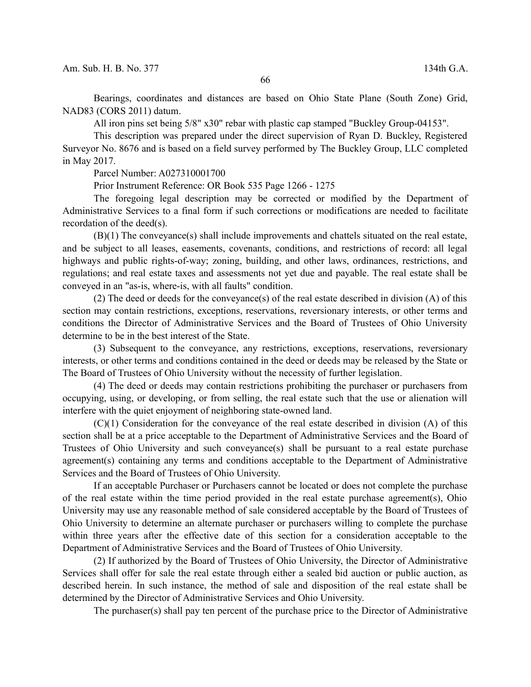Bearings, coordinates and distances are based on Ohio State Plane (South Zone) Grid, NAD83 (CORS 2011) datum.

All iron pins set being 5/8" x30" rebar with plastic cap stamped "Buckley Group-04153".

This description was prepared under the direct supervision of Ryan D. Buckley, Registered Surveyor No. 8676 and is based on a field survey performed by The Buckley Group, LLC completed in May 2017.

Parcel Number: A027310001700

Prior Instrument Reference: OR Book 535 Page 1266 - 1275

The foregoing legal description may be corrected or modified by the Department of Administrative Services to a final form if such corrections or modifications are needed to facilitate recordation of the deed(s).

(B)(1) The conveyance(s) shall include improvements and chattels situated on the real estate, and be subject to all leases, easements, covenants, conditions, and restrictions of record: all legal highways and public rights-of-way; zoning, building, and other laws, ordinances, restrictions, and regulations; and real estate taxes and assessments not yet due and payable. The real estate shall be conveyed in an "as-is, where-is, with all faults" condition.

(2) The deed or deeds for the conveyance(s) of the real estate described in division (A) of this section may contain restrictions, exceptions, reservations, reversionary interests, or other terms and conditions the Director of Administrative Services and the Board of Trustees of Ohio University determine to be in the best interest of the State.

(3) Subsequent to the conveyance, any restrictions, exceptions, reservations, reversionary interests, or other terms and conditions contained in the deed or deeds may be released by the State or The Board of Trustees of Ohio University without the necessity of further legislation.

(4) The deed or deeds may contain restrictions prohibiting the purchaser or purchasers from occupying, using, or developing, or from selling, the real estate such that the use or alienation will interfere with the quiet enjoyment of neighboring state-owned land.

(C)(1) Consideration for the conveyance of the real estate described in division (A) of this section shall be at a price acceptable to the Department of Administrative Services and the Board of Trustees of Ohio University and such conveyance(s) shall be pursuant to a real estate purchase agreement(s) containing any terms and conditions acceptable to the Department of Administrative Services and the Board of Trustees of Ohio University.

If an acceptable Purchaser or Purchasers cannot be located or does not complete the purchase of the real estate within the time period provided in the real estate purchase agreement(s), Ohio University may use any reasonable method of sale considered acceptable by the Board of Trustees of Ohio University to determine an alternate purchaser or purchasers willing to complete the purchase within three years after the effective date of this section for a consideration acceptable to the Department of Administrative Services and the Board of Trustees of Ohio University.

(2) If authorized by the Board of Trustees of Ohio University, the Director of Administrative Services shall offer for sale the real estate through either a sealed bid auction or public auction, as described herein. In such instance, the method of sale and disposition of the real estate shall be determined by the Director of Administrative Services and Ohio University.

The purchaser(s) shall pay ten percent of the purchase price to the Director of Administrative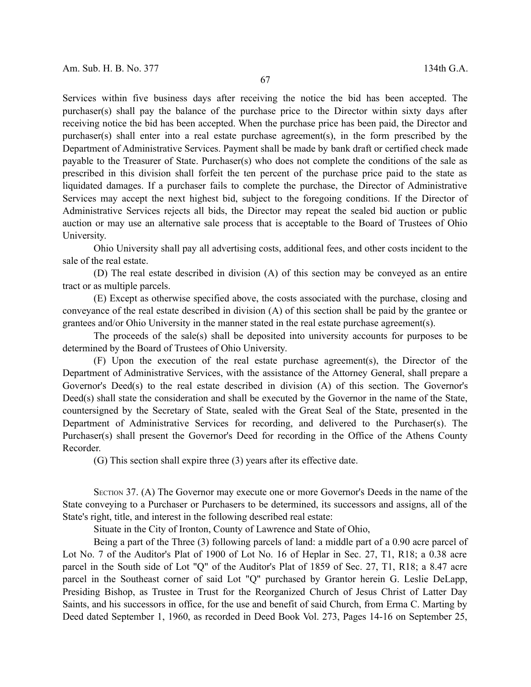Services within five business days after receiving the notice the bid has been accepted. The purchaser(s) shall pay the balance of the purchase price to the Director within sixty days after receiving notice the bid has been accepted. When the purchase price has been paid, the Director and purchaser(s) shall enter into a real estate purchase agreement(s), in the form prescribed by the Department of Administrative Services. Payment shall be made by bank draft or certified check made payable to the Treasurer of State. Purchaser(s) who does not complete the conditions of the sale as prescribed in this division shall forfeit the ten percent of the purchase price paid to the state as liquidated damages. If a purchaser fails to complete the purchase, the Director of Administrative Services may accept the next highest bid, subject to the foregoing conditions. If the Director of Administrative Services rejects all bids, the Director may repeat the sealed bid auction or public auction or may use an alternative sale process that is acceptable to the Board of Trustees of Ohio University.

Ohio University shall pay all advertising costs, additional fees, and other costs incident to the sale of the real estate.

(D) The real estate described in division (A) of this section may be conveyed as an entire tract or as multiple parcels.

(E) Except as otherwise specified above, the costs associated with the purchase, closing and conveyance of the real estate described in division (A) of this section shall be paid by the grantee or grantees and/or Ohio University in the manner stated in the real estate purchase agreement(s).

The proceeds of the sale(s) shall be deposited into university accounts for purposes to be determined by the Board of Trustees of Ohio University.

(F) Upon the execution of the real estate purchase agreement(s), the Director of the Department of Administrative Services, with the assistance of the Attorney General, shall prepare a Governor's Deed(s) to the real estate described in division (A) of this section. The Governor's Deed(s) shall state the consideration and shall be executed by the Governor in the name of the State, countersigned by the Secretary of State, sealed with the Great Seal of the State, presented in the Department of Administrative Services for recording, and delivered to the Purchaser(s). The Purchaser(s) shall present the Governor's Deed for recording in the Office of the Athens County Recorder.

(G) This section shall expire three (3) years after its effective date.

SECTION 37. (A) The Governor may execute one or more Governor's Deeds in the name of the State conveying to a Purchaser or Purchasers to be determined, its successors and assigns, all of the State's right, title, and interest in the following described real estate:

Situate in the City of Ironton, County of Lawrence and State of Ohio,

Being a part of the Three (3) following parcels of land: a middle part of a 0.90 acre parcel of Lot No. 7 of the Auditor's Plat of 1900 of Lot No. 16 of Heplar in Sec. 27, T1, R18; a 0.38 acre parcel in the South side of Lot "Q" of the Auditor's Plat of 1859 of Sec. 27, T1, R18; a 8.47 acre parcel in the Southeast corner of said Lot "Q" purchased by Grantor herein G. Leslie DeLapp, Presiding Bishop, as Trustee in Trust for the Reorganized Church of Jesus Christ of Latter Day Saints, and his successors in office, for the use and benefit of said Church, from Erma C. Marting by Deed dated September 1, 1960, as recorded in Deed Book Vol. 273, Pages 14-16 on September 25,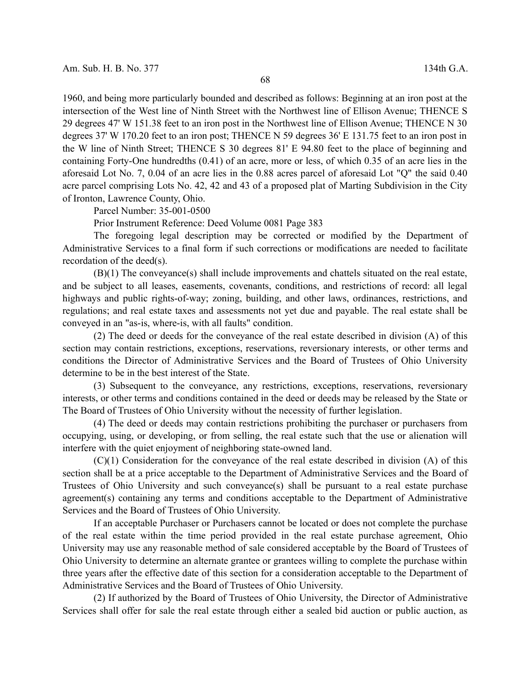1960, and being more particularly bounded and described as follows: Beginning at an iron post at the intersection of the West line of Ninth Street with the Northwest line of Ellison Avenue; THENCE S 29 degrees 47' W 151.38 feet to an iron post in the Northwest line of Ellison Avenue; THENCE N 30 degrees 37' W 170.20 feet to an iron post; THENCE N 59 degrees 36' E 131.75 feet to an iron post in the W line of Ninth Street; THENCE S 30 degrees 81' E 94.80 feet to the place of beginning and containing Forty-One hundredths (0.41) of an acre, more or less, of which 0.35 of an acre lies in the aforesaid Lot No. 7, 0.04 of an acre lies in the 0.88 acres parcel of aforesaid Lot "Q" the said 0.40 acre parcel comprising Lots No. 42, 42 and 43 of a proposed plat of Marting Subdivision in the City of Ironton, Lawrence County, Ohio.

Parcel Number: 35-001-0500

Prior Instrument Reference: Deed Volume 0081 Page 383

The foregoing legal description may be corrected or modified by the Department of Administrative Services to a final form if such corrections or modifications are needed to facilitate recordation of the deed(s).

(B)(1) The conveyance(s) shall include improvements and chattels situated on the real estate, and be subject to all leases, easements, covenants, conditions, and restrictions of record: all legal highways and public rights-of-way; zoning, building, and other laws, ordinances, restrictions, and regulations; and real estate taxes and assessments not yet due and payable. The real estate shall be conveyed in an "as-is, where-is, with all faults" condition.

(2) The deed or deeds for the conveyance of the real estate described in division (A) of this section may contain restrictions, exceptions, reservations, reversionary interests, or other terms and conditions the Director of Administrative Services and the Board of Trustees of Ohio University determine to be in the best interest of the State.

(3) Subsequent to the conveyance, any restrictions, exceptions, reservations, reversionary interests, or other terms and conditions contained in the deed or deeds may be released by the State or The Board of Trustees of Ohio University without the necessity of further legislation.

(4) The deed or deeds may contain restrictions prohibiting the purchaser or purchasers from occupying, using, or developing, or from selling, the real estate such that the use or alienation will interfere with the quiet enjoyment of neighboring state-owned land.

(C)(1) Consideration for the conveyance of the real estate described in division (A) of this section shall be at a price acceptable to the Department of Administrative Services and the Board of Trustees of Ohio University and such conveyance(s) shall be pursuant to a real estate purchase agreement(s) containing any terms and conditions acceptable to the Department of Administrative Services and the Board of Trustees of Ohio University.

If an acceptable Purchaser or Purchasers cannot be located or does not complete the purchase of the real estate within the time period provided in the real estate purchase agreement, Ohio University may use any reasonable method of sale considered acceptable by the Board of Trustees of Ohio University to determine an alternate grantee or grantees willing to complete the purchase within three years after the effective date of this section for a consideration acceptable to the Department of Administrative Services and the Board of Trustees of Ohio University.

(2) If authorized by the Board of Trustees of Ohio University, the Director of Administrative Services shall offer for sale the real estate through either a sealed bid auction or public auction, as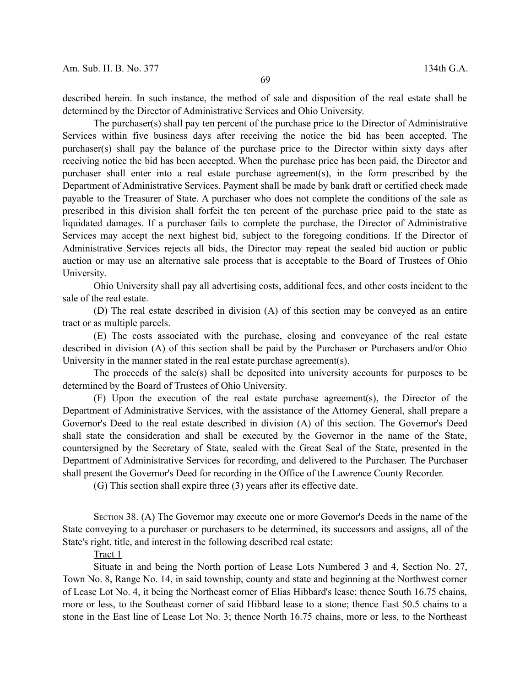described herein. In such instance, the method of sale and disposition of the real estate shall be determined by the Director of Administrative Services and Ohio University.

The purchaser(s) shall pay ten percent of the purchase price to the Director of Administrative Services within five business days after receiving the notice the bid has been accepted. The purchaser(s) shall pay the balance of the purchase price to the Director within sixty days after receiving notice the bid has been accepted. When the purchase price has been paid, the Director and purchaser shall enter into a real estate purchase agreement(s), in the form prescribed by the Department of Administrative Services. Payment shall be made by bank draft or certified check made payable to the Treasurer of State. A purchaser who does not complete the conditions of the sale as prescribed in this division shall forfeit the ten percent of the purchase price paid to the state as liquidated damages. If a purchaser fails to complete the purchase, the Director of Administrative Services may accept the next highest bid, subject to the foregoing conditions. If the Director of Administrative Services rejects all bids, the Director may repeat the sealed bid auction or public auction or may use an alternative sale process that is acceptable to the Board of Trustees of Ohio University.

Ohio University shall pay all advertising costs, additional fees, and other costs incident to the sale of the real estate.

(D) The real estate described in division (A) of this section may be conveyed as an entire tract or as multiple parcels.

(E) The costs associated with the purchase, closing and conveyance of the real estate described in division (A) of this section shall be paid by the Purchaser or Purchasers and/or Ohio University in the manner stated in the real estate purchase agreement(s).

The proceeds of the sale(s) shall be deposited into university accounts for purposes to be determined by the Board of Trustees of Ohio University.

(F) Upon the execution of the real estate purchase agreement(s), the Director of the Department of Administrative Services, with the assistance of the Attorney General, shall prepare a Governor's Deed to the real estate described in division (A) of this section. The Governor's Deed shall state the consideration and shall be executed by the Governor in the name of the State, countersigned by the Secretary of State, sealed with the Great Seal of the State, presented in the Department of Administrative Services for recording, and delivered to the Purchaser. The Purchaser shall present the Governor's Deed for recording in the Office of the Lawrence County Recorder.

(G) This section shall expire three (3) years after its effective date.

SECTION 38. (A) The Governor may execute one or more Governor's Deeds in the name of the State conveying to a purchaser or purchasers to be determined, its successors and assigns, all of the State's right, title, and interest in the following described real estate:

Tract 1

Situate in and being the North portion of Lease Lots Numbered 3 and 4, Section No. 27, Town No. 8, Range No. 14, in said township, county and state and beginning at the Northwest corner of Lease Lot No. 4, it being the Northeast corner of Elias Hibbard's lease; thence South 16.75 chains, more or less, to the Southeast corner of said Hibbard lease to a stone; thence East 50.5 chains to a stone in the East line of Lease Lot No. 3; thence North 16.75 chains, more or less, to the Northeast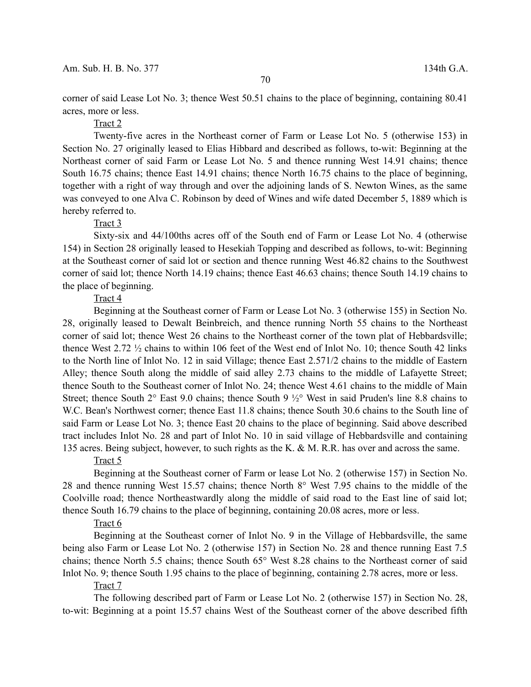corner of said Lease Lot No. 3; thence West 50.51 chains to the place of beginning, containing 80.41 acres, more or less.

# Tract 2

Twenty-five acres in the Northeast corner of Farm or Lease Lot No. 5 (otherwise 153) in Section No. 27 originally leased to Elias Hibbard and described as follows, to-wit: Beginning at the Northeast corner of said Farm or Lease Lot No. 5 and thence running West 14.91 chains; thence South 16.75 chains; thence East 14.91 chains; thence North 16.75 chains to the place of beginning, together with a right of way through and over the adjoining lands of S. Newton Wines, as the same was conveyed to one Alva C. Robinson by deed of Wines and wife dated December 5, 1889 which is hereby referred to.

#### Tract 3

Sixty-six and 44/100ths acres off of the South end of Farm or Lease Lot No. 4 (otherwise 154) in Section 28 originally leased to Hesekiah Topping and described as follows, to-wit: Beginning at the Southeast corner of said lot or section and thence running West 46.82 chains to the Southwest corner of said lot; thence North 14.19 chains; thence East 46.63 chains; thence South 14.19 chains to the place of beginning.

# Tract 4

Beginning at the Southeast corner of Farm or Lease Lot No. 3 (otherwise 155) in Section No. 28, originally leased to Dewalt Beinbreich, and thence running North 55 chains to the Northeast corner of said lot; thence West 26 chains to the Northeast corner of the town plat of Hebbardsville; thence West 2.72 ½ chains to within 106 feet of the West end of Inlot No. 10; thence South 42 links to the North line of Inlot No. 12 in said Village; thence East 2.571/2 chains to the middle of Eastern Alley; thence South along the middle of said alley 2.73 chains to the middle of Lafayette Street; thence South to the Southeast corner of Inlot No. 24; thence West 4.61 chains to the middle of Main Street; thence South 2° East 9.0 chains; thence South 9 ½° West in said Pruden's line 8.8 chains to W.C. Bean's Northwest corner; thence East 11.8 chains; thence South 30.6 chains to the South line of said Farm or Lease Lot No. 3; thence East 20 chains to the place of beginning. Said above described tract includes Inlot No. 28 and part of Inlot No. 10 in said village of Hebbardsville and containing 135 acres. Being subject, however, to such rights as the K. & M. R.R. has over and across the same.

### Tract 5

Beginning at the Southeast corner of Farm or lease Lot No. 2 (otherwise 157) in Section No. 28 and thence running West 15.57 chains; thence North 8° West 7.95 chains to the middle of the Coolville road; thence Northeastwardly along the middle of said road to the East line of said lot; thence South 16.79 chains to the place of beginning, containing 20.08 acres, more or less.

#### Tract 6

Beginning at the Southeast corner of Inlot No. 9 in the Village of Hebbardsville, the same being also Farm or Lease Lot No. 2 (otherwise 157) in Section No. 28 and thence running East 7.5 chains; thence North 5.5 chains; thence South 65° West 8.28 chains to the Northeast corner of said Inlot No. 9; thence South 1.95 chains to the place of beginning, containing 2.78 acres, more or less.

#### Tract 7

The following described part of Farm or Lease Lot No. 2 (otherwise 157) in Section No. 28, to-wit: Beginning at a point 15.57 chains West of the Southeast corner of the above described fifth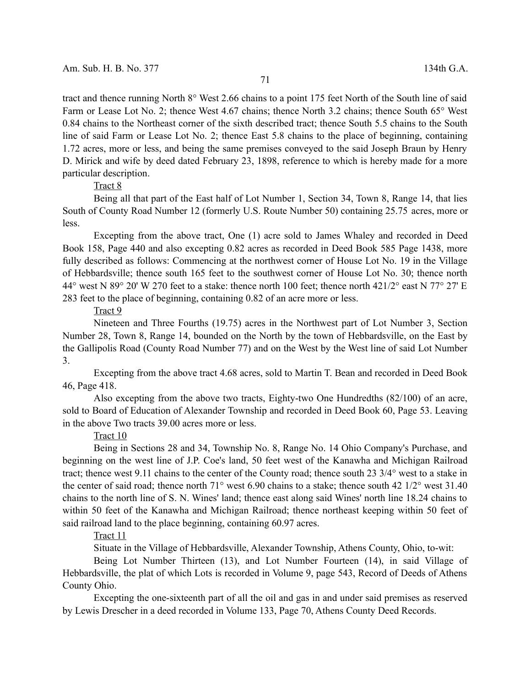tract and thence running North 8° West 2.66 chains to a point 175 feet North of the South line of said Farm or Lease Lot No. 2; thence West 4.67 chains; thence North 3.2 chains; thence South 65° West 0.84 chains to the Northeast corner of the sixth described tract; thence South 5.5 chains to the South line of said Farm or Lease Lot No. 2; thence East 5.8 chains to the place of beginning, containing 1.72 acres, more or less, and being the same premises conveyed to the said Joseph Braun by Henry D. Mirick and wife by deed dated February 23, 1898, reference to which is hereby made for a more particular description.

# Tract 8

Being all that part of the East half of Lot Number 1, Section 34, Town 8, Range 14, that lies South of County Road Number 12 (formerly U.S. Route Number 50) containing 25.75 acres, more or less.

Excepting from the above tract, One (1) acre sold to James Whaley and recorded in Deed Book 158, Page 440 and also excepting 0.82 acres as recorded in Deed Book 585 Page 1438, more fully described as follows: Commencing at the northwest corner of House Lot No. 19 in the Village of Hebbardsville; thence south 165 feet to the southwest corner of House Lot No. 30; thence north 44° west N 89° 20' W 270 feet to a stake: thence north 100 feet; thence north 421/2° east N 77° 27' E 283 feet to the place of beginning, containing 0.82 of an acre more or less.

### Tract 9

Nineteen and Three Fourths (19.75) acres in the Northwest part of Lot Number 3, Section Number 28, Town 8, Range 14, bounded on the North by the town of Hebbardsville, on the East by the Gallipolis Road (County Road Number 77) and on the West by the West line of said Lot Number 3.

Excepting from the above tract 4.68 acres, sold to Martin T. Bean and recorded in Deed Book 46, Page 418.

Also excepting from the above two tracts, Eighty-two One Hundredths (82/100) of an acre, sold to Board of Education of Alexander Township and recorded in Deed Book 60, Page 53. Leaving in the above Two tracts 39.00 acres more or less.

#### Tract 10

Being in Sections 28 and 34, Township No. 8, Range No. 14 Ohio Company's Purchase, and beginning on the west line of J.P. Coe's land, 50 feet west of the Kanawha and Michigan Railroad tract; thence west 9.11 chains to the center of the County road; thence south 23 3/4° west to a stake in the center of said road; thence north 71° west 6.90 chains to a stake; thence south 42 1/2° west 31.40 chains to the north line of S. N. Wines' land; thence east along said Wines' north line 18.24 chains to within 50 feet of the Kanawha and Michigan Railroad; thence northeast keeping within 50 feet of said railroad land to the place beginning, containing 60.97 acres.

# Tract 11

Situate in the Village of Hebbardsville, Alexander Township, Athens County, Ohio, to-wit:

Being Lot Number Thirteen (13), and Lot Number Fourteen (14), in said Village of Hebbardsville, the plat of which Lots is recorded in Volume 9, page 543, Record of Deeds of Athens County Ohio.

Excepting the one-sixteenth part of all the oil and gas in and under said premises as reserved by Lewis Drescher in a deed recorded in Volume 133, Page 70, Athens County Deed Records.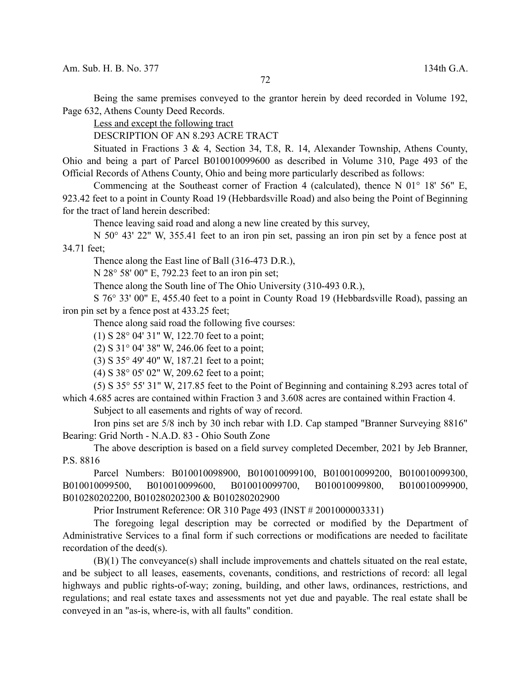Being the same premises conveyed to the grantor herein by deed recorded in Volume 192, Page 632, Athens County Deed Records.

Less and except the following tract

DESCRIPTION OF AN 8.293 ACRE TRACT

Situated in Fractions 3 & 4, Section 34, T.8, R. 14, Alexander Township, Athens County, Ohio and being a part of Parcel B010010099600 as described in Volume 310, Page 493 of the Official Records of Athens County, Ohio and being more particularly described as follows:

Commencing at the Southeast corner of Fraction 4 (calculated), thence N 01° 18' 56" E, 923.42 feet to a point in County Road 19 (Hebbardsville Road) and also being the Point of Beginning for the tract of land herein described:

Thence leaving said road and along a new line created by this survey,

N 50° 43' 22" W, 355.41 feet to an iron pin set, passing an iron pin set by a fence post at 34.71 feet;

Thence along the East line of Ball (316-473 D.R.),

N 28° 58' 00" E, 792.23 feet to an iron pin set;

Thence along the South line of The Ohio University (310-493 0.R.),

S 76° 33' 00" E, 455.40 feet to a point in County Road 19 (Hebbardsville Road), passing an iron pin set by a fence post at 433.25 feet;

Thence along said road the following five courses:

(1) S 28° 04' 31" W, 122.70 feet to a point;

(2) S 31° 04' 38" W, 246.06 feet to a point;

(3) S 35° 49' 40" W, 187.21 feet to a point;

(4) S 38° 05' 02" W, 209.62 feet to a point;

(5) S 35° 55' 31" W, 217.85 feet to the Point of Beginning and containing 8.293 acres total of which 4.685 acres are contained within Fraction 3 and 3.608 acres are contained within Fraction 4.

Subject to all easements and rights of way of record.

Iron pins set are 5/8 inch by 30 inch rebar with I.D. Cap stamped "Branner Surveying 8816" Bearing: Grid North - N.A.D. 83 - Ohio South Zone

The above description is based on a field survey completed December, 2021 by Jeb Branner, P.S. 8816

Parcel Numbers: B010010098900, B010010099100, B010010099200, B010010099300, B010010099500, B010010099600, B010010099700, B010010099800, B010010099900, B010280202200, B010280202300 & B010280202900

Prior Instrument Reference: OR 310 Page 493 (INST # 2001000003331)

The foregoing legal description may be corrected or modified by the Department of Administrative Services to a final form if such corrections or modifications are needed to facilitate recordation of the deed(s).

(B)(1) The conveyance(s) shall include improvements and chattels situated on the real estate, and be subject to all leases, easements, covenants, conditions, and restrictions of record: all legal highways and public rights-of-way; zoning, building, and other laws, ordinances, restrictions, and regulations; and real estate taxes and assessments not yet due and payable. The real estate shall be conveyed in an "as-is, where-is, with all faults" condition.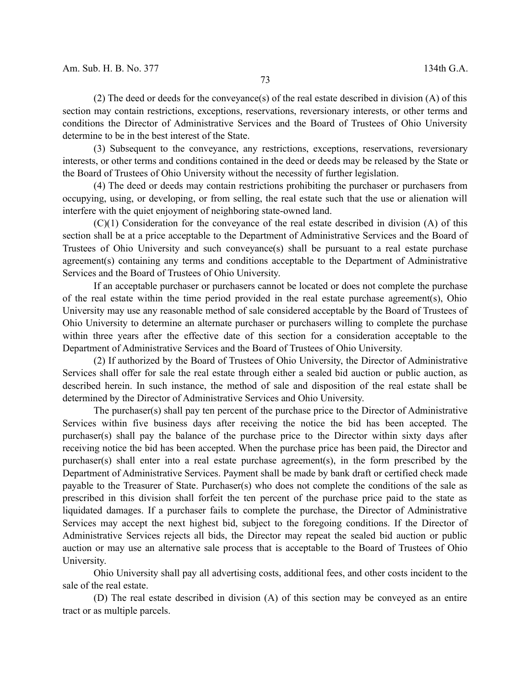(2) The deed or deeds for the conveyance(s) of the real estate described in division (A) of this section may contain restrictions, exceptions, reservations, reversionary interests, or other terms and conditions the Director of Administrative Services and the Board of Trustees of Ohio University determine to be in the best interest of the State.

(3) Subsequent to the conveyance, any restrictions, exceptions, reservations, reversionary interests, or other terms and conditions contained in the deed or deeds may be released by the State or the Board of Trustees of Ohio University without the necessity of further legislation.

(4) The deed or deeds may contain restrictions prohibiting the purchaser or purchasers from occupying, using, or developing, or from selling, the real estate such that the use or alienation will interfere with the quiet enjoyment of neighboring state-owned land.

(C)(1) Consideration for the conveyance of the real estate described in division (A) of this section shall be at a price acceptable to the Department of Administrative Services and the Board of Trustees of Ohio University and such conveyance(s) shall be pursuant to a real estate purchase agreement(s) containing any terms and conditions acceptable to the Department of Administrative Services and the Board of Trustees of Ohio University.

If an acceptable purchaser or purchasers cannot be located or does not complete the purchase of the real estate within the time period provided in the real estate purchase agreement(s), Ohio University may use any reasonable method of sale considered acceptable by the Board of Trustees of Ohio University to determine an alternate purchaser or purchasers willing to complete the purchase within three years after the effective date of this section for a consideration acceptable to the Department of Administrative Services and the Board of Trustees of Ohio University.

(2) If authorized by the Board of Trustees of Ohio University, the Director of Administrative Services shall offer for sale the real estate through either a sealed bid auction or public auction, as described herein. In such instance, the method of sale and disposition of the real estate shall be determined by the Director of Administrative Services and Ohio University.

The purchaser(s) shall pay ten percent of the purchase price to the Director of Administrative Services within five business days after receiving the notice the bid has been accepted. The purchaser(s) shall pay the balance of the purchase price to the Director within sixty days after receiving notice the bid has been accepted. When the purchase price has been paid, the Director and purchaser(s) shall enter into a real estate purchase agreement(s), in the form prescribed by the Department of Administrative Services. Payment shall be made by bank draft or certified check made payable to the Treasurer of State. Purchaser(s) who does not complete the conditions of the sale as prescribed in this division shall forfeit the ten percent of the purchase price paid to the state as liquidated damages. If a purchaser fails to complete the purchase, the Director of Administrative Services may accept the next highest bid, subject to the foregoing conditions. If the Director of Administrative Services rejects all bids, the Director may repeat the sealed bid auction or public auction or may use an alternative sale process that is acceptable to the Board of Trustees of Ohio University.

Ohio University shall pay all advertising costs, additional fees, and other costs incident to the sale of the real estate.

(D) The real estate described in division (A) of this section may be conveyed as an entire tract or as multiple parcels.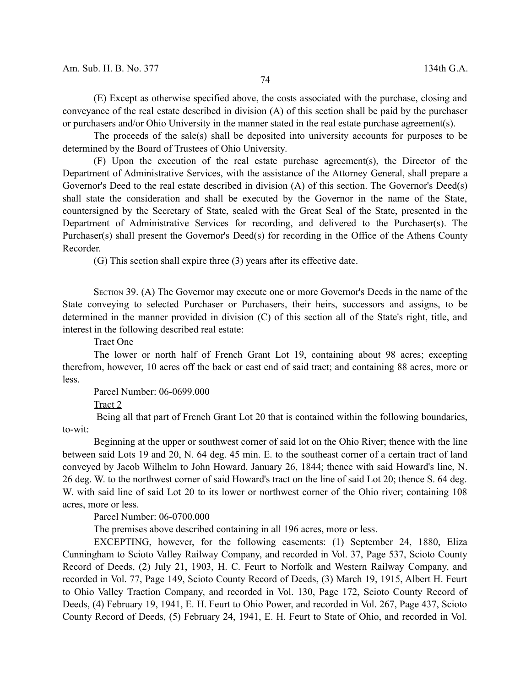(E) Except as otherwise specified above, the costs associated with the purchase, closing and conveyance of the real estate described in division (A) of this section shall be paid by the purchaser or purchasers and/or Ohio University in the manner stated in the real estate purchase agreement(s).

The proceeds of the sale(s) shall be deposited into university accounts for purposes to be determined by the Board of Trustees of Ohio University.

(F) Upon the execution of the real estate purchase agreement(s), the Director of the Department of Administrative Services, with the assistance of the Attorney General, shall prepare a Governor's Deed to the real estate described in division (A) of this section. The Governor's Deed(s) shall state the consideration and shall be executed by the Governor in the name of the State, countersigned by the Secretary of State, sealed with the Great Seal of the State, presented in the Department of Administrative Services for recording, and delivered to the Purchaser(s). The Purchaser(s) shall present the Governor's Deed(s) for recording in the Office of the Athens County Recorder.

(G) This section shall expire three (3) years after its effective date.

SECTION 39. (A) The Governor may execute one or more Governor's Deeds in the name of the State conveying to selected Purchaser or Purchasers, their heirs, successors and assigns, to be determined in the manner provided in division (C) of this section all of the State's right, title, and interest in the following described real estate:

Tract One

The lower or north half of French Grant Lot 19, containing about 98 acres; excepting therefrom, however, 10 acres off the back or east end of said tract; and containing 88 acres, more or less.

Parcel Number: 06-0699.000

Tract 2

Being all that part of French Grant Lot 20 that is contained within the following boundaries, to-wit:

Beginning at the upper or southwest corner of said lot on the Ohio River; thence with the line between said Lots 19 and 20, N. 64 deg. 45 min. E. to the southeast corner of a certain tract of land conveyed by Jacob Wilhelm to John Howard, January 26, 1844; thence with said Howard's line, N. 26 deg. W. to the northwest corner of said Howard's tract on the line of said Lot 20; thence S. 64 deg. W. with said line of said Lot 20 to its lower or northwest corner of the Ohio river; containing 108 acres, more or less.

Parcel Number: 06-0700.000

The premises above described containing in all 196 acres, more or less.

EXCEPTING, however, for the following easements: (1) September 24, 1880, Eliza Cunningham to Scioto Valley Railway Company, and recorded in Vol. 37, Page 537, Scioto County Record of Deeds, (2) July 21, 1903, H. C. Feurt to Norfolk and Western Railway Company, and recorded in Vol. 77, Page 149, Scioto County Record of Deeds, (3) March 19, 1915, Albert H. Feurt to Ohio Valley Traction Company, and recorded in Vol. 130, Page 172, Scioto County Record of Deeds, (4) February 19, 1941, E. H. Feurt to Ohio Power, and recorded in Vol. 267, Page 437, Scioto County Record of Deeds, (5) February 24, 1941, E. H. Feurt to State of Ohio, and recorded in Vol.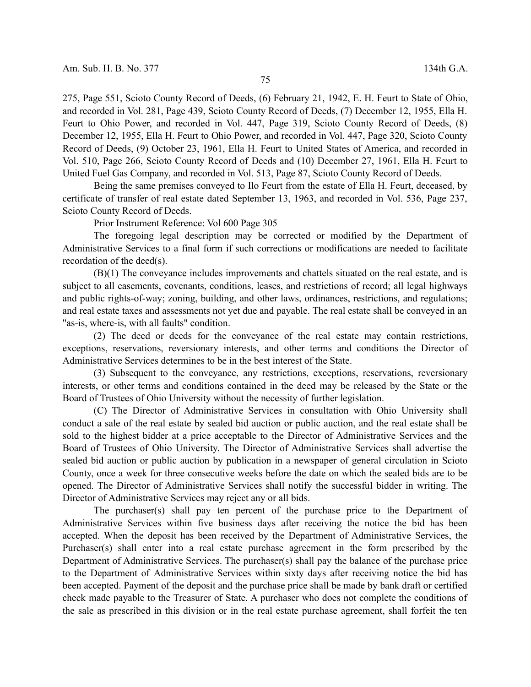275, Page 551, Scioto County Record of Deeds, (6) February 21, 1942, E. H. Feurt to State of Ohio, and recorded in Vol. 281, Page 439, Scioto County Record of Deeds, (7) December 12, 1955, Ella H. Feurt to Ohio Power, and recorded in Vol. 447, Page 319, Scioto County Record of Deeds, (8) December 12, 1955, Ella H. Feurt to Ohio Power, and recorded in Vol. 447, Page 320, Scioto County Record of Deeds, (9) October 23, 1961, Ella H. Feurt to United States of America, and recorded in Vol. 510, Page 266, Scioto County Record of Deeds and (10) December 27, 1961, Ella H. Feurt to United Fuel Gas Company, and recorded in Vol. 513, Page 87, Scioto County Record of Deeds.

Being the same premises conveyed to Ilo Feurt from the estate of Ella H. Feurt, deceased, by certificate of transfer of real estate dated September 13, 1963, and recorded in Vol. 536, Page 237, Scioto County Record of Deeds.

Prior Instrument Reference: Vol 600 Page 305

The foregoing legal description may be corrected or modified by the Department of Administrative Services to a final form if such corrections or modifications are needed to facilitate recordation of the deed(s).

(B)(1) The conveyance includes improvements and chattels situated on the real estate, and is subject to all easements, covenants, conditions, leases, and restrictions of record; all legal highways and public rights-of-way; zoning, building, and other laws, ordinances, restrictions, and regulations; and real estate taxes and assessments not yet due and payable. The real estate shall be conveyed in an "as-is, where-is, with all faults" condition.

(2) The deed or deeds for the conveyance of the real estate may contain restrictions, exceptions, reservations, reversionary interests, and other terms and conditions the Director of Administrative Services determines to be in the best interest of the State.

(3) Subsequent to the conveyance, any restrictions, exceptions, reservations, reversionary interests, or other terms and conditions contained in the deed may be released by the State or the Board of Trustees of Ohio University without the necessity of further legislation.

(C) The Director of Administrative Services in consultation with Ohio University shall conduct a sale of the real estate by sealed bid auction or public auction, and the real estate shall be sold to the highest bidder at a price acceptable to the Director of Administrative Services and the Board of Trustees of Ohio University. The Director of Administrative Services shall advertise the sealed bid auction or public auction by publication in a newspaper of general circulation in Scioto County, once a week for three consecutive weeks before the date on which the sealed bids are to be opened. The Director of Administrative Services shall notify the successful bidder in writing. The Director of Administrative Services may reject any or all bids.

The purchaser(s) shall pay ten percent of the purchase price to the Department of Administrative Services within five business days after receiving the notice the bid has been accepted. When the deposit has been received by the Department of Administrative Services, the Purchaser(s) shall enter into a real estate purchase agreement in the form prescribed by the Department of Administrative Services. The purchaser(s) shall pay the balance of the purchase price to the Department of Administrative Services within sixty days after receiving notice the bid has been accepted. Payment of the deposit and the purchase price shall be made by bank draft or certified check made payable to the Treasurer of State. A purchaser who does not complete the conditions of the sale as prescribed in this division or in the real estate purchase agreement, shall forfeit the ten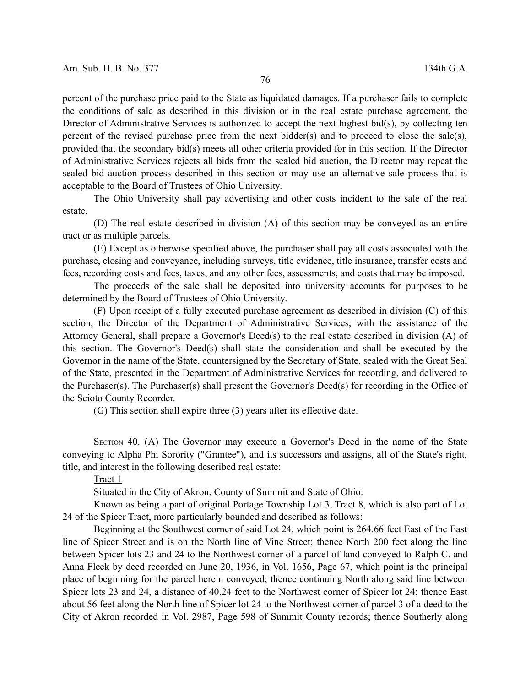percent of the purchase price paid to the State as liquidated damages. If a purchaser fails to complete the conditions of sale as described in this division or in the real estate purchase agreement, the Director of Administrative Services is authorized to accept the next highest bid(s), by collecting ten percent of the revised purchase price from the next bidder(s) and to proceed to close the sale(s), provided that the secondary bid(s) meets all other criteria provided for in this section. If the Director of Administrative Services rejects all bids from the sealed bid auction, the Director may repeat the sealed bid auction process described in this section or may use an alternative sale process that is acceptable to the Board of Trustees of Ohio University.

The Ohio University shall pay advertising and other costs incident to the sale of the real estate.

(D) The real estate described in division (A) of this section may be conveyed as an entire tract or as multiple parcels.

(E) Except as otherwise specified above, the purchaser shall pay all costs associated with the purchase, closing and conveyance, including surveys, title evidence, title insurance, transfer costs and fees, recording costs and fees, taxes, and any other fees, assessments, and costs that may be imposed.

The proceeds of the sale shall be deposited into university accounts for purposes to be determined by the Board of Trustees of Ohio University.

(F) Upon receipt of a fully executed purchase agreement as described in division (C) of this section, the Director of the Department of Administrative Services, with the assistance of the Attorney General, shall prepare a Governor's Deed(s) to the real estate described in division (A) of this section. The Governor's Deed(s) shall state the consideration and shall be executed by the Governor in the name of the State, countersigned by the Secretary of State, sealed with the Great Seal of the State, presented in the Department of Administrative Services for recording, and delivered to the Purchaser(s). The Purchaser(s) shall present the Governor's Deed(s) for recording in the Office of the Scioto County Recorder.

(G) This section shall expire three (3) years after its effective date.

SECTION 40. (A) The Governor may execute a Governor's Deed in the name of the State conveying to Alpha Phi Sorority ("Grantee"), and its successors and assigns, all of the State's right, title, and interest in the following described real estate:

Tract 1

Situated in the City of Akron, County of Summit and State of Ohio:

Known as being a part of original Portage Township Lot 3, Tract 8, which is also part of Lot 24 of the Spicer Tract, more particularly bounded and described as follows:

Beginning at the Southwest corner of said Lot 24, which point is 264.66 feet East of the East line of Spicer Street and is on the North line of Vine Street; thence North 200 feet along the line between Spicer lots 23 and 24 to the Northwest corner of a parcel of land conveyed to Ralph C. and Anna Fleck by deed recorded on June 20, 1936, in Vol. 1656, Page 67, which point is the principal place of beginning for the parcel herein conveyed; thence continuing North along said line between Spicer lots 23 and 24, a distance of 40.24 feet to the Northwest corner of Spicer lot 24; thence East about 56 feet along the North line of Spicer lot 24 to the Northwest corner of parcel 3 of a deed to the City of Akron recorded in Vol. 2987, Page 598 of Summit County records; thence Southerly along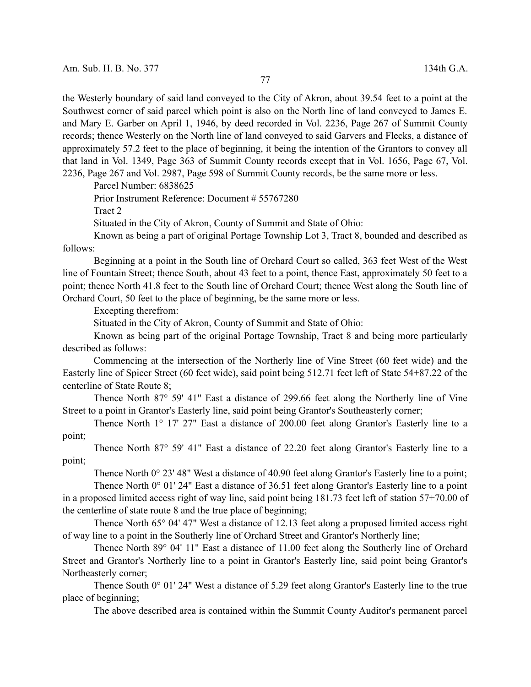the Westerly boundary of said land conveyed to the City of Akron, about 39.54 feet to a point at the Southwest corner of said parcel which point is also on the North line of land conveyed to James E. and Mary E. Garber on April 1, 1946, by deed recorded in Vol. 2236, Page 267 of Summit County records; thence Westerly on the North line of land conveyed to said Garvers and Flecks, a distance of approximately 57.2 feet to the place of beginning, it being the intention of the Grantors to convey all that land in Vol. 1349, Page 363 of Summit County records except that in Vol. 1656, Page 67, Vol. 2236, Page 267 and Vol. 2987, Page 598 of Summit County records, be the same more or less.

Parcel Number: 6838625

Prior Instrument Reference: Document # 55767280

Tract 2

Situated in the City of Akron, County of Summit and State of Ohio:

Known as being a part of original Portage Township Lot 3, Tract 8, bounded and described as follows:

Beginning at a point in the South line of Orchard Court so called, 363 feet West of the West line of Fountain Street; thence South, about 43 feet to a point, thence East, approximately 50 feet to a point; thence North 41.8 feet to the South line of Orchard Court; thence West along the South line of Orchard Court, 50 feet to the place of beginning, be the same more or less.

Excepting therefrom:

Situated in the City of Akron, County of Summit and State of Ohio:

Known as being part of the original Portage Township, Tract 8 and being more particularly described as follows:

Commencing at the intersection of the Northerly line of Vine Street (60 feet wide) and the Easterly line of Spicer Street (60 feet wide), said point being 512.71 feet left of State 54+87.22 of the centerline of State Route 8;

Thence North 87° 59' 41" East a distance of 299.66 feet along the Northerly line of Vine Street to a point in Grantor's Easterly line, said point being Grantor's Southeasterly corner;

Thence North 1° 17' 27" East a distance of 200.00 feet along Grantor's Easterly line to a point;

Thence North 87° 59' 41" East a distance of 22.20 feet along Grantor's Easterly line to a point;

Thence North 0° 23' 48" West a distance of 40.90 feet along Grantor's Easterly line to a point;

Thence North 0° 01' 24" East a distance of 36.51 feet along Grantor's Easterly line to a point in a proposed limited access right of way line, said point being 181.73 feet left of station 57+70.00 of the centerline of state route 8 and the true place of beginning;

Thence North 65° 04' 47" West a distance of 12.13 feet along a proposed limited access right of way line to a point in the Southerly line of Orchard Street and Grantor's Northerly line;

Thence North 89° 04' 11" East a distance of 11.00 feet along the Southerly line of Orchard Street and Grantor's Northerly line to a point in Grantor's Easterly line, said point being Grantor's Northeasterly corner;

Thence South 0° 01' 24" West a distance of 5.29 feet along Grantor's Easterly line to the true place of beginning;

The above described area is contained within the Summit County Auditor's permanent parcel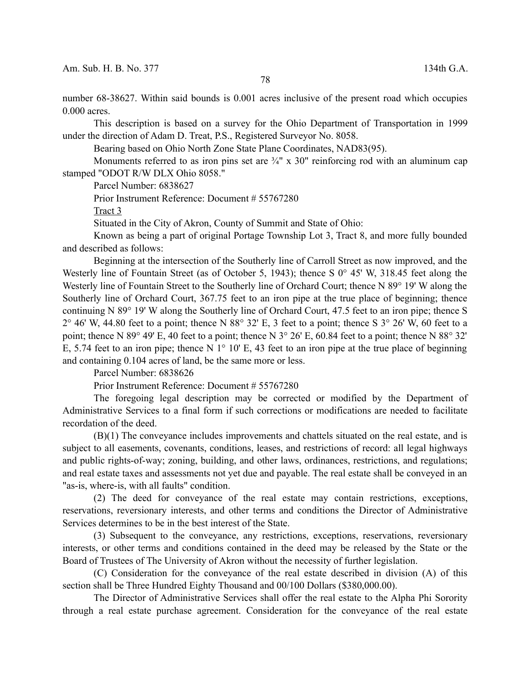number 68-38627. Within said bounds is 0.001 acres inclusive of the present road which occupies 0.000 acres.

This description is based on a survey for the Ohio Department of Transportation in 1999 under the direction of Adam D. Treat, P.S., Registered Surveyor No. 8058.

Bearing based on Ohio North Zone State Plane Coordinates, NAD83(95).

Monuments referred to as iron pins set are  $\frac{3}{4}$ " x 30" reinforcing rod with an aluminum cap stamped "ODOT R/W DLX Ohio 8058."

Parcel Number: 6838627

Prior Instrument Reference: Document # 55767280

Tract 3

Situated in the City of Akron, County of Summit and State of Ohio:

Known as being a part of original Portage Township Lot 3, Tract 8, and more fully bounded and described as follows:

Beginning at the intersection of the Southerly line of Carroll Street as now improved, and the Westerly line of Fountain Street (as of October 5, 1943); thence S 0° 45' W, 318.45 feet along the Westerly line of Fountain Street to the Southerly line of Orchard Court; thence N 89° 19' W along the Southerly line of Orchard Court, 367.75 feet to an iron pipe at the true place of beginning; thence continuing N 89° 19' W along the Southerly line of Orchard Court, 47.5 feet to an iron pipe; thence S  $2^{\circ}$  46' W, 44.80 feet to a point; thence N 88 $^{\circ}$  32' E, 3 feet to a point; thence S  $3^{\circ}$  26' W, 60 feet to a point; thence N 89° 49' E, 40 feet to a point; thence N 3° 26' E, 60.84 feet to a point; thence N 88° 32' E, 5.74 feet to an iron pipe; thence N  $1^{\circ}$  10' E, 43 feet to an iron pipe at the true place of beginning and containing 0.104 acres of land, be the same more or less.

Parcel Number: 6838626

Prior Instrument Reference: Document # 55767280

The foregoing legal description may be corrected or modified by the Department of Administrative Services to a final form if such corrections or modifications are needed to facilitate recordation of the deed.

(B)(1) The conveyance includes improvements and chattels situated on the real estate, and is subject to all easements, covenants, conditions, leases, and restrictions of record: all legal highways and public rights-of-way; zoning, building, and other laws, ordinances, restrictions, and regulations; and real estate taxes and assessments not yet due and payable. The real estate shall be conveyed in an "as-is, where-is, with all faults" condition.

(2) The deed for conveyance of the real estate may contain restrictions, exceptions, reservations, reversionary interests, and other terms and conditions the Director of Administrative Services determines to be in the best interest of the State.

(3) Subsequent to the conveyance, any restrictions, exceptions, reservations, reversionary interests, or other terms and conditions contained in the deed may be released by the State or the Board of Trustees of The University of Akron without the necessity of further legislation.

(C) Consideration for the conveyance of the real estate described in division (A) of this section shall be Three Hundred Eighty Thousand and 00/100 Dollars (\$380,000.00).

The Director of Administrative Services shall offer the real estate to the Alpha Phi Sorority through a real estate purchase agreement. Consideration for the conveyance of the real estate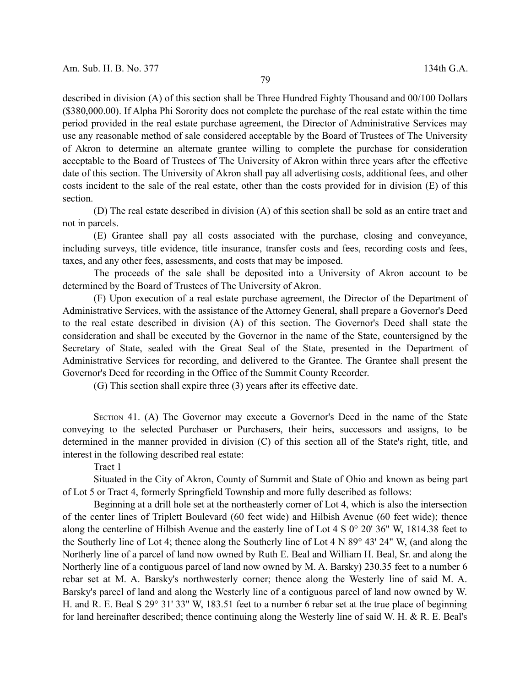described in division (A) of this section shall be Three Hundred Eighty Thousand and 00/100 Dollars (\$380,000.00). If Alpha Phi Sorority does not complete the purchase of the real estate within the time period provided in the real estate purchase agreement, the Director of Administrative Services may use any reasonable method of sale considered acceptable by the Board of Trustees of The University of Akron to determine an alternate grantee willing to complete the purchase for consideration acceptable to the Board of Trustees of The University of Akron within three years after the effective date of this section. The University of Akron shall pay all advertising costs, additional fees, and other costs incident to the sale of the real estate, other than the costs provided for in division (E) of this section.

(D) The real estate described in division (A) of this section shall be sold as an entire tract and not in parcels.

(E) Grantee shall pay all costs associated with the purchase, closing and conveyance, including surveys, title evidence, title insurance, transfer costs and fees, recording costs and fees, taxes, and any other fees, assessments, and costs that may be imposed.

The proceeds of the sale shall be deposited into a University of Akron account to be determined by the Board of Trustees of The University of Akron.

(F) Upon execution of a real estate purchase agreement, the Director of the Department of Administrative Services, with the assistance of the Attorney General, shall prepare a Governor's Deed to the real estate described in division (A) of this section. The Governor's Deed shall state the consideration and shall be executed by the Governor in the name of the State, countersigned by the Secretary of State, sealed with the Great Seal of the State, presented in the Department of Administrative Services for recording, and delivered to the Grantee. The Grantee shall present the Governor's Deed for recording in the Office of the Summit County Recorder.

(G) This section shall expire three (3) years after its effective date.

SECTION 41. (A) The Governor may execute a Governor's Deed in the name of the State conveying to the selected Purchaser or Purchasers, their heirs, successors and assigns, to be determined in the manner provided in division (C) of this section all of the State's right, title, and interest in the following described real estate:

## Tract 1

Situated in the City of Akron, County of Summit and State of Ohio and known as being part of Lot 5 or Tract 4, formerly Springfield Township and more fully described as follows:

Beginning at a drill hole set at the northeasterly corner of Lot 4, which is also the intersection of the center lines of Triplett Boulevard (60 feet wide) and Hilbish Avenue (60 feet wide); thence along the centerline of Hilbish Avenue and the easterly line of Lot 4 S 0° 20' 36" W, 1814.38 feet to the Southerly line of Lot 4; thence along the Southerly line of Lot 4 N 89° 43' 24" W, (and along the Northerly line of a parcel of land now owned by Ruth E. Beal and William H. Beal, Sr. and along the Northerly line of a contiguous parcel of land now owned by M. A. Barsky) 230.35 feet to a number 6 rebar set at M. A. Barsky's northwesterly corner; thence along the Westerly line of said M. A. Barsky's parcel of land and along the Westerly line of a contiguous parcel of land now owned by W. H. and R. E. Beal S 29° 31' 33" W, 183.51 feet to a number 6 rebar set at the true place of beginning for land hereinafter described; thence continuing along the Westerly line of said W. H. & R. E. Beal's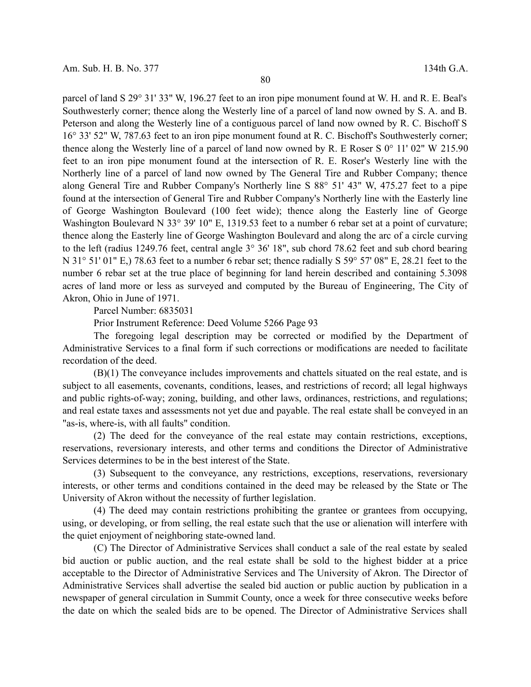parcel of land S 29° 31' 33" W, 196.27 feet to an iron pipe monument found at W. H. and R. E. Beal's Southwesterly corner; thence along the Westerly line of a parcel of land now owned by S. A. and B. Peterson and along the Westerly line of a contiguous parcel of land now owned by R. C. Bischoff S 16° 33' 52" W, 787.63 feet to an iron pipe monument found at R. C. Bischoff's Southwesterly corner; thence along the Westerly line of a parcel of land now owned by R. E Roser S 0° 11' 02" W 215.90 feet to an iron pipe monument found at the intersection of R. E. Roser's Westerly line with the Northerly line of a parcel of land now owned by The General Tire and Rubber Company; thence along General Tire and Rubber Company's Northerly line S 88° 51' 43" W, 475.27 feet to a pipe found at the intersection of General Tire and Rubber Company's Northerly line with the Easterly line of George Washington Boulevard (100 feet wide); thence along the Easterly line of George Washington Boulevard N 33° 39' 10" E, 1319.53 feet to a number 6 rebar set at a point of curvature; thence along the Easterly line of George Washington Boulevard and along the arc of a circle curving to the left (radius 1249.76 feet, central angle 3° 36' 18", sub chord 78.62 feet and sub chord bearing N 31° 51' 01" E,) 78.63 feet to a number 6 rebar set; thence radially S 59° 57' 08" E, 28.21 feet to the number 6 rebar set at the true place of beginning for land herein described and containing 5.3098 acres of land more or less as surveyed and computed by the Bureau of Engineering, The City of Akron, Ohio in June of 1971.

Parcel Number: 6835031

Prior Instrument Reference: Deed Volume 5266 Page 93

The foregoing legal description may be corrected or modified by the Department of Administrative Services to a final form if such corrections or modifications are needed to facilitate recordation of the deed.

(B)(1) The conveyance includes improvements and chattels situated on the real estate, and is subject to all easements, covenants, conditions, leases, and restrictions of record; all legal highways and public rights-of-way; zoning, building, and other laws, ordinances, restrictions, and regulations; and real estate taxes and assessments not yet due and payable. The real estate shall be conveyed in an "as-is, where-is, with all faults" condition.

(2) The deed for the conveyance of the real estate may contain restrictions, exceptions, reservations, reversionary interests, and other terms and conditions the Director of Administrative Services determines to be in the best interest of the State.

(3) Subsequent to the conveyance, any restrictions, exceptions, reservations, reversionary interests, or other terms and conditions contained in the deed may be released by the State or The University of Akron without the necessity of further legislation.

(4) The deed may contain restrictions prohibiting the grantee or grantees from occupying, using, or developing, or from selling, the real estate such that the use or alienation will interfere with the quiet enjoyment of neighboring state-owned land.

(C) The Director of Administrative Services shall conduct a sale of the real estate by sealed bid auction or public auction, and the real estate shall be sold to the highest bidder at a price acceptable to the Director of Administrative Services and The University of Akron. The Director of Administrative Services shall advertise the sealed bid auction or public auction by publication in a newspaper of general circulation in Summit County, once a week for three consecutive weeks before the date on which the sealed bids are to be opened. The Director of Administrative Services shall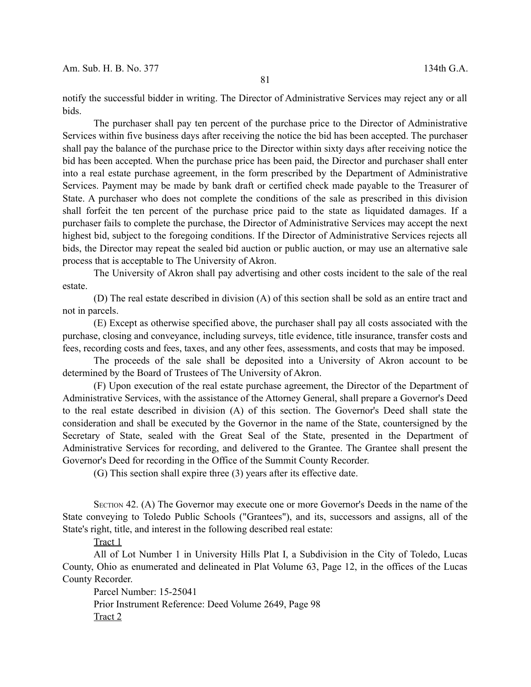notify the successful bidder in writing. The Director of Administrative Services may reject any or all bids.

The purchaser shall pay ten percent of the purchase price to the Director of Administrative Services within five business days after receiving the notice the bid has been accepted. The purchaser shall pay the balance of the purchase price to the Director within sixty days after receiving notice the bid has been accepted. When the purchase price has been paid, the Director and purchaser shall enter into a real estate purchase agreement, in the form prescribed by the Department of Administrative Services. Payment may be made by bank draft or certified check made payable to the Treasurer of State. A purchaser who does not complete the conditions of the sale as prescribed in this division shall forfeit the ten percent of the purchase price paid to the state as liquidated damages. If a purchaser fails to complete the purchase, the Director of Administrative Services may accept the next highest bid, subject to the foregoing conditions. If the Director of Administrative Services rejects all bids, the Director may repeat the sealed bid auction or public auction, or may use an alternative sale process that is acceptable to The University of Akron.

The University of Akron shall pay advertising and other costs incident to the sale of the real estate.

(D) The real estate described in division (A) of this section shall be sold as an entire tract and not in parcels.

(E) Except as otherwise specified above, the purchaser shall pay all costs associated with the purchase, closing and conveyance, including surveys, title evidence, title insurance, transfer costs and fees, recording costs and fees, taxes, and any other fees, assessments, and costs that may be imposed.

The proceeds of the sale shall be deposited into a University of Akron account to be determined by the Board of Trustees of The University of Akron.

(F) Upon execution of the real estate purchase agreement, the Director of the Department of Administrative Services, with the assistance of the Attorney General, shall prepare a Governor's Deed to the real estate described in division (A) of this section. The Governor's Deed shall state the consideration and shall be executed by the Governor in the name of the State, countersigned by the Secretary of State, sealed with the Great Seal of the State, presented in the Department of Administrative Services for recording, and delivered to the Grantee. The Grantee shall present the Governor's Deed for recording in the Office of the Summit County Recorder.

(G) This section shall expire three (3) years after its effective date.

SECTION 42. (A) The Governor may execute one or more Governor's Deeds in the name of the State conveying to Toledo Public Schools ("Grantees"), and its, successors and assigns, all of the State's right, title, and interest in the following described real estate:

Tract 1

All of Lot Number 1 in University Hills Plat I, a Subdivision in the City of Toledo, Lucas County, Ohio as enumerated and delineated in Plat Volume 63, Page 12, in the offices of the Lucas County Recorder.

Parcel Number: 15-25041 Prior Instrument Reference: Deed Volume 2649, Page 98 Tract 2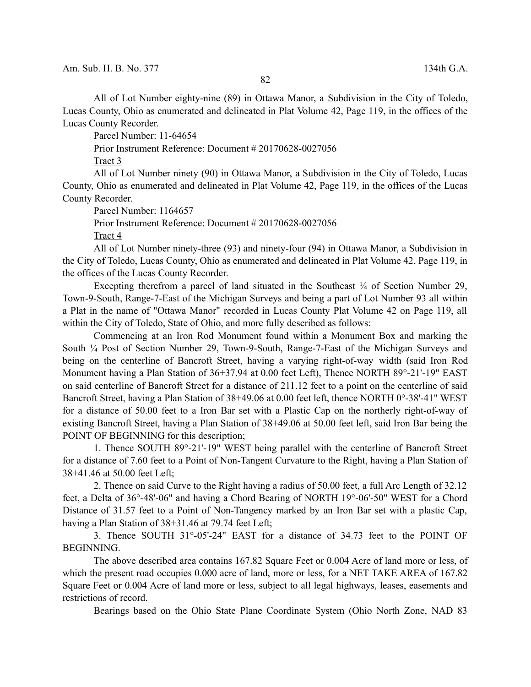All of Lot Number eighty-nine (89) in Ottawa Manor, a Subdivision in the City of Toledo, Lucas County, Ohio as enumerated and delineated in Plat Volume 42, Page 119, in the offices of the Lucas County Recorder.

Parcel Number: 11-64654

Prior Instrument Reference: Document # 20170628-0027056

Tract 3

All of Lot Number ninety (90) in Ottawa Manor, a Subdivision in the City of Toledo, Lucas County, Ohio as enumerated and delineated in Plat Volume 42, Page 119, in the offices of the Lucas County Recorder.

Parcel Number: 1164657

Prior Instrument Reference: Document # 20170628-0027056

Tract 4

All of Lot Number ninety-three (93) and ninety-four (94) in Ottawa Manor, a Subdivision in the City of Toledo, Lucas County, Ohio as enumerated and delineated in Plat Volume 42, Page 119, in the offices of the Lucas County Recorder.

Excepting therefrom a parcel of land situated in the Southeast  $\frac{1}{4}$  of Section Number 29, Town-9-South, Range-7-East of the Michigan Surveys and being a part of Lot Number 93 all within a Plat in the name of "Ottawa Manor" recorded in Lucas County Plat Volume 42 on Page 119, all within the City of Toledo, State of Ohio, and more fully described as follows:

Commencing at an Iron Rod Monument found within a Monument Box and marking the South ¼ Post of Section Number 29, Town-9-South, Range-7-East of the Michigan Surveys and being on the centerline of Bancroft Street, having a varying right-of-way width (said Iron Rod Monument having a Plan Station of 36+37.94 at 0.00 feet Left), Thence NORTH 89°-21'-19" EAST on said centerline of Bancroft Street for a distance of 211.12 feet to a point on the centerline of said Bancroft Street, having a Plan Station of 38+49.06 at 0.00 feet left, thence NORTH 0°-38'-41" WEST for a distance of 50.00 feet to a Iron Bar set with a Plastic Cap on the northerly right-of-way of existing Bancroft Street, having a Plan Station of 38+49.06 at 50.00 feet left, said Iron Bar being the POINT OF BEGINNING for this description;

1. Thence SOUTH 89°-21'-19" WEST being parallel with the centerline of Bancroft Street for a distance of 7.60 feet to a Point of Non-Tangent Curvature to the Right, having a Plan Station of 38+41.46 at 50.00 feet Left;

2. Thence on said Curve to the Right having a radius of 50.00 feet, a full Arc Length of 32.12 feet, a Delta of 36°-48'-06" and having a Chord Bearing of NORTH 19°-06'-50" WEST for a Chord Distance of 31.57 feet to a Point of Non-Tangency marked by an Iron Bar set with a plastic Cap, having a Plan Station of 38+31.46 at 79.74 feet Left;

3. Thence SOUTH 31°-05'-24" EAST for a distance of 34.73 feet to the POINT OF BEGINNING.

The above described area contains 167.82 Square Feet or 0.004 Acre of land more or less, of which the present road occupies 0.000 acre of land, more or less, for a NET TAKE AREA of 167.82 Square Feet or 0.004 Acre of land more or less, subject to all legal highways, leases, easements and restrictions of record.

Bearings based on the Ohio State Plane Coordinate System (Ohio North Zone, NAD 83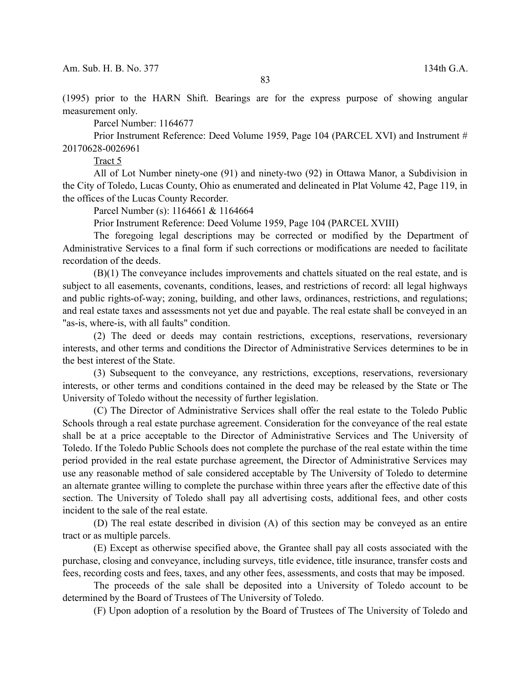(1995) prior to the HARN Shift. Bearings are for the express purpose of showing angular measurement only.

Parcel Number: 1164677

Prior Instrument Reference: Deed Volume 1959, Page 104 (PARCEL XVI) and Instrument # 20170628-0026961

Tract 5

All of Lot Number ninety-one (91) and ninety-two (92) in Ottawa Manor, a Subdivision in the City of Toledo, Lucas County, Ohio as enumerated and delineated in Plat Volume 42, Page 119, in the offices of the Lucas County Recorder.

Parcel Number (s): 1164661 & 1164664

Prior Instrument Reference: Deed Volume 1959, Page 104 (PARCEL XVIII)

The foregoing legal descriptions may be corrected or modified by the Department of Administrative Services to a final form if such corrections or modifications are needed to facilitate recordation of the deeds.

(B)(1) The conveyance includes improvements and chattels situated on the real estate, and is subject to all easements, covenants, conditions, leases, and restrictions of record: all legal highways and public rights-of-way; zoning, building, and other laws, ordinances, restrictions, and regulations; and real estate taxes and assessments not yet due and payable. The real estate shall be conveyed in an "as-is, where-is, with all faults" condition.

(2) The deed or deeds may contain restrictions, exceptions, reservations, reversionary interests, and other terms and conditions the Director of Administrative Services determines to be in the best interest of the State.

(3) Subsequent to the conveyance, any restrictions, exceptions, reservations, reversionary interests, or other terms and conditions contained in the deed may be released by the State or The University of Toledo without the necessity of further legislation.

(C) The Director of Administrative Services shall offer the real estate to the Toledo Public Schools through a real estate purchase agreement. Consideration for the conveyance of the real estate shall be at a price acceptable to the Director of Administrative Services and The University of Toledo. If the Toledo Public Schools does not complete the purchase of the real estate within the time period provided in the real estate purchase agreement, the Director of Administrative Services may use any reasonable method of sale considered acceptable by The University of Toledo to determine an alternate grantee willing to complete the purchase within three years after the effective date of this section. The University of Toledo shall pay all advertising costs, additional fees, and other costs incident to the sale of the real estate.

(D) The real estate described in division (A) of this section may be conveyed as an entire tract or as multiple parcels.

(E) Except as otherwise specified above, the Grantee shall pay all costs associated with the purchase, closing and conveyance, including surveys, title evidence, title insurance, transfer costs and fees, recording costs and fees, taxes, and any other fees, assessments, and costs that may be imposed.

The proceeds of the sale shall be deposited into a University of Toledo account to be determined by the Board of Trustees of The University of Toledo.

(F) Upon adoption of a resolution by the Board of Trustees of The University of Toledo and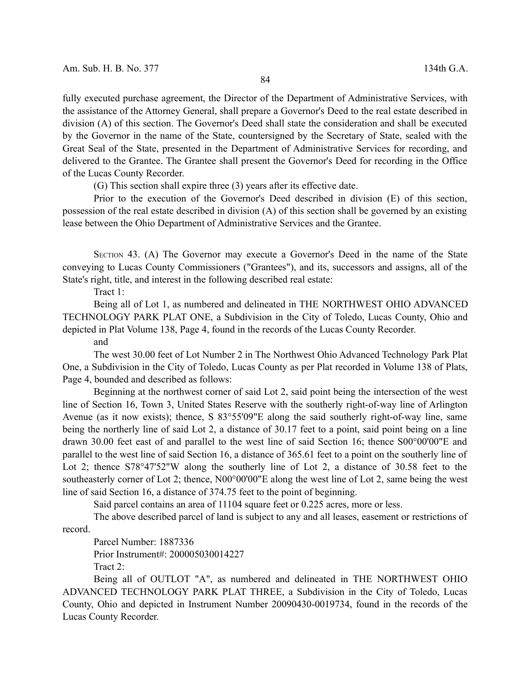fully executed purchase agreement, the Director of the Department of Administrative Services, with the assistance of the Attorney General, shall prepare a Governor's Deed to the real estate described in division (A) of this section. The Governor's Deed shall state the consideration and shall be executed by the Governor in the name of the State, countersigned by the Secretary of State, sealed with the Great Seal of the State, presented in the Department of Administrative Services for recording, and delivered to the Grantee. The Grantee shall present the Governor's Deed for recording in the Office of the Lucas County Recorder.

(G) This section shall expire three (3) years after its effective date.

Prior to the execution of the Governor's Deed described in division (E) of this section, possession of the real estate described in division (A) of this section shall be governed by an existing lease between the Ohio Department of Administrative Services and the Grantee.

SECTION 43. (A) The Governor may execute a Governor's Deed in the name of the State conveying to Lucas County Commissioners ("Grantees"), and its, successors and assigns, all of the State's right, title, and interest in the following described real estate:

Tract 1:

Being all of Lot 1, as numbered and delineated in THE NORTHWEST OHIO ADVANCED TECHNOLOGY PARK PLAT ONE, a Subdivision in the City of Toledo, Lucas County, Ohio and depicted in Plat Volume 138, Page 4, found in the records of the Lucas County Recorder.

and

The west 30.00 feet of Lot Number 2 in The Northwest Ohio Advanced Technology Park Plat One, a Subdivision in the City of Toledo, Lucas County as per Plat recorded in Volume 138 of Plats, Page 4, bounded and described as follows:

Beginning at the northwest corner of said Lot 2, said point being the intersection of the west line of Section 16, Town 3, United States Reserve with the southerly right-of-way line of Arlington Avenue (as it now exists); thence, S 83°55'09"E along the said southerly right-of-way line, same being the northerly line of said Lot 2, a distance of 30.17 feet to a point, said point being on a line drawn 30.00 feet east of and parallel to the west line of said Section 16; thence S00°00'00"E and parallel to the west line of said Section 16, a distance of 365.61 feet to a point on the southerly line of Lot 2; thence S78°47'52"W along the southerly line of Lot 2, a distance of 30.58 feet to the southeasterly corner of Lot 2; thence, N00°00'00"E along the west line of Lot 2, same being the west line of said Section 16, a distance of 374.75 feet to the point of beginning.

Said parcel contains an area of 11104 square feet or 0.225 acres, more or less.

The above described parcel of land is subject to any and all leases, easement or restrictions of record.

Parcel Number: 1887336 Prior Instrument#: 200005030014227 Tract 2:

Being all of OUTLOT "A", as numbered and delineated in THE NORTHWEST OHIO ADVANCED TECHNOLOGY PARK PLAT THREE, a Subdivision in the City of Toledo, Lucas County, Ohio and depicted in Instrument Number 20090430-0019734, found in the records of the Lucas County Recorder.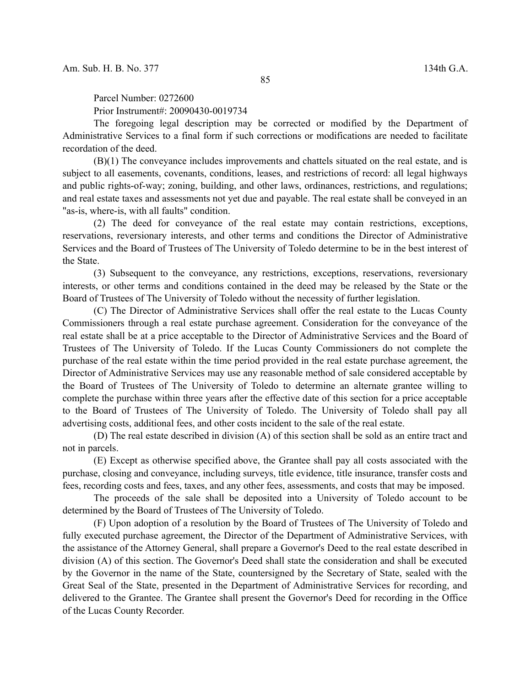Parcel Number: 0272600 Prior Instrument#: 20090430-0019734

The foregoing legal description may be corrected or modified by the Department of Administrative Services to a final form if such corrections or modifications are needed to facilitate recordation of the deed.

(B)(1) The conveyance includes improvements and chattels situated on the real estate, and is subject to all easements, covenants, conditions, leases, and restrictions of record: all legal highways and public rights-of-way; zoning, building, and other laws, ordinances, restrictions, and regulations; and real estate taxes and assessments not yet due and payable. The real estate shall be conveyed in an "as-is, where-is, with all faults" condition.

(2) The deed for conveyance of the real estate may contain restrictions, exceptions, reservations, reversionary interests, and other terms and conditions the Director of Administrative Services and the Board of Trustees of The University of Toledo determine to be in the best interest of the State.

(3) Subsequent to the conveyance, any restrictions, exceptions, reservations, reversionary interests, or other terms and conditions contained in the deed may be released by the State or the Board of Trustees of The University of Toledo without the necessity of further legislation.

(C) The Director of Administrative Services shall offer the real estate to the Lucas County Commissioners through a real estate purchase agreement. Consideration for the conveyance of the real estate shall be at a price acceptable to the Director of Administrative Services and the Board of Trustees of The University of Toledo. If the Lucas County Commissioners do not complete the purchase of the real estate within the time period provided in the real estate purchase agreement, the Director of Administrative Services may use any reasonable method of sale considered acceptable by the Board of Trustees of The University of Toledo to determine an alternate grantee willing to complete the purchase within three years after the effective date of this section for a price acceptable to the Board of Trustees of The University of Toledo. The University of Toledo shall pay all advertising costs, additional fees, and other costs incident to the sale of the real estate.

(D) The real estate described in division (A) of this section shall be sold as an entire tract and not in parcels.

(E) Except as otherwise specified above, the Grantee shall pay all costs associated with the purchase, closing and conveyance, including surveys, title evidence, title insurance, transfer costs and fees, recording costs and fees, taxes, and any other fees, assessments, and costs that may be imposed.

The proceeds of the sale shall be deposited into a University of Toledo account to be determined by the Board of Trustees of The University of Toledo.

(F) Upon adoption of a resolution by the Board of Trustees of The University of Toledo and fully executed purchase agreement, the Director of the Department of Administrative Services, with the assistance of the Attorney General, shall prepare a Governor's Deed to the real estate described in division (A) of this section. The Governor's Deed shall state the consideration and shall be executed by the Governor in the name of the State, countersigned by the Secretary of State, sealed with the Great Seal of the State, presented in the Department of Administrative Services for recording, and delivered to the Grantee. The Grantee shall present the Governor's Deed for recording in the Office of the Lucas County Recorder.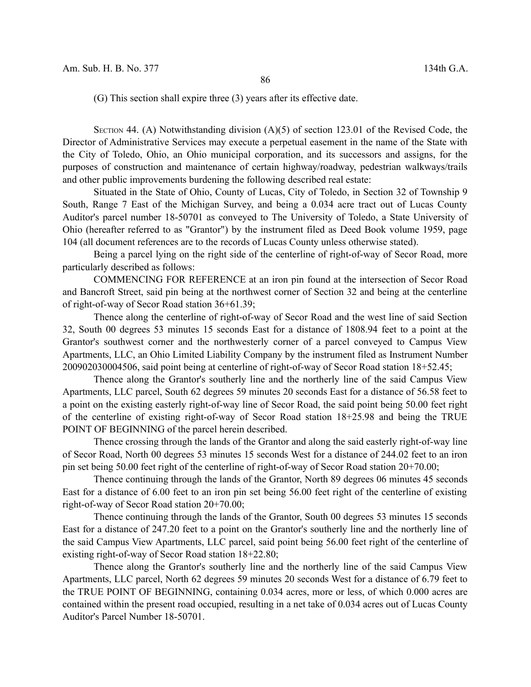(G) This section shall expire three (3) years after its effective date.

SECTION 44. (A) Notwithstanding division  $(A)(5)$  of section 123.01 of the Revised Code, the Director of Administrative Services may execute a perpetual easement in the name of the State with the City of Toledo, Ohio, an Ohio municipal corporation, and its successors and assigns, for the purposes of construction and maintenance of certain highway/roadway, pedestrian walkways/trails and other public improvements burdening the following described real estate:

Situated in the State of Ohio, County of Lucas, City of Toledo, in Section 32 of Township 9 South, Range 7 East of the Michigan Survey, and being a 0.034 acre tract out of Lucas County Auditor's parcel number 18-50701 as conveyed to The University of Toledo, a State University of Ohio (hereafter referred to as "Grantor") by the instrument filed as Deed Book volume 1959, page 104 (all document references are to the records of Lucas County unless otherwise stated).

Being a parcel lying on the right side of the centerline of right-of-way of Secor Road, more particularly described as follows:

COMMENCING FOR REFERENCE at an iron pin found at the intersection of Secor Road and Bancroft Street, said pin being at the northwest corner of Section 32 and being at the centerline of right-of-way of Secor Road station 36+61.39;

Thence along the centerline of right-of-way of Secor Road and the west line of said Section 32, South 00 degrees 53 minutes 15 seconds East for a distance of 1808.94 feet to a point at the Grantor's southwest corner and the northwesterly corner of a parcel conveyed to Campus View Apartments, LLC, an Ohio Limited Liability Company by the instrument filed as Instrument Number 200902030004506, said point being at centerline of right-of-way of Secor Road station 18+52.45;

Thence along the Grantor's southerly line and the northerly line of the said Campus View Apartments, LLC parcel, South 62 degrees 59 minutes 20 seconds East for a distance of 56.58 feet to a point on the existing easterly right-of-way line of Secor Road, the said point being 50.00 feet right of the centerline of existing right-of-way of Secor Road station 18+25.98 and being the TRUE POINT OF BEGINNING of the parcel herein described.

Thence crossing through the lands of the Grantor and along the said easterly right-of-way line of Secor Road, North 00 degrees 53 minutes 15 seconds West for a distance of 244.02 feet to an iron pin set being 50.00 feet right of the centerline of right-of-way of Secor Road station 20+70.00;

Thence continuing through the lands of the Grantor, North 89 degrees 06 minutes 45 seconds East for a distance of 6.00 feet to an iron pin set being 56.00 feet right of the centerline of existing right-of-way of Secor Road station 20+70.00;

Thence continuing through the lands of the Grantor, South 00 degrees 53 minutes 15 seconds East for a distance of 247.20 feet to a point on the Grantor's southerly line and the northerly line of the said Campus View Apartments, LLC parcel, said point being 56.00 feet right of the centerline of existing right-of-way of Secor Road station 18+22.80;

Thence along the Grantor's southerly line and the northerly line of the said Campus View Apartments, LLC parcel, North 62 degrees 59 minutes 20 seconds West for a distance of 6.79 feet to the TRUE POINT OF BEGINNING, containing 0.034 acres, more or less, of which 0.000 acres are contained within the present road occupied, resulting in a net take of 0.034 acres out of Lucas County Auditor's Parcel Number 18-50701.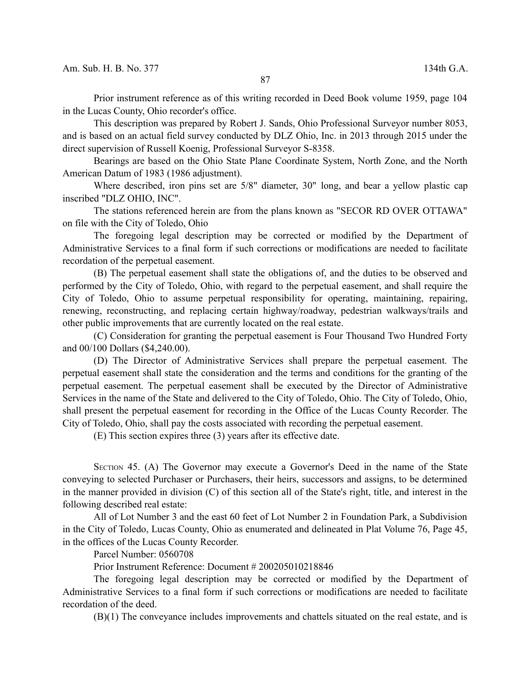Prior instrument reference as of this writing recorded in Deed Book volume 1959, page 104 in the Lucas County, Ohio recorder's office.

This description was prepared by Robert J. Sands, Ohio Professional Surveyor number 8053, and is based on an actual field survey conducted by DLZ Ohio, Inc. in 2013 through 2015 under the direct supervision of Russell Koenig, Professional Surveyor S-8358.

Bearings are based on the Ohio State Plane Coordinate System, North Zone, and the North American Datum of 1983 (1986 adjustment).

Where described, iron pins set are 5/8" diameter, 30" long, and bear a yellow plastic cap inscribed "DLZ OHIO, INC".

The stations referenced herein are from the plans known as "SECOR RD OVER OTTAWA" on file with the City of Toledo, Ohio

The foregoing legal description may be corrected or modified by the Department of Administrative Services to a final form if such corrections or modifications are needed to facilitate recordation of the perpetual easement.

(B) The perpetual easement shall state the obligations of, and the duties to be observed and performed by the City of Toledo, Ohio, with regard to the perpetual easement, and shall require the City of Toledo, Ohio to assume perpetual responsibility for operating, maintaining, repairing, renewing, reconstructing, and replacing certain highway/roadway, pedestrian walkways/trails and other public improvements that are currently located on the real estate.

(C) Consideration for granting the perpetual easement is Four Thousand Two Hundred Forty and 00/100 Dollars (\$4,240.00).

(D) The Director of Administrative Services shall prepare the perpetual easement. The perpetual easement shall state the consideration and the terms and conditions for the granting of the perpetual easement. The perpetual easement shall be executed by the Director of Administrative Services in the name of the State and delivered to the City of Toledo, Ohio. The City of Toledo, Ohio, shall present the perpetual easement for recording in the Office of the Lucas County Recorder. The City of Toledo, Ohio, shall pay the costs associated with recording the perpetual easement.

(E) This section expires three (3) years after its effective date.

SECTION 45. (A) The Governor may execute a Governor's Deed in the name of the State conveying to selected Purchaser or Purchasers, their heirs, successors and assigns, to be determined in the manner provided in division (C) of this section all of the State's right, title, and interest in the following described real estate:

All of Lot Number 3 and the east 60 feet of Lot Number 2 in Foundation Park, a Subdivision in the City of Toledo, Lucas County, Ohio as enumerated and delineated in Plat Volume 76, Page 45, in the offices of the Lucas County Recorder.

Parcel Number: 0560708

Prior Instrument Reference: Document # 200205010218846

The foregoing legal description may be corrected or modified by the Department of Administrative Services to a final form if such corrections or modifications are needed to facilitate recordation of the deed.

(B)(1) The conveyance includes improvements and chattels situated on the real estate, and is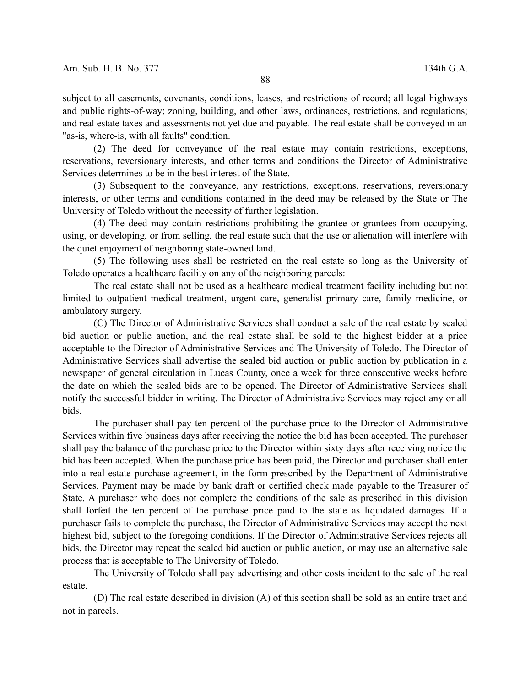subject to all easements, covenants, conditions, leases, and restrictions of record; all legal highways and public rights-of-way; zoning, building, and other laws, ordinances, restrictions, and regulations; and real estate taxes and assessments not yet due and payable. The real estate shall be conveyed in an "as-is, where-is, with all faults" condition.

(2) The deed for conveyance of the real estate may contain restrictions, exceptions, reservations, reversionary interests, and other terms and conditions the Director of Administrative Services determines to be in the best interest of the State.

(3) Subsequent to the conveyance, any restrictions, exceptions, reservations, reversionary interests, or other terms and conditions contained in the deed may be released by the State or The University of Toledo without the necessity of further legislation.

(4) The deed may contain restrictions prohibiting the grantee or grantees from occupying, using, or developing, or from selling, the real estate such that the use or alienation will interfere with the quiet enjoyment of neighboring state-owned land.

(5) The following uses shall be restricted on the real estate so long as the University of Toledo operates a healthcare facility on any of the neighboring parcels:

The real estate shall not be used as a healthcare medical treatment facility including but not limited to outpatient medical treatment, urgent care, generalist primary care, family medicine, or ambulatory surgery.

(C) The Director of Administrative Services shall conduct a sale of the real estate by sealed bid auction or public auction, and the real estate shall be sold to the highest bidder at a price acceptable to the Director of Administrative Services and The University of Toledo. The Director of Administrative Services shall advertise the sealed bid auction or public auction by publication in a newspaper of general circulation in Lucas County, once a week for three consecutive weeks before the date on which the sealed bids are to be opened. The Director of Administrative Services shall notify the successful bidder in writing. The Director of Administrative Services may reject any or all bids.

The purchaser shall pay ten percent of the purchase price to the Director of Administrative Services within five business days after receiving the notice the bid has been accepted. The purchaser shall pay the balance of the purchase price to the Director within sixty days after receiving notice the bid has been accepted. When the purchase price has been paid, the Director and purchaser shall enter into a real estate purchase agreement, in the form prescribed by the Department of Administrative Services. Payment may be made by bank draft or certified check made payable to the Treasurer of State. A purchaser who does not complete the conditions of the sale as prescribed in this division shall forfeit the ten percent of the purchase price paid to the state as liquidated damages. If a purchaser fails to complete the purchase, the Director of Administrative Services may accept the next highest bid, subject to the foregoing conditions. If the Director of Administrative Services rejects all bids, the Director may repeat the sealed bid auction or public auction, or may use an alternative sale process that is acceptable to The University of Toledo.

The University of Toledo shall pay advertising and other costs incident to the sale of the real estate.

(D) The real estate described in division (A) of this section shall be sold as an entire tract and not in parcels.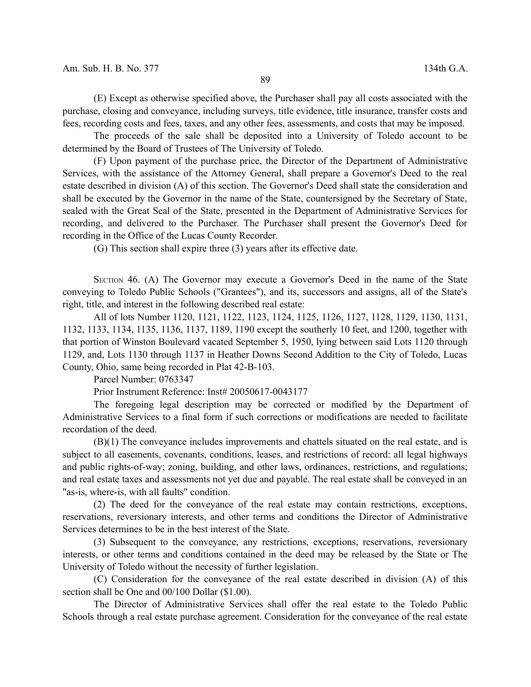(E) Except as otherwise specified above, the Purchaser shall pay all costs associated with the purchase, closing and conveyance, including surveys, title evidence, title insurance, transfer costs and fees, recording costs and fees, taxes, and any other fees, assessments, and costs that may be imposed.

The proceeds of the sale shall be deposited into a University of Toledo account to be determined by the Board of Trustees of The University of Toledo.

(F) Upon payment of the purchase price, the Director of the Department of Administrative Services, with the assistance of the Attorney General, shall prepare a Governor's Deed to the real estate described in division (A) of this section. The Governor's Deed shall state the consideration and shall be executed by the Governor in the name of the State, countersigned by the Secretary of State, sealed with the Great Seal of the State, presented in the Department of Administrative Services for recording, and delivered to the Purchaser. The Purchaser shall present the Governor's Deed for recording in the Office of the Lucas County Recorder.

(G) This section shall expire three (3) years after its effective date.

SECTION 46. (A) The Governor may execute a Governor's Deed in the name of the State conveying to Toledo Public Schools ("Grantees"), and its, successors and assigns, all of the State's right, title, and interest in the following described real estate:

All of lots Number 1120, 1121, 1122, 1123, 1124, 1125, 1126, 1127, 1128, 1129, 1130, 1131, 1132, 1133, 1134, 1135, 1136, 1137, 1189, 1190 except the southerly 10 feet, and 1200, together with that portion of Winston Boulevard vacated September 5, 1950, lying between said Lots 1120 through 1129, and, Lots 1130 through 1137 in Heather Downs Second Addition to the City of Toledo, Lucas County, Ohio, same being recorded in Plat 42-B-103.

Parcel Number: 0763347

Prior Instrument Reference: Inst# 20050617-0043177

The foregoing legal description may be corrected or modified by the Department of Administrative Services to a final form if such corrections or modifications are needed to facilitate recordation of the deed.

(B)(1) The conveyance includes improvements and chattels situated on the real estate, and is subject to all easements, covenants, conditions, leases, and restrictions of record: all legal highways and public rights-of-way; zoning, building, and other laws, ordinances, restrictions, and regulations; and real estate taxes and assessments not yet due and payable. The real estate shall be conveyed in an "as-is, where-is, with all faults" condition.

(2) The deed for the conveyance of the real estate may contain restrictions, exceptions, reservations, reversionary interests, and other terms and conditions the Director of Administrative Services determines to be in the best interest of the State.

(3) Subsequent to the conveyance, any restrictions, exceptions, reservations, reversionary interests, or other terms and conditions contained in the deed may be released by the State or The University of Toledo without the necessity of further legislation.

(C) Consideration for the conveyance of the real estate described in division (A) of this section shall be One and 00/100 Dollar (\$1.00).

The Director of Administrative Services shall offer the real estate to the Toledo Public Schools through a real estate purchase agreement. Consideration for the conveyance of the real estate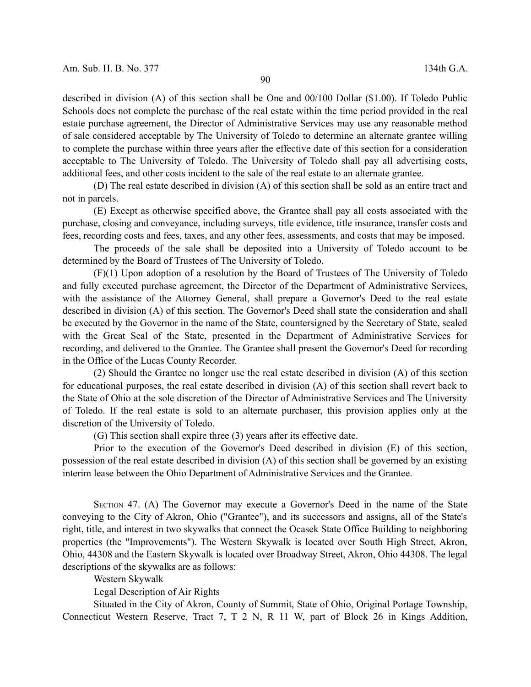described in division (A) of this section shall be One and 00/100 Dollar (\$1.00). If Toledo Public Schools does not complete the purchase of the real estate within the time period provided in the real estate purchase agreement, the Director of Administrative Services may use any reasonable method of sale considered acceptable by The University of Toledo to determine an alternate grantee willing to complete the purchase within three years after the effective date of this section for a consideration acceptable to The University of Toledo. The University of Toledo shall pay all advertising costs, additional fees, and other costs incident to the sale of the real estate to an alternate grantee.

(D) The real estate described in division (A) of this section shall be sold as an entire tract and not in parcels.

(E) Except as otherwise specified above, the Grantee shall pay all costs associated with the purchase, closing and conveyance, including surveys, title evidence, title insurance, transfer costs and fees, recording costs and fees, taxes, and any other fees, assessments, and costs that may be imposed.

The proceeds of the sale shall be deposited into a University of Toledo account to be determined by the Board of Trustees of The University of Toledo.

(F)(1) Upon adoption of a resolution by the Board of Trustees of The University of Toledo and fully executed purchase agreement, the Director of the Department of Administrative Services, with the assistance of the Attorney General, shall prepare a Governor's Deed to the real estate described in division (A) of this section. The Governor's Deed shall state the consideration and shall be executed by the Governor in the name of the State, countersigned by the Secretary of State, sealed with the Great Seal of the State, presented in the Department of Administrative Services for recording, and delivered to the Grantee. The Grantee shall present the Governor's Deed for recording in the Office of the Lucas County Recorder.

(2) Should the Grantee no longer use the real estate described in division (A) of this section for educational purposes, the real estate described in division (A) of this section shall revert back to the State of Ohio at the sole discretion of the Director of Administrative Services and The University of Toledo. If the real estate is sold to an alternate purchaser, this provision applies only at the discretion of the University of Toledo.

(G) This section shall expire three (3) years after its effective date.

Prior to the execution of the Governor's Deed described in division (E) of this section, possession of the real estate described in division (A) of this section shall be governed by an existing interim lease between the Ohio Department of Administrative Services and the Grantee.

SECTION 47. (A) The Governor may execute a Governor's Deed in the name of the State conveying to the City of Akron, Ohio ("Grantee"), and its successors and assigns, all of the State's right, title, and interest in two skywalks that connect the Ocasek State Office Building to neighboring properties (the "Improvements"). The Western Skywalk is located over South High Street, Akron, Ohio, 44308 and the Eastern Skywalk is located over Broadway Street, Akron, Ohio 44308. The legal descriptions of the skywalks are as follows:

Western Skywalk

Legal Description of Air Rights

Situated in the City of Akron, County of Summit, State of Ohio, Original Portage Township, Connecticut Western Reserve, Tract 7, T 2 N, R 11 W, part of Block 26 in Kings Addition,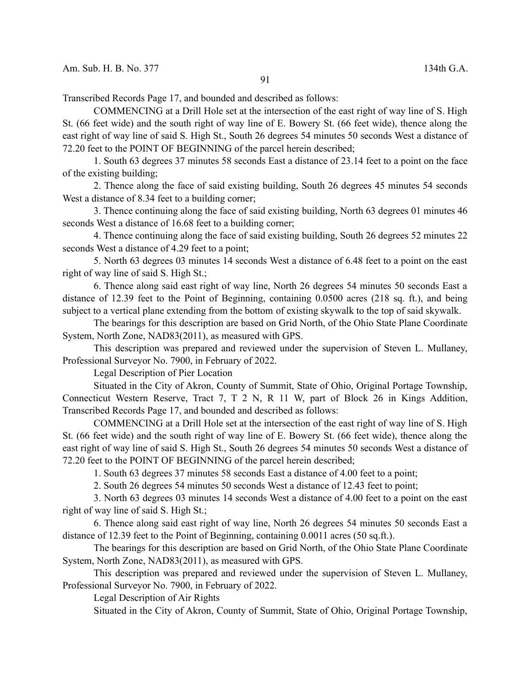Transcribed Records Page 17, and bounded and described as follows:

COMMENCING at a Drill Hole set at the intersection of the east right of way line of S. High St. (66 feet wide) and the south right of way line of E. Bowery St. (66 feet wide), thence along the east right of way line of said S. High St., South 26 degrees 54 minutes 50 seconds West a distance of 72.20 feet to the POINT OF BEGINNING of the parcel herein described;

1. South 63 degrees 37 minutes 58 seconds East a distance of 23.14 feet to a point on the face of the existing building;

2. Thence along the face of said existing building, South 26 degrees 45 minutes 54 seconds West a distance of 8.34 feet to a building corner;

3. Thence continuing along the face of said existing building, North 63 degrees 01 minutes 46 seconds West a distance of 16.68 feet to a building corner;

4. Thence continuing along the face of said existing building, South 26 degrees 52 minutes 22 seconds West a distance of 4.29 feet to a point;

5. North 63 degrees 03 minutes 14 seconds West a distance of 6.48 feet to a point on the east right of way line of said S. High St.;

6. Thence along said east right of way line, North 26 degrees 54 minutes 50 seconds East a distance of 12.39 feet to the Point of Beginning, containing 0.0500 acres (218 sq. ft.), and being subject to a vertical plane extending from the bottom of existing skywalk to the top of said skywalk.

The bearings for this description are based on Grid North, of the Ohio State Plane Coordinate System, North Zone, NAD83(2011), as measured with GPS.

This description was prepared and reviewed under the supervision of Steven L. Mullaney, Professional Surveyor No. 7900, in February of 2022.

Legal Description of Pier Location

Situated in the City of Akron, County of Summit, State of Ohio, Original Portage Township, Connecticut Western Reserve, Tract 7, T 2 N, R 11 W, part of Block 26 in Kings Addition, Transcribed Records Page 17, and bounded and described as follows:

COMMENCING at a Drill Hole set at the intersection of the east right of way line of S. High St. (66 feet wide) and the south right of way line of E. Bowery St. (66 feet wide), thence along the east right of way line of said S. High St., South 26 degrees 54 minutes 50 seconds West a distance of 72.20 feet to the POINT OF BEGINNING of the parcel herein described;

1. South 63 degrees 37 minutes 58 seconds East a distance of 4.00 feet to a point;

2. South 26 degrees 54 minutes 50 seconds West a distance of 12.43 feet to point;

3. North 63 degrees 03 minutes 14 seconds West a distance of 4.00 feet to a point on the east right of way line of said S. High St.;

6. Thence along said east right of way line, North 26 degrees 54 minutes 50 seconds East a distance of 12.39 feet to the Point of Beginning, containing 0.0011 acres (50 sq.ft.).

The bearings for this description are based on Grid North, of the Ohio State Plane Coordinate System, North Zone, NAD83(2011), as measured with GPS.

This description was prepared and reviewed under the supervision of Steven L. Mullaney, Professional Surveyor No. 7900, in February of 2022.

Legal Description of Air Rights

Situated in the City of Akron, County of Summit, State of Ohio, Original Portage Township,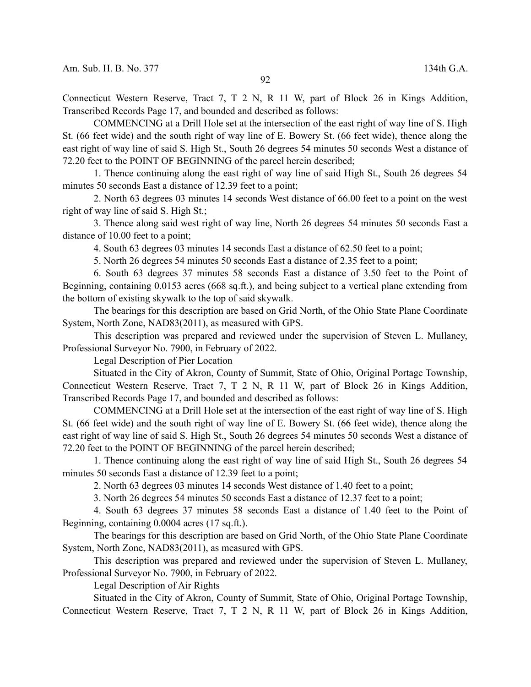Connecticut Western Reserve, Tract 7, T 2 N, R 11 W, part of Block 26 in Kings Addition, Transcribed Records Page 17, and bounded and described as follows:

COMMENCING at a Drill Hole set at the intersection of the east right of way line of S. High St. (66 feet wide) and the south right of way line of E. Bowery St. (66 feet wide), thence along the east right of way line of said S. High St., South 26 degrees 54 minutes 50 seconds West a distance of 72.20 feet to the POINT OF BEGINNING of the parcel herein described;

1. Thence continuing along the east right of way line of said High St., South 26 degrees 54 minutes 50 seconds East a distance of 12.39 feet to a point;

2. North 63 degrees 03 minutes 14 seconds West distance of 66.00 feet to a point on the west right of way line of said S. High St.;

3. Thence along said west right of way line, North 26 degrees 54 minutes 50 seconds East a distance of 10.00 feet to a point;

4. South 63 degrees 03 minutes 14 seconds East a distance of 62.50 feet to a point;

5. North 26 degrees 54 minutes 50 seconds East a distance of 2.35 feet to a point;

6. South 63 degrees 37 minutes 58 seconds East a distance of 3.50 feet to the Point of Beginning, containing 0.0153 acres (668 sq.ft.), and being subject to a vertical plane extending from the bottom of existing skywalk to the top of said skywalk.

The bearings for this description are based on Grid North, of the Ohio State Plane Coordinate System, North Zone, NAD83(2011), as measured with GPS.

This description was prepared and reviewed under the supervision of Steven L. Mullaney, Professional Surveyor No. 7900, in February of 2022.

Legal Description of Pier Location

Situated in the City of Akron, County of Summit, State of Ohio, Original Portage Township, Connecticut Western Reserve, Tract 7, T 2 N, R 11 W, part of Block 26 in Kings Addition, Transcribed Records Page 17, and bounded and described as follows:

COMMENCING at a Drill Hole set at the intersection of the east right of way line of S. High St. (66 feet wide) and the south right of way line of E. Bowery St. (66 feet wide), thence along the east right of way line of said S. High St., South 26 degrees 54 minutes 50 seconds West a distance of 72.20 feet to the POINT OF BEGINNING of the parcel herein described;

1. Thence continuing along the east right of way line of said High St., South 26 degrees 54 minutes 50 seconds East a distance of 12.39 feet to a point;

2. North 63 degrees 03 minutes 14 seconds West distance of 1.40 feet to a point;

3. North 26 degrees 54 minutes 50 seconds East a distance of 12.37 feet to a point;

4. South 63 degrees 37 minutes 58 seconds East a distance of 1.40 feet to the Point of Beginning, containing 0.0004 acres (17 sq.ft.).

The bearings for this description are based on Grid North, of the Ohio State Plane Coordinate System, North Zone, NAD83(2011), as measured with GPS.

This description was prepared and reviewed under the supervision of Steven L. Mullaney, Professional Surveyor No. 7900, in February of 2022.

Legal Description of Air Rights

Situated in the City of Akron, County of Summit, State of Ohio, Original Portage Township, Connecticut Western Reserve, Tract 7, T 2 N, R 11 W, part of Block 26 in Kings Addition,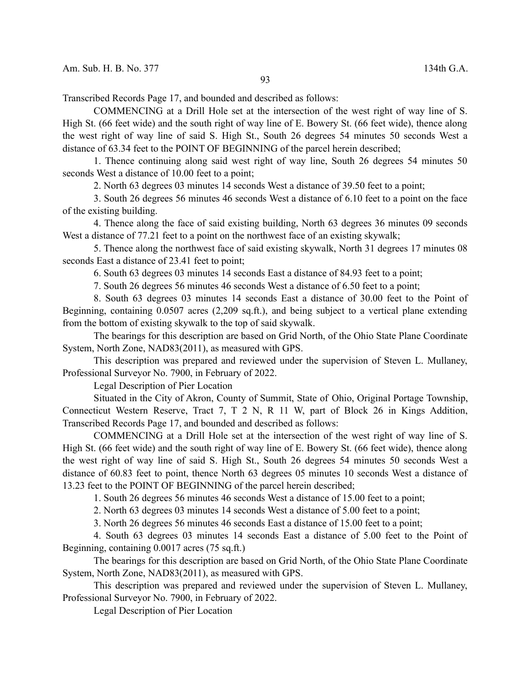Transcribed Records Page 17, and bounded and described as follows:

COMMENCING at a Drill Hole set at the intersection of the west right of way line of S. High St. (66 feet wide) and the south right of way line of E. Bowery St. (66 feet wide), thence along the west right of way line of said S. High St., South 26 degrees 54 minutes 50 seconds West a distance of 63.34 feet to the POINT OF BEGINNING of the parcel herein described;

1. Thence continuing along said west right of way line, South 26 degrees 54 minutes 50 seconds West a distance of 10.00 feet to a point;

2. North 63 degrees 03 minutes 14 seconds West a distance of 39.50 feet to a point;

3. South 26 degrees 56 minutes 46 seconds West a distance of 6.10 feet to a point on the face of the existing building.

4. Thence along the face of said existing building, North 63 degrees 36 minutes 09 seconds West a distance of 77.21 feet to a point on the northwest face of an existing skywalk;

5. Thence along the northwest face of said existing skywalk, North 31 degrees 17 minutes 08 seconds East a distance of 23.41 feet to point;

6. South 63 degrees 03 minutes 14 seconds East a distance of 84.93 feet to a point;

7. South 26 degrees 56 minutes 46 seconds West a distance of 6.50 feet to a point;

8. South 63 degrees 03 minutes 14 seconds East a distance of 30.00 feet to the Point of Beginning, containing 0.0507 acres (2,209 sq.ft.), and being subject to a vertical plane extending from the bottom of existing skywalk to the top of said skywalk.

The bearings for this description are based on Grid North, of the Ohio State Plane Coordinate System, North Zone, NAD83(2011), as measured with GPS.

This description was prepared and reviewed under the supervision of Steven L. Mullaney, Professional Surveyor No. 7900, in February of 2022.

Legal Description of Pier Location

Situated in the City of Akron, County of Summit, State of Ohio, Original Portage Township, Connecticut Western Reserve, Tract 7, T 2 N, R 11 W, part of Block 26 in Kings Addition, Transcribed Records Page 17, and bounded and described as follows:

COMMENCING at a Drill Hole set at the intersection of the west right of way line of S. High St. (66 feet wide) and the south right of way line of E. Bowery St. (66 feet wide), thence along the west right of way line of said S. High St., South 26 degrees 54 minutes 50 seconds West a distance of 60.83 feet to point, thence North 63 degrees 05 minutes 10 seconds West a distance of 13.23 feet to the POINT OF BEGINNING of the parcel herein described;

1. South 26 degrees 56 minutes 46 seconds West a distance of 15.00 feet to a point;

2. North 63 degrees 03 minutes 14 seconds West a distance of 5.00 feet to a point;

3. North 26 degrees 56 minutes 46 seconds East a distance of 15.00 feet to a point;

4. South 63 degrees 03 minutes 14 seconds East a distance of 5.00 feet to the Point of Beginning, containing 0.0017 acres (75 sq.ft.)

The bearings for this description are based on Grid North, of the Ohio State Plane Coordinate System, North Zone, NAD83(2011), as measured with GPS.

This description was prepared and reviewed under the supervision of Steven L. Mullaney, Professional Surveyor No. 7900, in February of 2022.

Legal Description of Pier Location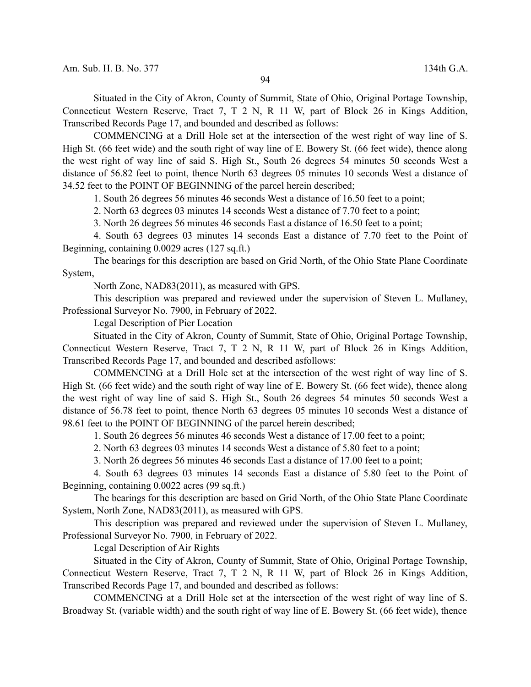Situated in the City of Akron, County of Summit, State of Ohio, Original Portage Township, Connecticut Western Reserve, Tract 7, T 2 N, R 11 W, part of Block 26 in Kings Addition, Transcribed Records Page 17, and bounded and described as follows:

COMMENCING at a Drill Hole set at the intersection of the west right of way line of S. High St. (66 feet wide) and the south right of way line of E. Bowery St. (66 feet wide), thence along the west right of way line of said S. High St., South 26 degrees 54 minutes 50 seconds West a distance of 56.82 feet to point, thence North 63 degrees 05 minutes 10 seconds West a distance of 34.52 feet to the POINT OF BEGINNING of the parcel herein described;

1. South 26 degrees 56 minutes 46 seconds West a distance of 16.50 feet to a point;

2. North 63 degrees 03 minutes 14 seconds West a distance of 7.70 feet to a point;

3. North 26 degrees 56 minutes 46 seconds East a distance of 16.50 feet to a point;

4. South 63 degrees 03 minutes 14 seconds East a distance of 7.70 feet to the Point of Beginning, containing 0.0029 acres (127 sq.ft.)

The bearings for this description are based on Grid North, of the Ohio State Plane Coordinate System,

North Zone, NAD83(2011), as measured with GPS.

This description was prepared and reviewed under the supervision of Steven L. Mullaney, Professional Surveyor No. 7900, in February of 2022.

Legal Description of Pier Location

Situated in the City of Akron, County of Summit, State of Ohio, Original Portage Township, Connecticut Western Reserve, Tract 7, T 2 N, R 11 W, part of Block 26 in Kings Addition, Transcribed Records Page 17, and bounded and described asfollows:

COMMENCING at a Drill Hole set at the intersection of the west right of way line of S. High St. (66 feet wide) and the south right of way line of E. Bowery St. (66 feet wide), thence along the west right of way line of said S. High St., South 26 degrees 54 minutes 50 seconds West a distance of 56.78 feet to point, thence North 63 degrees 05 minutes 10 seconds West a distance of 98.61 feet to the POINT OF BEGINNING of the parcel herein described;

1. South 26 degrees 56 minutes 46 seconds West a distance of 17.00 feet to a point;

2. North 63 degrees 03 minutes 14 seconds West a distance of 5.80 feet to a point;

3. North 26 degrees 56 minutes 46 seconds East a distance of 17.00 feet to a point;

4. South 63 degrees 03 minutes 14 seconds East a distance of 5.80 feet to the Point of Beginning, containing 0.0022 acres (99 sq.ft.)

The bearings for this description are based on Grid North, of the Ohio State Plane Coordinate System, North Zone, NAD83(2011), as measured with GPS.

This description was prepared and reviewed under the supervision of Steven L. Mullaney, Professional Surveyor No. 7900, in February of 2022.

Legal Description of Air Rights

Situated in the City of Akron, County of Summit, State of Ohio, Original Portage Township, Connecticut Western Reserve, Tract 7, T 2 N, R 11 W, part of Block 26 in Kings Addition, Transcribed Records Page 17, and bounded and described as follows:

COMMENCING at a Drill Hole set at the intersection of the west right of way line of S. Broadway St. (variable width) and the south right of way line of E. Bowery St. (66 feet wide), thence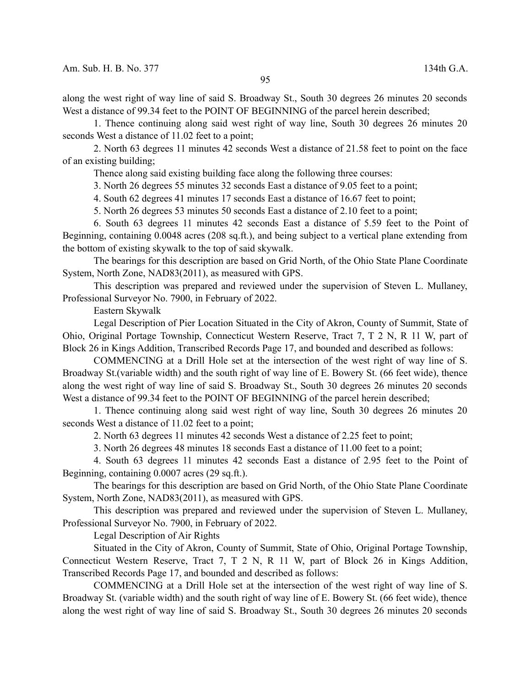along the west right of way line of said S. Broadway St., South 30 degrees 26 minutes 20 seconds West a distance of 99.34 feet to the POINT OF BEGINNING of the parcel herein described;

1. Thence continuing along said west right of way line, South 30 degrees 26 minutes 20 seconds West a distance of 11.02 feet to a point;

2. North 63 degrees 11 minutes 42 seconds West a distance of 21.58 feet to point on the face of an existing building;

Thence along said existing building face along the following three courses:

3. North 26 degrees 55 minutes 32 seconds East a distance of 9.05 feet to a point;

4. South 62 degrees 41 minutes 17 seconds East a distance of 16.67 feet to point;

5. North 26 degrees 53 minutes 50 seconds East a distance of 2.10 feet to a point;

6. South 63 degrees 11 minutes 42 seconds East a distance of 5.59 feet to the Point of Beginning, containing 0.0048 acres (208 sq.ft.), and being subject to a vertical plane extending from the bottom of existing skywalk to the top of said skywalk.

The bearings for this description are based on Grid North, of the Ohio State Plane Coordinate System, North Zone, NAD83(2011), as measured with GPS.

This description was prepared and reviewed under the supervision of Steven L. Mullaney, Professional Surveyor No. 7900, in February of 2022.

Eastern Skywalk

Legal Description of Pier Location Situated in the City of Akron, County of Summit, State of Ohio, Original Portage Township, Connecticut Western Reserve, Tract 7, T 2 N, R 11 W, part of Block 26 in Kings Addition, Transcribed Records Page 17, and bounded and described as follows:

COMMENCING at a Drill Hole set at the intersection of the west right of way line of S. Broadway St.(variable width) and the south right of way line of E. Bowery St. (66 feet wide), thence along the west right of way line of said S. Broadway St., South 30 degrees 26 minutes 20 seconds West a distance of 99.34 feet to the POINT OF BEGINNING of the parcel herein described;

1. Thence continuing along said west right of way line, South 30 degrees 26 minutes 20 seconds West a distance of 11.02 feet to a point;

2. North 63 degrees 11 minutes 42 seconds West a distance of 2.25 feet to point;

3. North 26 degrees 48 minutes 18 seconds East a distance of 11.00 feet to a point;

4. South 63 degrees 11 minutes 42 seconds East a distance of 2.95 feet to the Point of Beginning, containing 0.0007 acres (29 sq.ft.).

The bearings for this description are based on Grid North, of the Ohio State Plane Coordinate System, North Zone, NAD83(2011), as measured with GPS.

This description was prepared and reviewed under the supervision of Steven L. Mullaney, Professional Surveyor No. 7900, in February of 2022.

Legal Description of Air Rights

Situated in the City of Akron, County of Summit, State of Ohio, Original Portage Township, Connecticut Western Reserve, Tract 7, T 2 N, R 11 W, part of Block 26 in Kings Addition, Transcribed Records Page 17, and bounded and described as follows:

COMMENCING at a Drill Hole set at the intersection of the west right of way line of S. Broadway St. (variable width) and the south right of way line of E. Bowery St. (66 feet wide), thence along the west right of way line of said S. Broadway St., South 30 degrees 26 minutes 20 seconds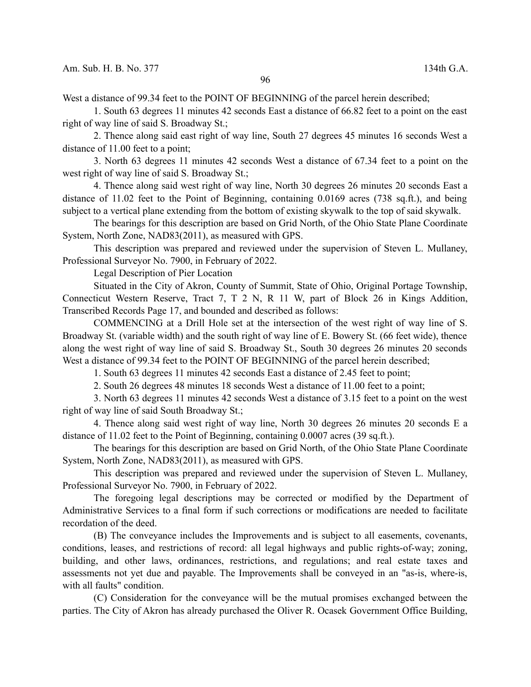West a distance of 99.34 feet to the POINT OF BEGINNING of the parcel herein described;

1. South 63 degrees 11 minutes 42 seconds East a distance of 66.82 feet to a point on the east right of way line of said S. Broadway St.;

2. Thence along said east right of way line, South 27 degrees 45 minutes 16 seconds West a distance of 11.00 feet to a point;

3. North 63 degrees 11 minutes 42 seconds West a distance of 67.34 feet to a point on the west right of way line of said S. Broadway St.;

4. Thence along said west right of way line, North 30 degrees 26 minutes 20 seconds East a distance of 11.02 feet to the Point of Beginning, containing 0.0169 acres (738 sq.ft.), and being subject to a vertical plane extending from the bottom of existing skywalk to the top of said skywalk.

The bearings for this description are based on Grid North, of the Ohio State Plane Coordinate System, North Zone, NAD83(2011), as measured with GPS.

This description was prepared and reviewed under the supervision of Steven L. Mullaney, Professional Surveyor No. 7900, in February of 2022.

Legal Description of Pier Location

Situated in the City of Akron, County of Summit, State of Ohio, Original Portage Township, Connecticut Western Reserve, Tract 7, T 2 N, R 11 W, part of Block 26 in Kings Addition, Transcribed Records Page 17, and bounded and described as follows:

COMMENCING at a Drill Hole set at the intersection of the west right of way line of S. Broadway St. (variable width) and the south right of way line of E. Bowery St. (66 feet wide), thence along the west right of way line of said S. Broadway St., South 30 degrees 26 minutes 20 seconds West a distance of 99.34 feet to the POINT OF BEGINNING of the parcel herein described;

1. South 63 degrees 11 minutes 42 seconds East a distance of 2.45 feet to point;

2. South 26 degrees 48 minutes 18 seconds West a distance of 11.00 feet to a point;

3. North 63 degrees 11 minutes 42 seconds West a distance of 3.15 feet to a point on the west right of way line of said South Broadway St.;

4. Thence along said west right of way line, North 30 degrees 26 minutes 20 seconds E a distance of 11.02 feet to the Point of Beginning, containing 0.0007 acres (39 sq.ft.).

The bearings for this description are based on Grid North, of the Ohio State Plane Coordinate System, North Zone, NAD83(2011), as measured with GPS.

This description was prepared and reviewed under the supervision of Steven L. Mullaney, Professional Surveyor No. 7900, in February of 2022.

The foregoing legal descriptions may be corrected or modified by the Department of Administrative Services to a final form if such corrections or modifications are needed to facilitate recordation of the deed.

(B) The conveyance includes the Improvements and is subject to all easements, covenants, conditions, leases, and restrictions of record: all legal highways and public rights-of-way; zoning, building, and other laws, ordinances, restrictions, and regulations; and real estate taxes and assessments not yet due and payable. The Improvements shall be conveyed in an "as-is, where-is, with all faults" condition.

(C) Consideration for the conveyance will be the mutual promises exchanged between the parties. The City of Akron has already purchased the Oliver R. Ocasek Government Office Building,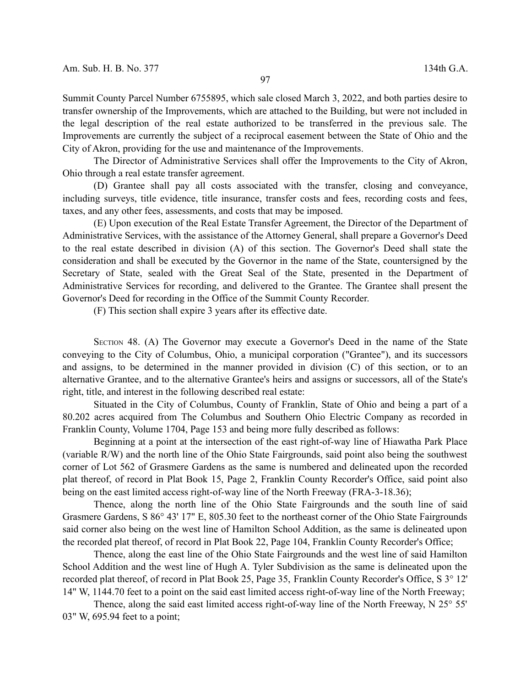Summit County Parcel Number 6755895, which sale closed March 3, 2022, and both parties desire to transfer ownership of the Improvements, which are attached to the Building, but were not included in the legal description of the real estate authorized to be transferred in the previous sale. The Improvements are currently the subject of a reciprocal easement between the State of Ohio and the City of Akron, providing for the use and maintenance of the Improvements.

The Director of Administrative Services shall offer the Improvements to the City of Akron, Ohio through a real estate transfer agreement.

(D) Grantee shall pay all costs associated with the transfer, closing and conveyance, including surveys, title evidence, title insurance, transfer costs and fees, recording costs and fees, taxes, and any other fees, assessments, and costs that may be imposed.

(E) Upon execution of the Real Estate Transfer Agreement, the Director of the Department of Administrative Services, with the assistance of the Attorney General, shall prepare a Governor's Deed to the real estate described in division (A) of this section. The Governor's Deed shall state the consideration and shall be executed by the Governor in the name of the State, countersigned by the Secretary of State, sealed with the Great Seal of the State, presented in the Department of Administrative Services for recording, and delivered to the Grantee. The Grantee shall present the Governor's Deed for recording in the Office of the Summit County Recorder.

(F) This section shall expire 3 years after its effective date.

SECTION 48. (A) The Governor may execute a Governor's Deed in the name of the State conveying to the City of Columbus, Ohio, a municipal corporation ("Grantee"), and its successors and assigns, to be determined in the manner provided in division (C) of this section, or to an alternative Grantee, and to the alternative Grantee's heirs and assigns or successors, all of the State's right, title, and interest in the following described real estate:

Situated in the City of Columbus, County of Franklin, State of Ohio and being a part of a 80.202 acres acquired from The Columbus and Southern Ohio Electric Company as recorded in Franklin County, Volume 1704, Page 153 and being more fully described as follows:

Beginning at a point at the intersection of the east right-of-way line of Hiawatha Park Place (variable R/W) and the north line of the Ohio State Fairgrounds, said point also being the southwest corner of Lot 562 of Grasmere Gardens as the same is numbered and delineated upon the recorded plat thereof, of record in Plat Book 15, Page 2, Franklin County Recorder's Office, said point also being on the east limited access right-of-way line of the North Freeway (FRA-3-18.36);

Thence, along the north line of the Ohio State Fairgrounds and the south line of said Grasmere Gardens, S 86° 43' 17" E, 805.30 feet to the northeast corner of the Ohio State Fairgrounds said corner also being on the west line of Hamilton School Addition, as the same is delineated upon the recorded plat thereof, of record in Plat Book 22, Page 104, Franklin County Recorder's Office;

Thence, along the east line of the Ohio State Fairgrounds and the west line of said Hamilton School Addition and the west line of Hugh A. Tyler Subdivision as the same is delineated upon the recorded plat thereof, of record in Plat Book 25, Page 35, Franklin County Recorder's Office, S 3° 12' 14" W, 1144.70 feet to a point on the said east limited access right-of-way line of the North Freeway;

Thence, along the said east limited access right-of-way line of the North Freeway, N 25° 55' 03" W, 695.94 feet to a point;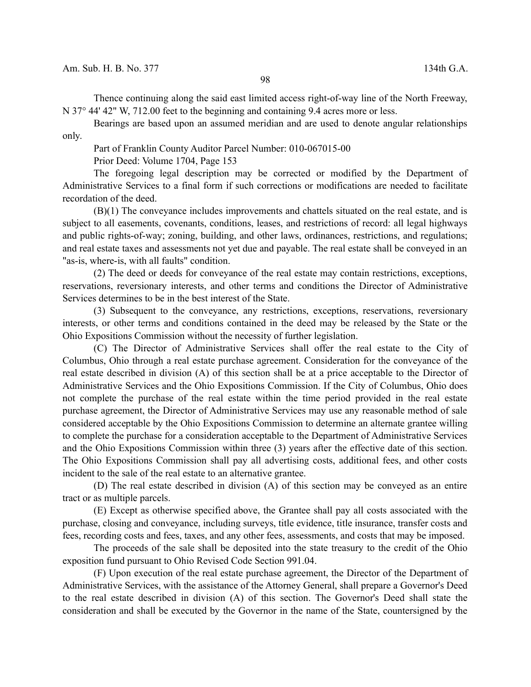Thence continuing along the said east limited access right-of-way line of the North Freeway, N 37° 44' 42" W, 712.00 feet to the beginning and containing 9.4 acres more or less.

Bearings are based upon an assumed meridian and are used to denote angular relationships only.

Part of Franklin County Auditor Parcel Number: 010-067015-00

Prior Deed: Volume 1704, Page 153

The foregoing legal description may be corrected or modified by the Department of Administrative Services to a final form if such corrections or modifications are needed to facilitate recordation of the deed.

(B)(1) The conveyance includes improvements and chattels situated on the real estate, and is subject to all easements, covenants, conditions, leases, and restrictions of record: all legal highways and public rights-of-way; zoning, building, and other laws, ordinances, restrictions, and regulations; and real estate taxes and assessments not yet due and payable. The real estate shall be conveyed in an "as-is, where-is, with all faults" condition.

(2) The deed or deeds for conveyance of the real estate may contain restrictions, exceptions, reservations, reversionary interests, and other terms and conditions the Director of Administrative Services determines to be in the best interest of the State.

(3) Subsequent to the conveyance, any restrictions, exceptions, reservations, reversionary interests, or other terms and conditions contained in the deed may be released by the State or the Ohio Expositions Commission without the necessity of further legislation.

(C) The Director of Administrative Services shall offer the real estate to the City of Columbus, Ohio through a real estate purchase agreement. Consideration for the conveyance of the real estate described in division (A) of this section shall be at a price acceptable to the Director of Administrative Services and the Ohio Expositions Commission. If the City of Columbus, Ohio does not complete the purchase of the real estate within the time period provided in the real estate purchase agreement, the Director of Administrative Services may use any reasonable method of sale considered acceptable by the Ohio Expositions Commission to determine an alternate grantee willing to complete the purchase for a consideration acceptable to the Department of Administrative Services and the Ohio Expositions Commission within three (3) years after the effective date of this section. The Ohio Expositions Commission shall pay all advertising costs, additional fees, and other costs incident to the sale of the real estate to an alternative grantee.

(D) The real estate described in division (A) of this section may be conveyed as an entire tract or as multiple parcels.

(E) Except as otherwise specified above, the Grantee shall pay all costs associated with the purchase, closing and conveyance, including surveys, title evidence, title insurance, transfer costs and fees, recording costs and fees, taxes, and any other fees, assessments, and costs that may be imposed.

The proceeds of the sale shall be deposited into the state treasury to the credit of the Ohio exposition fund pursuant to Ohio Revised Code Section 991.04.

(F) Upon execution of the real estate purchase agreement, the Director of the Department of Administrative Services, with the assistance of the Attorney General, shall prepare a Governor's Deed to the real estate described in division (A) of this section. The Governor's Deed shall state the consideration and shall be executed by the Governor in the name of the State, countersigned by the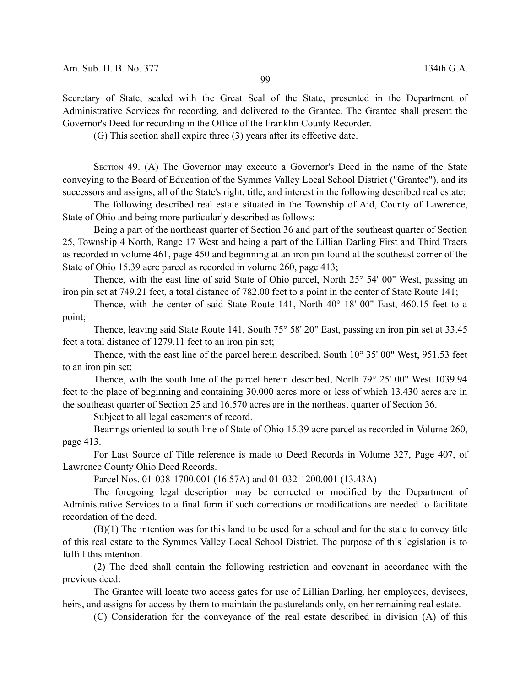Secretary of State, sealed with the Great Seal of the State, presented in the Department of Administrative Services for recording, and delivered to the Grantee. The Grantee shall present the Governor's Deed for recording in the Office of the Franklin County Recorder.

(G) This section shall expire three (3) years after its effective date.

SECTION 49. (A) The Governor may execute a Governor's Deed in the name of the State conveying to the Board of Education of the Symmes Valley Local School District ("Grantee"), and its successors and assigns, all of the State's right, title, and interest in the following described real estate:

The following described real estate situated in the Township of Aid, County of Lawrence, State of Ohio and being more particularly described as follows:

Being a part of the northeast quarter of Section 36 and part of the southeast quarter of Section 25, Township 4 North, Range 17 West and being a part of the Lillian Darling First and Third Tracts as recorded in volume 461, page 450 and beginning at an iron pin found at the southeast corner of the State of Ohio 15.39 acre parcel as recorded in volume 260, page 413;

Thence, with the east line of said State of Ohio parcel, North 25° 54' 00" West, passing an iron pin set at 749.21 feet, a total distance of 782.00 feet to a point in the center of State Route 141;

Thence, with the center of said State Route 141, North 40° 18' 00" East, 460.15 feet to a point;

Thence, leaving said State Route 141, South 75° 58' 20" East, passing an iron pin set at 33.45 feet a total distance of 1279.11 feet to an iron pin set;

Thence, with the east line of the parcel herein described, South 10° 35' 00" West, 951.53 feet to an iron pin set;

Thence, with the south line of the parcel herein described, North 79° 25' 00" West 1039.94 feet to the place of beginning and containing 30.000 acres more or less of which 13.430 acres are in the southeast quarter of Section 25 and 16.570 acres are in the northeast quarter of Section 36.

Subject to all legal easements of record.

Bearings oriented to south line of State of Ohio 15.39 acre parcel as recorded in Volume 260, page 413.

For Last Source of Title reference is made to Deed Records in Volume 327, Page 407, of Lawrence County Ohio Deed Records.

Parcel Nos. 01-038-1700.001 (16.57A) and 01-032-1200.001 (13.43A)

The foregoing legal description may be corrected or modified by the Department of Administrative Services to a final form if such corrections or modifications are needed to facilitate recordation of the deed.

(B)(1) The intention was for this land to be used for a school and for the state to convey title of this real estate to the Symmes Valley Local School District. The purpose of this legislation is to fulfill this intention.

(2) The deed shall contain the following restriction and covenant in accordance with the previous deed:

The Grantee will locate two access gates for use of Lillian Darling, her employees, devisees, heirs, and assigns for access by them to maintain the pasturelands only, on her remaining real estate.

(C) Consideration for the conveyance of the real estate described in division (A) of this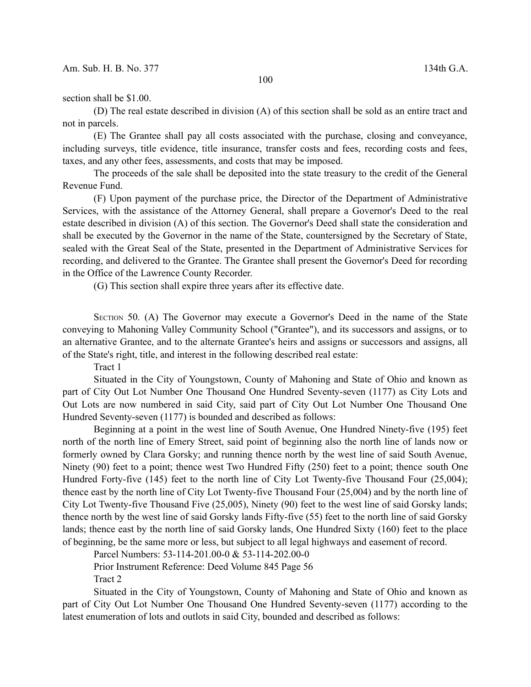## section shall be \$1.00.

(D) The real estate described in division (A) of this section shall be sold as an entire tract and not in parcels.

(E) The Grantee shall pay all costs associated with the purchase, closing and conveyance, including surveys, title evidence, title insurance, transfer costs and fees, recording costs and fees, taxes, and any other fees, assessments, and costs that may be imposed.

The proceeds of the sale shall be deposited into the state treasury to the credit of the General Revenue Fund.

(F) Upon payment of the purchase price, the Director of the Department of Administrative Services, with the assistance of the Attorney General, shall prepare a Governor's Deed to the real estate described in division (A) of this section. The Governor's Deed shall state the consideration and shall be executed by the Governor in the name of the State, countersigned by the Secretary of State, sealed with the Great Seal of the State, presented in the Department of Administrative Services for recording, and delivered to the Grantee. The Grantee shall present the Governor's Deed for recording in the Office of the Lawrence County Recorder.

(G) This section shall expire three years after its effective date.

SECTION 50. (A) The Governor may execute a Governor's Deed in the name of the State conveying to Mahoning Valley Community School ("Grantee"), and its successors and assigns, or to an alternative Grantee, and to the alternate Grantee's heirs and assigns or successors and assigns, all of the State's right, title, and interest in the following described real estate:

Tract 1

Situated in the City of Youngstown, County of Mahoning and State of Ohio and known as part of City Out Lot Number One Thousand One Hundred Seventy-seven (1177) as City Lots and Out Lots are now numbered in said City, said part of City Out Lot Number One Thousand One Hundred Seventy-seven (1177) is bounded and described as follows:

Beginning at a point in the west line of South Avenue, One Hundred Ninety-five (195) feet north of the north line of Emery Street, said point of beginning also the north line of lands now or formerly owned by Clara Gorsky; and running thence north by the west line of said South Avenue, Ninety (90) feet to a point; thence west Two Hundred Fifty (250) feet to a point; thence south One Hundred Forty-five (145) feet to the north line of City Lot Twenty-five Thousand Four (25,004); thence east by the north line of City Lot Twenty-five Thousand Four (25,004) and by the north line of City Lot Twenty-five Thousand Five (25,005), Ninety (90) feet to the west line of said Gorsky lands; thence north by the west line of said Gorsky lands Fifty-five (55) feet to the north line of said Gorsky lands; thence east by the north line of said Gorsky lands, One Hundred Sixty (160) feet to the place of beginning, be the same more or less, but subject to all legal highways and easement of record.

Parcel Numbers: 53-114-201.00-0 & 53-114-202.00-0

Prior Instrument Reference: Deed Volume 845 Page 56

Tract 2

Situated in the City of Youngstown, County of Mahoning and State of Ohio and known as part of City Out Lot Number One Thousand One Hundred Seventy-seven (1177) according to the latest enumeration of lots and outlots in said City, bounded and described as follows: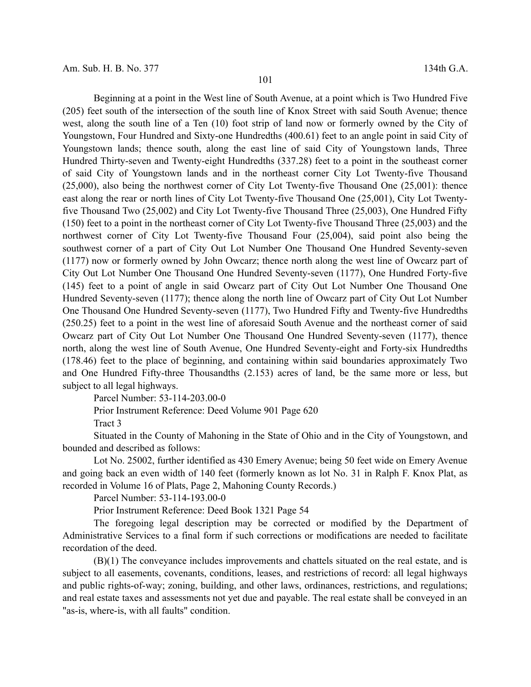Beginning at a point in the West line of South Avenue, at a point which is Two Hundred Five (205) feet south of the intersection of the south line of Knox Street with said South Avenue; thence west, along the south line of a Ten (10) foot strip of land now or formerly owned by the City of Youngstown, Four Hundred and Sixty-one Hundredths (400.61) feet to an angle point in said City of Youngstown lands; thence south, along the east line of said City of Youngstown lands, Three Hundred Thirty-seven and Twenty-eight Hundredths (337.28) feet to a point in the southeast corner of said City of Youngstown lands and in the northeast corner City Lot Twenty-five Thousand (25,000), also being the northwest corner of City Lot Twenty-five Thousand One (25,001): thence east along the rear or north lines of City Lot Twenty-five Thousand One (25,001), City Lot Twentyfive Thousand Two (25,002) and City Lot Twenty-five Thousand Three (25,003), One Hundred Fifty (150) feet to a point in the northeast corner of City Lot Twenty-five Thousand Three (25,003) and the northwest corner of City Lot Twenty-five Thousand Four (25,004), said point also being the southwest corner of a part of City Out Lot Number One Thousand One Hundred Seventy-seven (1177) now or formerly owned by John Owcarz; thence north along the west line of Owcarz part of City Out Lot Number One Thousand One Hundred Seventy-seven (1177), One Hundred Forty-five (145) feet to a point of angle in said Owcarz part of City Out Lot Number One Thousand One Hundred Seventy-seven (1177); thence along the north line of Owcarz part of City Out Lot Number One Thousand One Hundred Seventy-seven (1177), Two Hundred Fifty and Twenty-five Hundredths (250.25) feet to a point in the west line of aforesaid South Avenue and the northeast corner of said Owcarz part of City Out Lot Number One Thousand One Hundred Seventy-seven (1177), thence north, along the west line of South Avenue, One Hundred Seventy-eight and Forty-six Hundredths (178.46) feet to the place of beginning, and containing within said boundaries approximately Two and One Hundred Fifty-three Thousandths (2.153) acres of land, be the same more or less, but subject to all legal highways.

Parcel Number: 53-114-203.00-0

Prior Instrument Reference: Deed Volume 901 Page 620

Tract 3

Situated in the County of Mahoning in the State of Ohio and in the City of Youngstown, and bounded and described as follows:

Lot No. 25002, further identified as 430 Emery Avenue; being 50 feet wide on Emery Avenue and going back an even width of 140 feet (formerly known as lot No. 31 in Ralph F. Knox Plat, as recorded in Volume 16 of Plats, Page 2, Mahoning County Records.)

Parcel Number: 53-114-193.00-0

Prior Instrument Reference: Deed Book 1321 Page 54

The foregoing legal description may be corrected or modified by the Department of Administrative Services to a final form if such corrections or modifications are needed to facilitate recordation of the deed.

(B)(1) The conveyance includes improvements and chattels situated on the real estate, and is subject to all easements, covenants, conditions, leases, and restrictions of record: all legal highways and public rights-of-way; zoning, building, and other laws, ordinances, restrictions, and regulations; and real estate taxes and assessments not yet due and payable. The real estate shall be conveyed in an "as-is, where-is, with all faults" condition.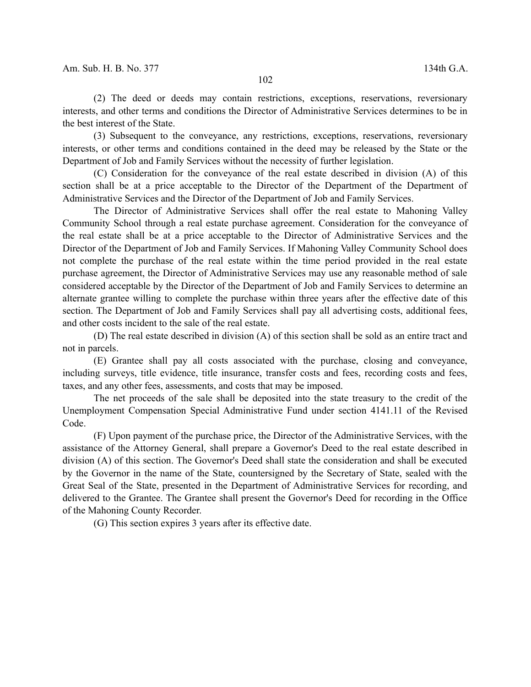(2) The deed or deeds may contain restrictions, exceptions, reservations, reversionary interests, and other terms and conditions the Director of Administrative Services determines to be in the best interest of the State.

(3) Subsequent to the conveyance, any restrictions, exceptions, reservations, reversionary interests, or other terms and conditions contained in the deed may be released by the State or the Department of Job and Family Services without the necessity of further legislation.

(C) Consideration for the conveyance of the real estate described in division (A) of this section shall be at a price acceptable to the Director of the Department of the Department of Administrative Services and the Director of the Department of Job and Family Services.

The Director of Administrative Services shall offer the real estate to Mahoning Valley Community School through a real estate purchase agreement. Consideration for the conveyance of the real estate shall be at a price acceptable to the Director of Administrative Services and the Director of the Department of Job and Family Services. If Mahoning Valley Community School does not complete the purchase of the real estate within the time period provided in the real estate purchase agreement, the Director of Administrative Services may use any reasonable method of sale considered acceptable by the Director of the Department of Job and Family Services to determine an alternate grantee willing to complete the purchase within three years after the effective date of this section. The Department of Job and Family Services shall pay all advertising costs, additional fees, and other costs incident to the sale of the real estate.

(D) The real estate described in division (A) of this section shall be sold as an entire tract and not in parcels.

(E) Grantee shall pay all costs associated with the purchase, closing and conveyance, including surveys, title evidence, title insurance, transfer costs and fees, recording costs and fees, taxes, and any other fees, assessments, and costs that may be imposed.

The net proceeds of the sale shall be deposited into the state treasury to the credit of the Unemployment Compensation Special Administrative Fund under section 4141.11 of the Revised Code.

(F) Upon payment of the purchase price, the Director of the Administrative Services, with the assistance of the Attorney General, shall prepare a Governor's Deed to the real estate described in division (A) of this section. The Governor's Deed shall state the consideration and shall be executed by the Governor in the name of the State, countersigned by the Secretary of State, sealed with the Great Seal of the State, presented in the Department of Administrative Services for recording, and delivered to the Grantee. The Grantee shall present the Governor's Deed for recording in the Office of the Mahoning County Recorder.

(G) This section expires 3 years after its effective date.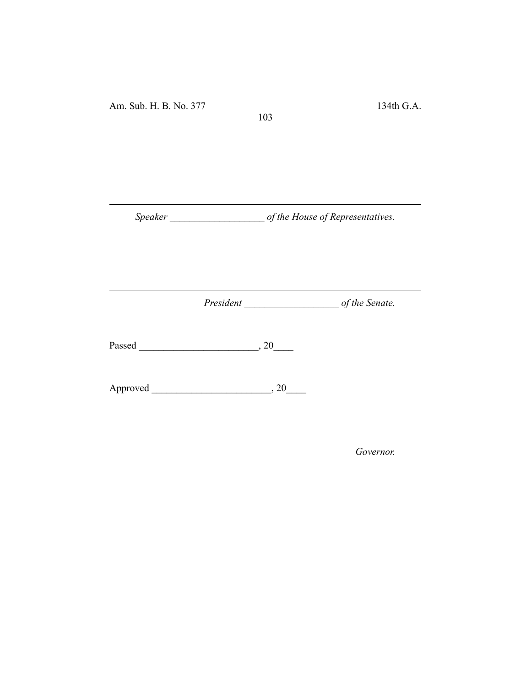*Speaker \_\_\_\_\_\_\_\_\_\_\_\_\_\_\_\_\_\_\_ of the House of Representatives.*

103

*President \_\_\_\_\_\_\_\_\_\_\_\_\_\_\_\_\_\_\_ of the Senate.*

Passed \_\_\_\_\_\_\_\_\_\_\_\_\_\_\_\_\_\_\_\_\_\_\_\_, 20\_\_\_\_

Approved \_\_\_\_\_\_\_\_\_\_\_\_\_\_\_\_\_\_\_\_\_\_\_\_, 20\_\_\_\_

*Governor.*